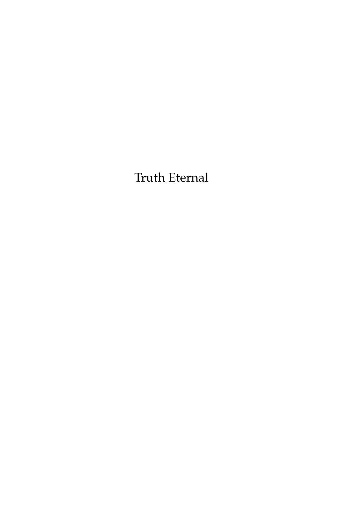Truth Eternal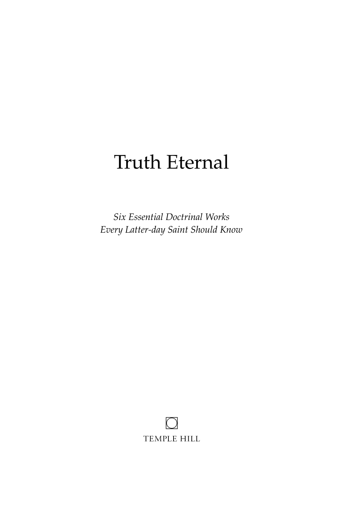# Truth Eternal

*Six Essential Doctrinal Works Every Latter-day Saint Should Know*

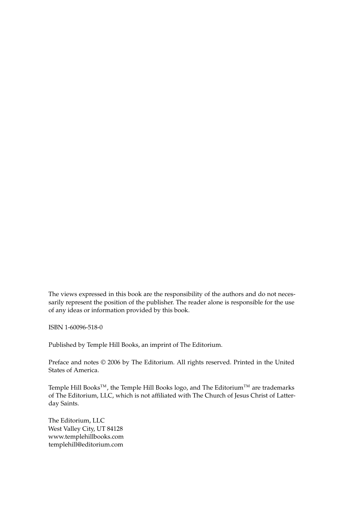The views expressed in this book are the responsibility of the authors and do not necessarily represent the position of the publisher. The reader alone is responsible for the use of any ideas or information provided by this book.

ISBN 1-60096-518-0

Published by Temple Hill Books, an imprint of The Editorium.

Preface and notes © 2006 by The Editorium. All rights reserved. Printed in the United States of America.

Temple Hill Books<sup>TM</sup>, the Temple Hill Books logo, and The Editorium<sup>TM</sup> are trademarks of The Editorium, LLC, which is not affiliated with The Church of Jesus Christ of Latterday Saints.

The Editorium, LLC West Valley City, UT 84128 www.templehillbooks.com templehill@editorium.com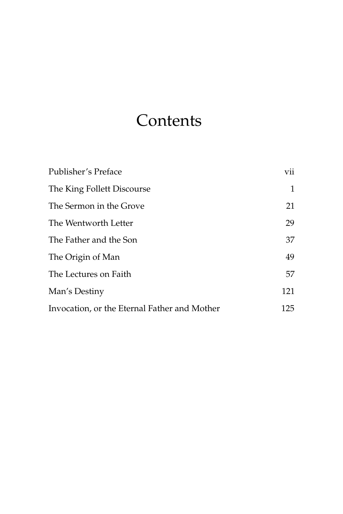## **Contents**

| Publisher's Preface                          | vii |
|----------------------------------------------|-----|
| The King Follett Discourse                   | 1   |
| The Sermon in the Grove                      | 21  |
| The Wentworth Letter                         | 29  |
| The Father and the Son                       | 37  |
| The Origin of Man                            | 49  |
| The Lectures on Faith                        | 57  |
| Man's Destiny                                | 121 |
| Invocation, or the Eternal Father and Mother | 125 |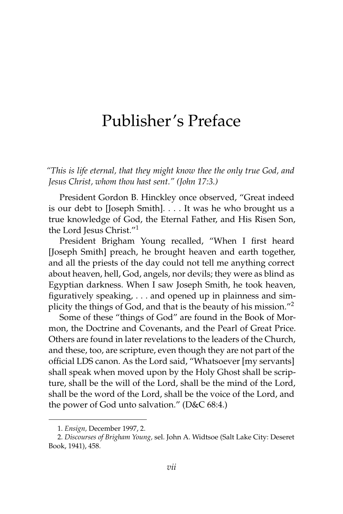## Publisher's Preface

*"This is life eternal, that they might know thee the only true God, and Jesus Christ, whom thou hast sent." (John 17:3.)*

President Gordon B. Hinckley once observed, "Great indeed is our debt to [Joseph Smith]. . . . It was he who brought us a true knowledge of God, the Eternal Father, and His Risen Son, the Lord Jesus Christ."<sup>1</sup>

President Brigham Young recalled, "When I first heard [Joseph Smith] preach, he brought heaven and earth together, and all the priests of the day could not tell me anything correct about heaven, hell, God, angels, nor devils; they were as blind as Egyptian darkness. When I saw Joseph Smith, he took heaven, figuratively speaking, . . . and opened up in plainness and simplicity the things of God, and that is the beauty of his mission."<sup>2</sup>

Some of these "things of God" are found in the Book of Mormon, the Doctrine and Covenants, and the Pearl of Great Price. Others are found in later revelations to the leaders of the Church, and these, too, are scripture, even though they are not part of the official LDS canon. As the Lord said, "Whatsoever [my servants] shall speak when moved upon by the Holy Ghost shall be scripture, shall be the will of the Lord, shall be the mind of the Lord, shall be the word of the Lord, shall be the voice of the Lord, and the power of God unto salvation." (D&C 68:4.)

<sup>1.</sup> *Ensign,* December 1997, 2.

<sup>2.</sup> *Discourses of Brigham Young,* sel. John A. Widtsoe (Salt Lake City: Deseret Book, 1941), 458.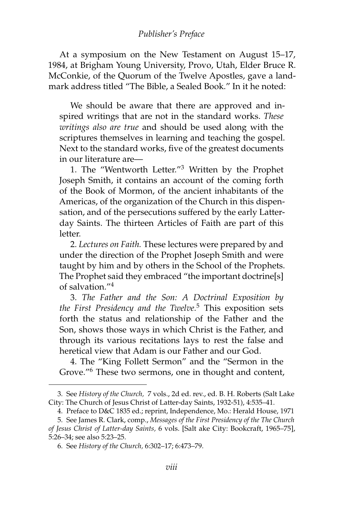At a symposium on the New Testament on August 15–17, 1984, at Brigham Young University, Provo, Utah, Elder Bruce R. McConkie, of the Quorum of the Twelve Apostles, gave a landmark address titled "The Bible, a Sealed Book." In it he noted:

We should be aware that there are approved and inspired writings that are not in the standard works. *These writings also are true* and should be used along with the scriptures themselves in learning and teaching the gospel. Next to the standard works, five of the greatest documents in our literature are—

1. The "Wentworth Letter."<sup>3</sup> Written by the Prophet Joseph Smith, it contains an account of the coming forth of the Book of Mormon, of the ancient inhabitants of the Americas, of the organization of the Church in this dispensation, and of the persecutions suffered by the early Latterday Saints. The thirteen Articles of Faith are part of this letter.

2. *Lectures on Faith.* These lectures were prepared by and under the direction of the Prophet Joseph Smith and were taught by him and by others in the School of the Prophets. The Prophet said they embraced "the important doctrine[s] of salvation."<sup>4</sup>

3. *The Father and the Son: A Doctrinal Exposition by the First Presidency and the Twelve.*<sup>5</sup> This exposition sets forth the status and relationship of the Father and the Son, shows those ways in which Christ is the Father, and through its various recitations lays to rest the false and heretical view that Adam is our Father and our God.

4. The "King Follett Sermon" and the "Sermon in the Grove."<sup>6</sup> These two sermons, one in thought and content,

<sup>3.</sup> See *History of the Church,* 7 vols., 2d ed. rev., ed. B. H. Roberts (Salt Lake City: The Church of Jesus Christ of Latter-day Saints, 1932-51), 4:535–41.

<sup>4.</sup> Preface to D&C 1835 ed.; reprint, Independence, Mo.: Herald House, 1971

<sup>5.</sup> See James R. Clark, comp., *Messages of the First Presidency of the The Church of Jesus Christ of Latter-day Saints,* 6 vols. [Salt ake City: Bookcraft, 1965–75], 5:26–34; see also 5:23–25.

<sup>6.</sup> See *History of the Church,* 6:302–17; 6:473–79.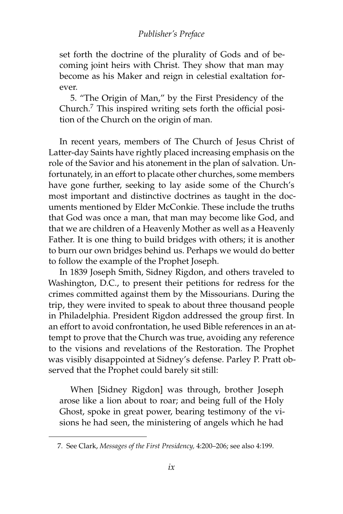## *Publisher's Preface*

set forth the doctrine of the plurality of Gods and of becoming joint heirs with Christ. They show that man may become as his Maker and reign in celestial exaltation forever.

5. "The Origin of Man," by the First Presidency of the Church. $<sup>7</sup>$  This inspired writing sets forth the official posi-</sup> tion of the Church on the origin of man.

In recent years, members of The Church of Jesus Christ of Latter-day Saints have rightly placed increasing emphasis on the role of the Savior and his atonement in the plan of salvation. Unfortunately, in an effort to placate other churches, some members have gone further, seeking to lay aside some of the Church's most important and distinctive doctrines as taught in the documents mentioned by Elder McConkie. These include the truths that God was once a man, that man may become like God, and that we are children of a Heavenly Mother as well as a Heavenly Father. It is one thing to build bridges with others; it is another to burn our own bridges behind us. Perhaps we would do better to follow the example of the Prophet Joseph.

In 1839 Joseph Smith, Sidney Rigdon, and others traveled to Washington, D.C., to present their petitions for redress for the crimes committed against them by the Missourians. During the trip, they were invited to speak to about three thousand people in Philadelphia. President Rigdon addressed the group first. In an effort to avoid confrontation, he used Bible references in an attempt to prove that the Church was true, avoiding any reference to the visions and revelations of the Restoration. The Prophet was visibly disappointed at Sidney's defense. Parley P. Pratt observed that the Prophet could barely sit still:

When [Sidney Rigdon] was through, brother Joseph arose like a lion about to roar; and being full of the Holy Ghost, spoke in great power, bearing testimony of the visions he had seen, the ministering of angels which he had

<sup>7.</sup> See Clark, *Messages of the First Presidency,* 4:200–206; see also 4:199.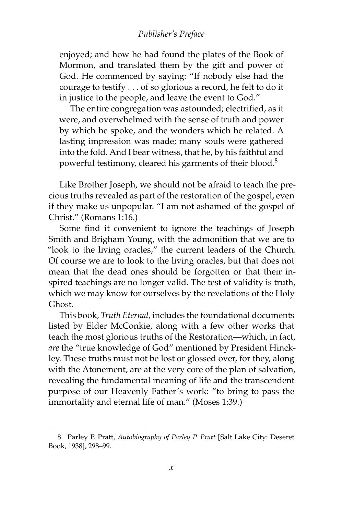enjoyed; and how he had found the plates of the Book of Mormon, and translated them by the gift and power of God. He commenced by saying: "If nobody else had the courage to testify . . . of so glorious a record, he felt to do it in justice to the people, and leave the event to God."

The entire congregation was astounded; electrified, as it were, and overwhelmed with the sense of truth and power by which he spoke, and the wonders which he related. A lasting impression was made; many souls were gathered into the fold. And I bear witness, that he, by his faithful and powerful testimony, cleared his garments of their blood.<sup>8</sup>

Like Brother Joseph, we should not be afraid to teach the precious truths revealed as part of the restoration of the gospel, even if they make us unpopular. "I am not ashamed of the gospel of Christ." (Romans 1:16.)

Some find it convenient to ignore the teachings of Joseph Smith and Brigham Young, with the admonition that we are to "look to the living oracles," the current leaders of the Church. Of course we are to look to the living oracles, but that does not mean that the dead ones should be forgotten or that their inspired teachings are no longer valid. The test of validity is truth, which we may know for ourselves by the revelations of the Holy Ghost.

This book, *Truth Eternal,* includes the foundational documents listed by Elder McConkie, along with a few other works that teach the most glorious truths of the Restoration—which, in fact, *are* the "true knowledge of God" mentioned by President Hinckley. These truths must not be lost or glossed over, for they, along with the Atonement, are at the very core of the plan of salvation, revealing the fundamental meaning of life and the transcendent purpose of our Heavenly Father's work: "to bring to pass the immortality and eternal life of man." (Moses 1:39.)

<sup>8.</sup> Parley P. Pratt, *Autobiography of Parley P. Pratt* [Salt Lake City: Deseret Book, 1938], 298–99.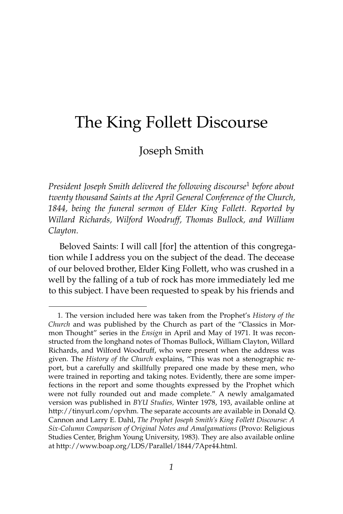## Joseph Smith

*President Joseph Smith delivered the following discourse*<sup>1</sup> *before about twenty thousand Saints at the April General Conference of the Church, 1844, being the funeral sermon of Elder King Follett. Reported by Willard Richards, Wilford Woodruff, Thomas Bullock, and William Clayton.*

Beloved Saints: I will call [for] the attention of this congregation while I address you on the subject of the dead. The decease of our beloved brother, Elder King Follett, who was crushed in a well by the falling of a tub of rock has more immediately led me to this subject. I have been requested to speak by his friends and

<sup>1.</sup> The version included here was taken from the Prophet's *History of the Church* and was published by the Church as part of the "Classics in Mormon Thought" series in the *Ensign* in April and May of 1971. It was reconstructed from the longhand notes of Thomas Bullock, William Clayton, Willard Richards, and Wilford Woodruff, who were present when the address was given. The *History of the Church* explains, "This was not a stenographic report, but a carefully and skillfully prepared one made by these men, who were trained in reporting and taking notes. Evidently, there are some imperfections in the report and some thoughts expressed by the Prophet which were not fully rounded out and made complete." A newly amalgamated version was published in *BYU Studies,* Winter 1978, 193, available online at http://tinyurl.com/opvhm. The separate accounts are available in Donald Q. Cannon and Larry E. Dahl, *The Prophet Joseph Smith's King Follett Discourse: A Six-Column Comparison of Original Notes and Amalgamations* (Provo: Religious Studies Center, Brighm Young University, 1983). They are also available online at http://www.boap.org/LDS/Parallel/1844/7Apr44.html.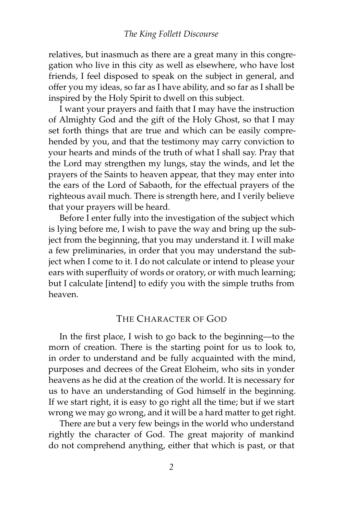relatives, but inasmuch as there are a great many in this congregation who live in this city as well as elsewhere, who have lost friends, I feel disposed to speak on the subject in general, and offer you my ideas, so far as I have ability, and so far as I shall be inspired by the Holy Spirit to dwell on this subject.

I want your prayers and faith that I may have the instruction of Almighty God and the gift of the Holy Ghost, so that I may set forth things that are true and which can be easily comprehended by you, and that the testimony may carry conviction to your hearts and minds of the truth of what I shall say. Pray that the Lord may strengthen my lungs, stay the winds, and let the prayers of the Saints to heaven appear, that they may enter into the ears of the Lord of Sabaoth, for the effectual prayers of the righteous avail much. There is strength here, and I verily believe that your prayers will be heard.

Before I enter fully into the investigation of the subject which is lying before me, I wish to pave the way and bring up the subject from the beginning, that you may understand it. I will make a few preliminaries, in order that you may understand the subject when I come to it. I do not calculate or intend to please your ears with superfluity of words or oratory, or with much learning; but I calculate [intend] to edify you with the simple truths from heaven.

## THE CHARACTER OF GOD

In the first place, I wish to go back to the beginning—to the morn of creation. There is the starting point for us to look to, in order to understand and be fully acquainted with the mind, purposes and decrees of the Great Eloheim, who sits in yonder heavens as he did at the creation of the world. It is necessary for us to have an understanding of God himself in the beginning. If we start right, it is easy to go right all the time; but if we start wrong we may go wrong, and it will be a hard matter to get right.

There are but a very few beings in the world who understand rightly the character of God. The great majority of mankind do not comprehend anything, either that which is past, or that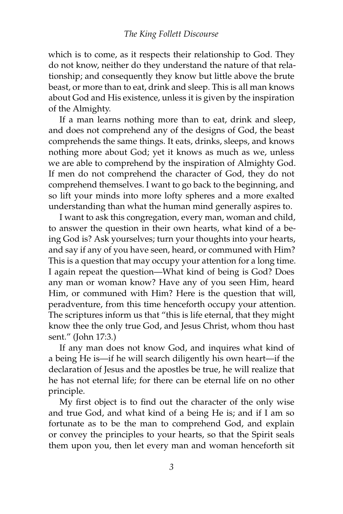which is to come, as it respects their relationship to God. They do not know, neither do they understand the nature of that relationship; and consequently they know but little above the brute beast, or more than to eat, drink and sleep. This is all man knows about God and His existence, unless it is given by the inspiration of the Almighty.

If a man learns nothing more than to eat, drink and sleep, and does not comprehend any of the designs of God, the beast comprehends the same things. It eats, drinks, sleeps, and knows nothing more about God; yet it knows as much as we, unless we are able to comprehend by the inspiration of Almighty God. If men do not comprehend the character of God, they do not comprehend themselves. I want to go back to the beginning, and so lift your minds into more lofty spheres and a more exalted understanding than what the human mind generally aspires to.

I want to ask this congregation, every man, woman and child, to answer the question in their own hearts, what kind of a being God is? Ask yourselves; turn your thoughts into your hearts, and say if any of you have seen, heard, or communed with Him? This is a question that may occupy your attention for a long time. I again repeat the question—What kind of being is God? Does any man or woman know? Have any of you seen Him, heard Him, or communed with Him? Here is the question that will, peradventure, from this time henceforth occupy your attention. The scriptures inform us that "this is life eternal, that they might know thee the only true God, and Jesus Christ, whom thou hast sent." (John 17:3.)

If any man does not know God, and inquires what kind of a being He is—if he will search diligently his own heart—if the declaration of Jesus and the apostles be true, he will realize that he has not eternal life; for there can be eternal life on no other principle.

My first object is to find out the character of the only wise and true God, and what kind of a being He is; and if I am so fortunate as to be the man to comprehend God, and explain or convey the principles to your hearts, so that the Spirit seals them upon you, then let every man and woman henceforth sit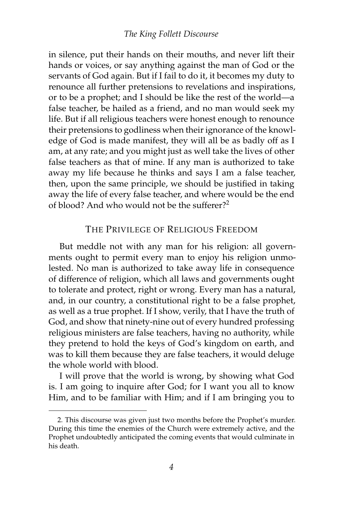in silence, put their hands on their mouths, and never lift their hands or voices, or say anything against the man of God or the servants of God again. But if I fail to do it, it becomes my duty to renounce all further pretensions to revelations and inspirations, or to be a prophet; and I should be like the rest of the world—a false teacher, be hailed as a friend, and no man would seek my life. But if all religious teachers were honest enough to renounce their pretensions to godliness when their ignorance of the knowledge of God is made manifest, they will all be as badly off as I am, at any rate; and you might just as well take the lives of other false teachers as that of mine. If any man is authorized to take away my life because he thinks and says I am a false teacher, then, upon the same principle, we should be justified in taking away the life of every false teacher, and where would be the end of blood? And who would not be the sufferer?<sup>2</sup>

## THE PRIVILEGE OF RELIGIOUS FREEDOM

But meddle not with any man for his religion: all governments ought to permit every man to enjoy his religion unmolested. No man is authorized to take away life in consequence of difference of religion, which all laws and governments ought to tolerate and protect, right or wrong. Every man has a natural, and, in our country, a constitutional right to be a false prophet, as well as a true prophet. If I show, verily, that I have the truth of God, and show that ninety-nine out of every hundred professing religious ministers are false teachers, having no authority, while they pretend to hold the keys of God's kingdom on earth, and was to kill them because they are false teachers, it would deluge the whole world with blood.

I will prove that the world is wrong, by showing what God is. I am going to inquire after God; for I want you all to know Him, and to be familiar with Him; and if I am bringing you to

<sup>2.</sup> This discourse was given just two months before the Prophet's murder. During this time the enemies of the Church were extremely active, and the Prophet undoubtedly anticipated the coming events that would culminate in his death.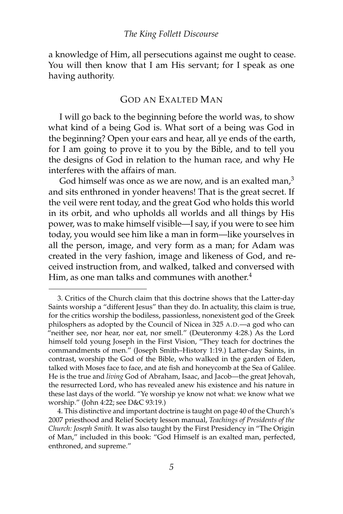a knowledge of Him, all persecutions against me ought to cease. You will then know that I am His servant; for I speak as one having authority.

## GOD AN EXALTED MAN

I will go back to the beginning before the world was, to show what kind of a being God is. What sort of a being was God in the beginning? Open your ears and hear, all ye ends of the earth, for I am going to prove it to you by the Bible, and to tell you the designs of God in relation to the human race, and why He interferes with the affairs of man.

God himself was once as we are now, and is an exalted man, $3$ and sits enthroned in yonder heavens! That is the great secret. If the veil were rent today, and the great God who holds this world in its orbit, and who upholds all worlds and all things by His power, was to make himself visible—I say, if you were to see him today, you would see him like a man in form—like yourselves in all the person, image, and very form as a man; for Adam was created in the very fashion, image and likeness of God, and received instruction from, and walked, talked and conversed with Him, as one man talks and communes with another.<sup>4</sup>

<sup>3.</sup> Critics of the Church claim that this doctrine shows that the Latter-day Saints worship a "different Jesus" than they do. In actuality, this claim is true, for the critics worship the bodiless, passionless, nonexistent god of the Greek philosphers as adopted by the Council of Nicea in 325 A.D.—a god who can "neither see, nor hear, nor eat, nor smell." (Deuteronmy 4:28.) As the Lord himself told young Joseph in the First Vision, "They teach for doctrines the commandments of men." (Joseph Smith–History 1:19.) Latter-day Saints, in contrast, worship the God of the Bible, who walked in the garden of Eden, talked with Moses face to face, and ate fish and honeycomb at the Sea of Galilee. He is the true and *living* God of Abraham, Isaac, and Jacob—the great Jehovah, the resurrected Lord, who has revealed anew his existence and his nature in these last days of the world. "Ye worship ye know not what: we know what we worship." (John 4:22; see D&C 93:19.)

<sup>4.</sup> This distinctive and important doctrine is taught on page 40 of the Church's 2007 priesthood and Relief Society lesson manual, *Teachings of Presidents of the Church: Joseph Smith.* It was also taught by the First Presidency in "The Origin of Man," included in this book: "God Himself is an exalted man, perfected, enthroned, and supreme."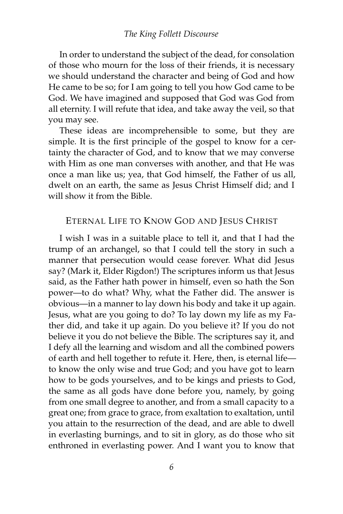In order to understand the subject of the dead, for consolation of those who mourn for the loss of their friends, it is necessary we should understand the character and being of God and how He came to be so; for I am going to tell you how God came to be God. We have imagined and supposed that God was God from all eternity. I will refute that idea, and take away the veil, so that you may see.

These ideas are incomprehensible to some, but they are simple. It is the first principle of the gospel to know for a certainty the character of God, and to know that we may converse with Him as one man converses with another, and that He was once a man like us; yea, that God himself, the Father of us all, dwelt on an earth, the same as Jesus Christ Himself did; and I will show it from the Bible.

## ETERNAL LIFE TO KNOW GOD AND JESUS CHRIST

I wish I was in a suitable place to tell it, and that I had the trump of an archangel, so that I could tell the story in such a manner that persecution would cease forever. What did Jesus say? (Mark it, Elder Rigdon!) The scriptures inform us that Jesus said, as the Father hath power in himself, even so hath the Son power—to do what? Why, what the Father did. The answer is obvious—in a manner to lay down his body and take it up again. Jesus, what are you going to do? To lay down my life as my Father did, and take it up again. Do you believe it? If you do not believe it you do not believe the Bible. The scriptures say it, and I defy all the learning and wisdom and all the combined powers of earth and hell together to refute it. Here, then, is eternal life to know the only wise and true God; and you have got to learn how to be gods yourselves, and to be kings and priests to God, the same as all gods have done before you, namely, by going from one small degree to another, and from a small capacity to a great one; from grace to grace, from exaltation to exaltation, until you attain to the resurrection of the dead, and are able to dwell in everlasting burnings, and to sit in glory, as do those who sit enthroned in everlasting power. And I want you to know that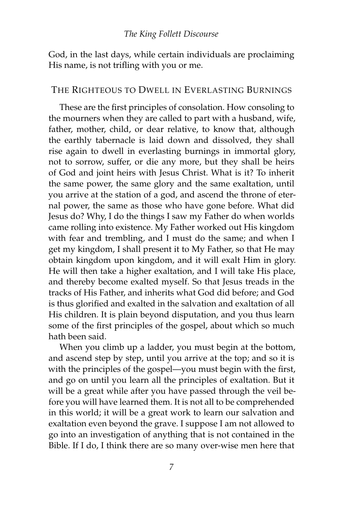God, in the last days, while certain individuals are proclaiming His name, is not trifling with you or me.

## THE RIGHTEOUS TO DWELL IN EVERLASTING BURNINGS

These are the first principles of consolation. How consoling to the mourners when they are called to part with a husband, wife, father, mother, child, or dear relative, to know that, although the earthly tabernacle is laid down and dissolved, they shall rise again to dwell in everlasting burnings in immortal glory, not to sorrow, suffer, or die any more, but they shall be heirs of God and joint heirs with Jesus Christ. What is it? To inherit the same power, the same glory and the same exaltation, until you arrive at the station of a god, and ascend the throne of eternal power, the same as those who have gone before. What did Jesus do? Why, I do the things I saw my Father do when worlds came rolling into existence. My Father worked out His kingdom with fear and trembling, and I must do the same; and when I get my kingdom, I shall present it to My Father, so that He may obtain kingdom upon kingdom, and it will exalt Him in glory. He will then take a higher exaltation, and I will take His place, and thereby become exalted myself. So that Jesus treads in the tracks of His Father, and inherits what God did before; and God is thus glorified and exalted in the salvation and exaltation of all His children. It is plain beyond disputation, and you thus learn some of the first principles of the gospel, about which so much hath been said.

When you climb up a ladder, you must begin at the bottom, and ascend step by step, until you arrive at the top; and so it is with the principles of the gospel—you must begin with the first, and go on until you learn all the principles of exaltation. But it will be a great while after you have passed through the veil before you will have learned them. It is not all to be comprehended in this world; it will be a great work to learn our salvation and exaltation even beyond the grave. I suppose I am not allowed to go into an investigation of anything that is not contained in the Bible. If I do, I think there are so many over-wise men here that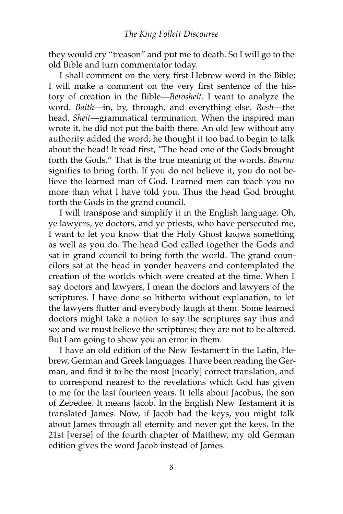they would cry "treason" and put me to death. So I will go to the old Bible and turn commentator today.

I shall comment on the very first Hebrew word in the Bible; I will make a comment on the very first sentence of the history of creation in the Bible—*Berosheit.* I want to analyze the word. *Baith—*in, by, through, and everything else. *Rosh—*the head, *Sheit—*grammatical termination. When the inspired man wrote it, he did not put the baith there. An old Jew without any authority added the word; he thought it too bad to begin to talk about the head! It read first, "The head one of the Gods brought forth the Gods." That is the true meaning of the words. *Baurau* signifies to bring forth. If you do not believe it, you do not believe the learned man of God. Learned men can teach you no more than what I have told you. Thus the head God brought forth the Gods in the grand council.

I will transpose and simplify it in the English language. Oh, ye lawyers, ye doctors, and ye priests, who have persecuted me, I want to let you know that the Holy Ghost knows something as well as you do. The head God called together the Gods and sat in grand council to bring forth the world. The grand councilors sat at the head in yonder heavens and contemplated the creation of the worlds which were created at the time. When I say doctors and lawyers, I mean the doctors and lawyers of the scriptures. I have done so hitherto without explanation, to let the lawyers flutter and everybody laugh at them. Some learned doctors might take a notion to say the scriptures say thus and so; and we must believe the scriptures; they are not to be altered. But I am going to show you an error in them.

I have an old edition of the New Testament in the Latin, Hebrew, German and Greek languages. I have been reading the German, and find it to be the most [nearly] correct translation, and to correspond nearest to the revelations which God has given to me for the last fourteen years. It tells about Jacobus, the son of Zebedee. It means Jacob. In the English New Testament it is translated James. Now, if Jacob had the keys, you might talk about James through all eternity and never get the keys. In the 21st [verse] of the fourth chapter of Matthew, my old German edition gives the word Jacob instead of James.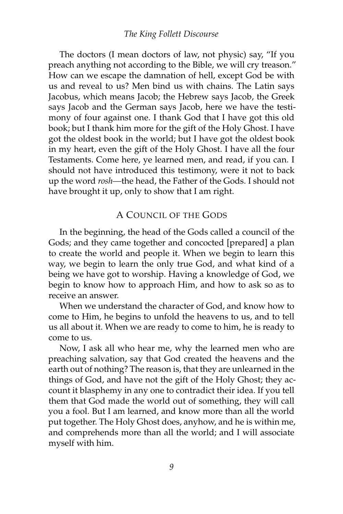The doctors (I mean doctors of law, not physic) say, "If you preach anything not according to the Bible, we will cry treason." How can we escape the damnation of hell, except God be with us and reveal to us? Men bind us with chains. The Latin says Jacobus, which means Jacob; the Hebrew says Jacob, the Greek says Jacob and the German says Jacob, here we have the testimony of four against one. I thank God that I have got this old book; but I thank him more for the gift of the Holy Ghost. I have got the oldest book in the world; but I have got the oldest book in my heart, even the gift of the Holy Ghost. I have all the four Testaments. Come here, ye learned men, and read, if you can. I should not have introduced this testimony, were it not to back up the word *rosh—*the head, the Father of the Gods. I should not have brought it up, only to show that I am right.

## A COUNCIL OF THE GODS

In the beginning, the head of the Gods called a council of the Gods; and they came together and concocted [prepared] a plan to create the world and people it. When we begin to learn this way, we begin to learn the only true God, and what kind of a being we have got to worship. Having a knowledge of God, we begin to know how to approach Him, and how to ask so as to receive an answer.

When we understand the character of God, and know how to come to Him, he begins to unfold the heavens to us, and to tell us all about it. When we are ready to come to him, he is ready to come to us.

Now, I ask all who hear me, why the learned men who are preaching salvation, say that God created the heavens and the earth out of nothing? The reason is, that they are unlearned in the things of God, and have not the gift of the Holy Ghost; they account it blasphemy in any one to contradict their idea. If you tell them that God made the world out of something, they will call you a fool. But I am learned, and know more than all the world put together. The Holy Ghost does, anyhow, and he is within me, and comprehends more than all the world; and I will associate myself with him.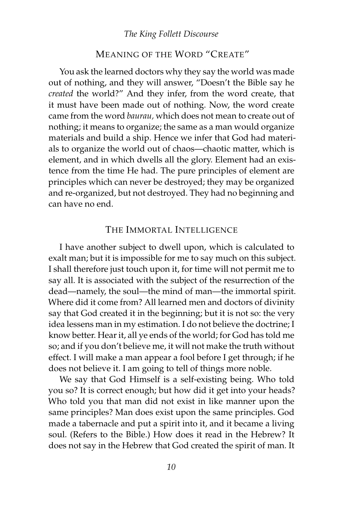## MEANING OF THE WORD "CREATE"

You ask the learned doctors why they say the world was made out of nothing, and they will answer, "Doesn't the Bible say he *created* the world?" And they infer, from the word create, that it must have been made out of nothing. Now, the word create came from the word *baurau,* which does not mean to create out of nothing; it means to organize; the same as a man would organize materials and build a ship. Hence we infer that God had materials to organize the world out of chaos—chaotic matter, which is element, and in which dwells all the glory. Element had an existence from the time He had. The pure principles of element are principles which can never be destroyed; they may be organized and re-organized, but not destroyed. They had no beginning and can have no end.

## THE IMMORTAL INTELLIGENCE

I have another subject to dwell upon, which is calculated to exalt man; but it is impossible for me to say much on this subject. I shall therefore just touch upon it, for time will not permit me to say all. It is associated with the subject of the resurrection of the dead—namely, the soul—the mind of man—the immortal spirit. Where did it come from? All learned men and doctors of divinity say that God created it in the beginning; but it is not so: the very idea lessens man in my estimation. I do not believe the doctrine; I know better. Hear it, all ye ends of the world; for God has told me so; and if you don't believe me, it will not make the truth without effect. I will make a man appear a fool before I get through; if he does not believe it. I am going to tell of things more noble.

We say that God Himself is a self-existing being. Who told you so? It is correct enough; but how did it get into your heads? Who told you that man did not exist in like manner upon the same principles? Man does exist upon the same principles. God made a tabernacle and put a spirit into it, and it became a living soul. (Refers to the Bible.) How does it read in the Hebrew? It does not say in the Hebrew that God created the spirit of man. It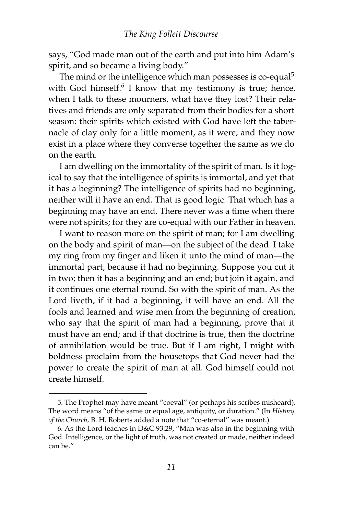says, "God made man out of the earth and put into him Adam's spirit, and so became a living body."

The mind or the intelligence which man possesses is co-equal<sup>5</sup> with God himself.<sup>6</sup> I know that my testimony is true; hence, when I talk to these mourners, what have they lost? Their relatives and friends are only separated from their bodies for a short season: their spirits which existed with God have left the tabernacle of clay only for a little moment, as it were; and they now exist in a place where they converse together the same as we do on the earth.

I am dwelling on the immortality of the spirit of man. Is it logical to say that the intelligence of spirits is immortal, and yet that it has a beginning? The intelligence of spirits had no beginning, neither will it have an end. That is good logic. That which has a beginning may have an end. There never was a time when there were not spirits; for they are co-equal with our Father in heaven.

I want to reason more on the spirit of man; for I am dwelling on the body and spirit of man—on the subject of the dead. I take my ring from my finger and liken it unto the mind of man—the immortal part, because it had no beginning. Suppose you cut it in two; then it has a beginning and an end; but join it again, and it continues one eternal round. So with the spirit of man. As the Lord liveth, if it had a beginning, it will have an end. All the fools and learned and wise men from the beginning of creation, who say that the spirit of man had a beginning, prove that it must have an end; and if that doctrine is true, then the doctrine of annihilation would be true. But if I am right, I might with boldness proclaim from the housetops that God never had the power to create the spirit of man at all. God himself could not create himself.

<sup>5.</sup> The Prophet may have meant "coeval" (or perhaps his scribes misheard). The word means "of the same or equal age, antiquity, or duration." (In *History of the Church,* B. H. Roberts added a note that "co-eternal" was meant.)

<sup>6.</sup> As the Lord teaches in D&C 93:29, "Man was also in the beginning with God. Intelligence, or the light of truth, was not created or made, neither indeed can be."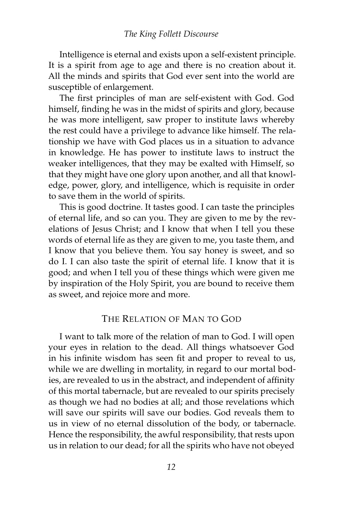Intelligence is eternal and exists upon a self-existent principle. It is a spirit from age to age and there is no creation about it. All the minds and spirits that God ever sent into the world are susceptible of enlargement.

The first principles of man are self-existent with God. God himself, finding he was in the midst of spirits and glory, because he was more intelligent, saw proper to institute laws whereby the rest could have a privilege to advance like himself. The relationship we have with God places us in a situation to advance in knowledge. He has power to institute laws to instruct the weaker intelligences, that they may be exalted with Himself, so that they might have one glory upon another, and all that knowledge, power, glory, and intelligence, which is requisite in order to save them in the world of spirits.

This is good doctrine. It tastes good. I can taste the principles of eternal life, and so can you. They are given to me by the revelations of Jesus Christ; and I know that when I tell you these words of eternal life as they are given to me, you taste them, and I know that you believe them. You say honey is sweet, and so do I. I can also taste the spirit of eternal life. I know that it is good; and when I tell you of these things which were given me by inspiration of the Holy Spirit, you are bound to receive them as sweet, and rejoice more and more.

## THE RELATION OF MAN TO GOD

I want to talk more of the relation of man to God. I will open your eyes in relation to the dead. All things whatsoever God in his infinite wisdom has seen fit and proper to reveal to us, while we are dwelling in mortality, in regard to our mortal bodies, are revealed to us in the abstract, and independent of affinity of this mortal tabernacle, but are revealed to our spirits precisely as though we had no bodies at all; and those revelations which will save our spirits will save our bodies. God reveals them to us in view of no eternal dissolution of the body, or tabernacle. Hence the responsibility, the awful responsibility, that rests upon us in relation to our dead; for all the spirits who have not obeyed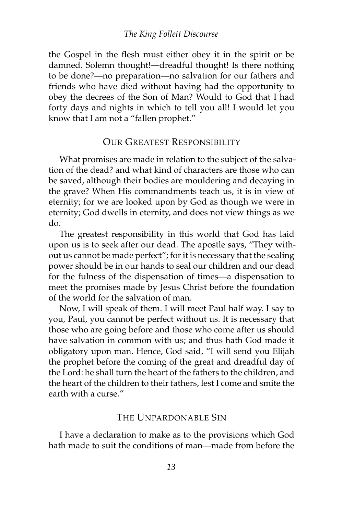the Gospel in the flesh must either obey it in the spirit or be damned. Solemn thought!—dreadful thought! Is there nothing to be done?—no preparation—no salvation for our fathers and friends who have died without having had the opportunity to obey the decrees of the Son of Man? Would to God that I had forty days and nights in which to tell you all! I would let you know that I am not a "fallen prophet."

## OUR GREATEST RESPONSIBILITY

What promises are made in relation to the subject of the salvation of the dead? and what kind of characters are those who can be saved, although their bodies are mouldering and decaying in the grave? When His commandments teach us, it is in view of eternity; for we are looked upon by God as though we were in eternity; God dwells in eternity, and does not view things as we do.

The greatest responsibility in this world that God has laid upon us is to seek after our dead. The apostle says, "They without us cannot be made perfect"; for it is necessary that the sealing power should be in our hands to seal our children and our dead for the fulness of the dispensation of times—a dispensation to meet the promises made by Jesus Christ before the foundation of the world for the salvation of man.

Now, I will speak of them. I will meet Paul half way. I say to you, Paul, you cannot be perfect without us. It is necessary that those who are going before and those who come after us should have salvation in common with us; and thus hath God made it obligatory upon man. Hence, God said, "I will send you Elijah the prophet before the coming of the great and dreadful day of the Lord: he shall turn the heart of the fathers to the children, and the heart of the children to their fathers, lest I come and smite the earth with a curse."

## THE UNPARDONABLE SIN

I have a declaration to make as to the provisions which God hath made to suit the conditions of man—made from before the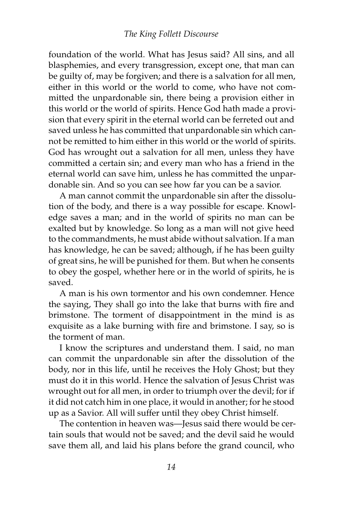foundation of the world. What has Jesus said? All sins, and all blasphemies, and every transgression, except one, that man can be guilty of, may be forgiven; and there is a salvation for all men, either in this world or the world to come, who have not committed the unpardonable sin, there being a provision either in this world or the world of spirits. Hence God hath made a provision that every spirit in the eternal world can be ferreted out and saved unless he has committed that unpardonable sin which cannot be remitted to him either in this world or the world of spirits. God has wrought out a salvation for all men, unless they have committed a certain sin; and every man who has a friend in the eternal world can save him, unless he has committed the unpardonable sin. And so you can see how far you can be a savior.

A man cannot commit the unpardonable sin after the dissolution of the body, and there is a way possible for escape. Knowledge saves a man; and in the world of spirits no man can be exalted but by knowledge. So long as a man will not give heed to the commandments, he must abide without salvation. If a man has knowledge, he can be saved; although, if he has been guilty of great sins, he will be punished for them. But when he consents to obey the gospel, whether here or in the world of spirits, he is saved.

A man is his own tormentor and his own condemner. Hence the saying, They shall go into the lake that burns with fire and brimstone. The torment of disappointment in the mind is as exquisite as a lake burning with fire and brimstone. I say, so is the torment of man.

I know the scriptures and understand them. I said, no man can commit the unpardonable sin after the dissolution of the body, nor in this life, until he receives the Holy Ghost; but they must do it in this world. Hence the salvation of Jesus Christ was wrought out for all men, in order to triumph over the devil; for if it did not catch him in one place, it would in another; for he stood up as a Savior. All will suffer until they obey Christ himself.

The contention in heaven was—Jesus said there would be certain souls that would not be saved; and the devil said he would save them all, and laid his plans before the grand council, who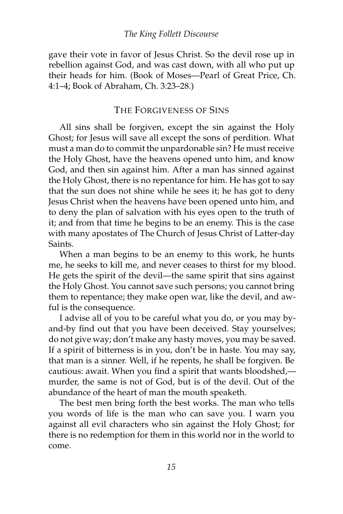gave their vote in favor of Jesus Christ. So the devil rose up in rebellion against God, and was cast down, with all who put up their heads for him. (Book of Moses—Pearl of Great Price, Ch. 4:1–4; Book of Abraham, Ch. 3:23–28.)

## THE FORGIVENESS OF SINS

All sins shall be forgiven, except the sin against the Holy Ghost; for Jesus will save all except the sons of perdition. What must a man do to commit the unpardonable sin? He must receive the Holy Ghost, have the heavens opened unto him, and know God, and then sin against him. After a man has sinned against the Holy Ghost, there is no repentance for him. He has got to say that the sun does not shine while he sees it; he has got to deny Jesus Christ when the heavens have been opened unto him, and to deny the plan of salvation with his eyes open to the truth of it; and from that time he begins to be an enemy. This is the case with many apostates of The Church of Jesus Christ of Latter-day Saints.

When a man begins to be an enemy to this work, he hunts me, he seeks to kill me, and never ceases to thirst for my blood. He gets the spirit of the devil—the same spirit that sins against the Holy Ghost. You cannot save such persons; you cannot bring them to repentance; they make open war, like the devil, and awful is the consequence.

I advise all of you to be careful what you do, or you may byand-by find out that you have been deceived. Stay yourselves; do not give way; don't make any hasty moves, you may be saved. If a spirit of bitterness is in you, don't be in haste. You may say, that man is a sinner. Well, if he repents, he shall be forgiven. Be cautious: await. When you find a spirit that wants bloodshed, murder, the same is not of God, but is of the devil. Out of the abundance of the heart of man the mouth speaketh.

The best men bring forth the best works. The man who tells you words of life is the man who can save you. I warn you against all evil characters who sin against the Holy Ghost; for there is no redemption for them in this world nor in the world to come.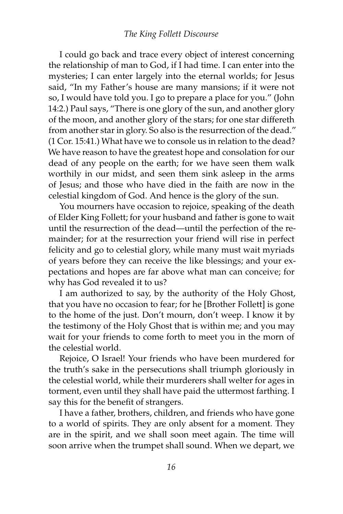I could go back and trace every object of interest concerning the relationship of man to God, if I had time. I can enter into the mysteries; I can enter largely into the eternal worlds; for Jesus said, "In my Father's house are many mansions; if it were not so, I would have told you. I go to prepare a place for you." (John 14:2.) Paul says, "There is one glory of the sun, and another glory of the moon, and another glory of the stars; for one star differeth from another star in glory. So also is the resurrection of the dead." (1 Cor. 15:41.) What have we to console us in relation to the dead? We have reason to have the greatest hope and consolation for our dead of any people on the earth; for we have seen them walk worthily in our midst, and seen them sink asleep in the arms of Jesus; and those who have died in the faith are now in the celestial kingdom of God. And hence is the glory of the sun.

You mourners have occasion to rejoice, speaking of the death of Elder King Follett; for your husband and father is gone to wait until the resurrection of the dead—until the perfection of the remainder; for at the resurrection your friend will rise in perfect felicity and go to celestial glory, while many must wait myriads of years before they can receive the like blessings; and your expectations and hopes are far above what man can conceive; for why has God revealed it to us?

I am authorized to say, by the authority of the Holy Ghost, that you have no occasion to fear; for he [Brother Follett] is gone to the home of the just. Don't mourn, don't weep. I know it by the testimony of the Holy Ghost that is within me; and you may wait for your friends to come forth to meet you in the morn of the celestial world.

Rejoice, O Israel! Your friends who have been murdered for the truth's sake in the persecutions shall triumph gloriously in the celestial world, while their murderers shall welter for ages in torment, even until they shall have paid the uttermost farthing. I say this for the benefit of strangers.

I have a father, brothers, children, and friends who have gone to a world of spirits. They are only absent for a moment. They are in the spirit, and we shall soon meet again. The time will soon arrive when the trumpet shall sound. When we depart, we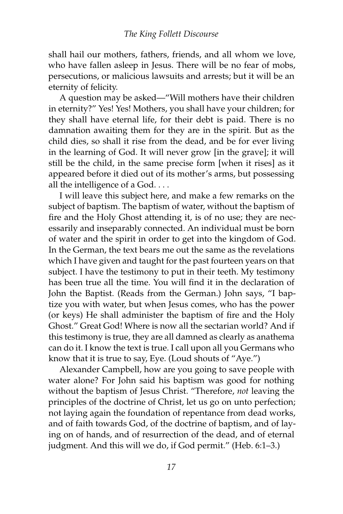shall hail our mothers, fathers, friends, and all whom we love, who have fallen asleep in Jesus. There will be no fear of mobs, persecutions, or malicious lawsuits and arrests; but it will be an eternity of felicity.

A question may be asked—"Will mothers have their children in eternity?" Yes! Yes! Mothers, you shall have your children; for they shall have eternal life, for their debt is paid. There is no damnation awaiting them for they are in the spirit. But as the child dies, so shall it rise from the dead, and be for ever living in the learning of God. It will never grow [in the grave]; it will still be the child, in the same precise form [when it rises] as it appeared before it died out of its mother's arms, but possessing all the intelligence of a God. . . .

I will leave this subject here, and make a few remarks on the subject of baptism. The baptism of water, without the baptism of fire and the Holy Ghost attending it, is of no use; they are necessarily and inseparably connected. An individual must be born of water and the spirit in order to get into the kingdom of God. In the German, the text bears me out the same as the revelations which I have given and taught for the past fourteen years on that subject. I have the testimony to put in their teeth. My testimony has been true all the time. You will find it in the declaration of John the Baptist. (Reads from the German.) John says, "I baptize you with water, but when Jesus comes, who has the power (or keys) He shall administer the baptism of fire and the Holy Ghost." Great God! Where is now all the sectarian world? And if this testimony is true, they are all damned as clearly as anathema can do it. I know the text is true. I call upon all you Germans who know that it is true to say, Eye. (Loud shouts of "Aye.")

Alexander Campbell, how are you going to save people with water alone? For John said his baptism was good for nothing without the baptism of Jesus Christ. "Therefore, *not* leaving the principles of the doctrine of Christ, let us go on unto perfection; not laying again the foundation of repentance from dead works, and of faith towards God, of the doctrine of baptism, and of laying on of hands, and of resurrection of the dead, and of eternal judgment. And this will we do, if God permit." (Heb. 6:1–3.)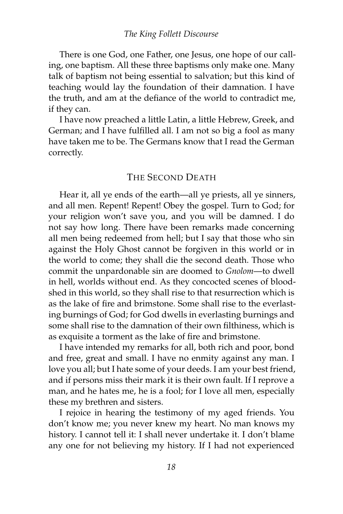There is one God, one Father, one Jesus, one hope of our calling, one baptism. All these three baptisms only make one. Many talk of baptism not being essential to salvation; but this kind of teaching would lay the foundation of their damnation. I have the truth, and am at the defiance of the world to contradict me, if they can.

I have now preached a little Latin, a little Hebrew, Greek, and German; and I have fulfilled all. I am not so big a fool as many have taken me to be. The Germans know that I read the German correctly.

## THE SECOND DEATH

Hear it, all ye ends of the earth—all ye priests, all ye sinners, and all men. Repent! Repent! Obey the gospel. Turn to God; for your religion won't save you, and you will be damned. I do not say how long. There have been remarks made concerning all men being redeemed from hell; but I say that those who sin against the Holy Ghost cannot be forgiven in this world or in the world to come; they shall die the second death. Those who commit the unpardonable sin are doomed to *Gnolom*—to dwell in hell, worlds without end. As they concocted scenes of bloodshed in this world, so they shall rise to that resurrection which is as the lake of fire and brimstone. Some shall rise to the everlasting burnings of God; for God dwells in everlasting burnings and some shall rise to the damnation of their own filthiness, which is as exquisite a torment as the lake of fire and brimstone.

I have intended my remarks for all, both rich and poor, bond and free, great and small. I have no enmity against any man. I love you all; but I hate some of your deeds. I am your best friend, and if persons miss their mark it is their own fault. If I reprove a man, and he hates me, he is a fool; for I love all men, especially these my brethren and sisters.

I rejoice in hearing the testimony of my aged friends. You don't know me; you never knew my heart. No man knows my history. I cannot tell it: I shall never undertake it. I don't blame any one for not believing my history. If I had not experienced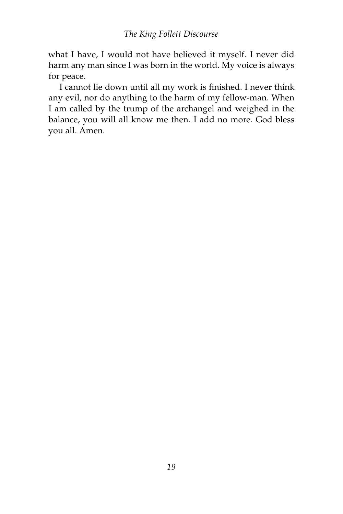what I have, I would not have believed it myself. I never did harm any man since I was born in the world. My voice is always for peace.

I cannot lie down until all my work is finished. I never think any evil, nor do anything to the harm of my fellow-man. When I am called by the trump of the archangel and weighed in the balance, you will all know me then. I add no more. God bless you all. Amen.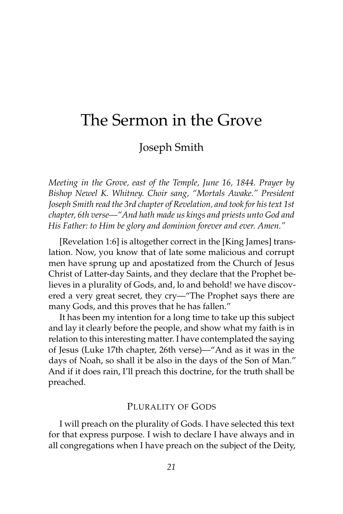## The Sermon in the Grove

## Joseph Smith

*Meeting in the Grove, east of the Temple, June 16, 1844. Prayer by Bishop Newel K. Whitney. Choir sang, "Mortals Awake." President Joseph Smith read the 3rd chapter of Revelation, and took for his text 1st chapter, 6th verse—"And hath made us kings and priests unto God and His Father: to Him be glory and dominion forever and ever. Amen."*

[Revelation 1:6] is altogether correct in the [King James] translation. Now, you know that of late some malicious and corrupt men have sprung up and apostatized from the Church of Jesus Christ of Latter-day Saints, and they declare that the Prophet believes in a plurality of Gods, and, lo and behold! we have discovered a very great secret, they cry—"The Prophet says there are many Gods, and this proves that he has fallen."

It has been my intention for a long time to take up this subject and lay it clearly before the people, and show what my faith is in relation to this interesting matter. I have contemplated the saying of Jesus (Luke 17th chapter, 26th verse)—"And as it was in the days of Noah, so shall it be also in the days of the Son of Man." And if it does rain, I'll preach this doctrine, for the truth shall be preached.

## PLURALITY OF GODS

I will preach on the plurality of Gods. I have selected this text for that express purpose. I wish to declare I have always and in all congregations when I have preach on the subject of the Deity,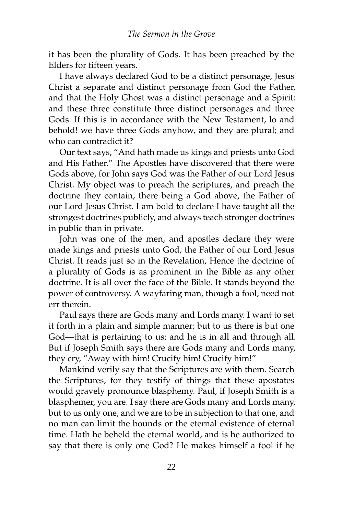it has been the plurality of Gods. It has been preached by the Elders for fifteen years.

I have always declared God to be a distinct personage, Jesus Christ a separate and distinct personage from God the Father, and that the Holy Ghost was a distinct personage and a Spirit: and these three constitute three distinct personages and three Gods. If this is in accordance with the New Testament, lo and behold! we have three Gods anyhow, and they are plural; and who can contradict it?

Our text says, "And hath made us kings and priests unto God and His Father." The Apostles have discovered that there were Gods above, for John says God was the Father of our Lord Jesus Christ. My object was to preach the scriptures, and preach the doctrine they contain, there being a God above, the Father of our Lord Jesus Christ. I am bold to declare I have taught all the strongest doctrines publicly, and always teach stronger doctrines in public than in private.

John was one of the men, and apostles declare they were made kings and priests unto God, the Father of our Lord Jesus Christ. It reads just so in the Revelation, Hence the doctrine of a plurality of Gods is as prominent in the Bible as any other doctrine. It is all over the face of the Bible. It stands beyond the power of controversy. A wayfaring man, though a fool, need not err therein.

Paul says there are Gods many and Lords many. I want to set it forth in a plain and simple manner; but to us there is but one God—that is pertaining to us; and he is in all and through all. But if Joseph Smith says there are Gods many and Lords many, they cry, "Away with him! Crucify him! Crucify him!"

Mankind verily say that the Scriptures are with them. Search the Scriptures, for they testify of things that these apostates would gravely pronounce blasphemy. Paul, if Joseph Smith is a blasphemer, you are. I say there are Gods many and Lords many, but to us only one, and we are to be in subjection to that one, and no man can limit the bounds or the eternal existence of eternal time. Hath he beheld the eternal world, and is he authorized to say that there is only one God? He makes himself a fool if he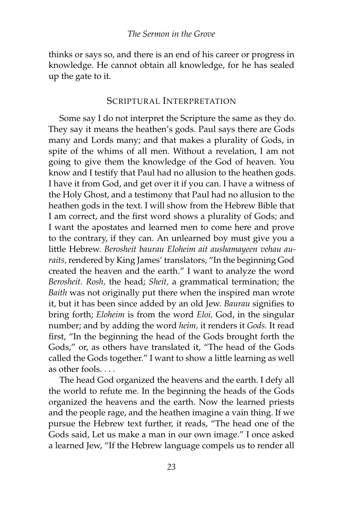thinks or says so, and there is an end of his career or progress in knowledge. He cannot obtain all knowledge, for he has sealed up the gate to it.

## SCRIPTURAL INTERPRETATION

Some say I do not interpret the Scripture the same as they do. They say it means the heathen's gods. Paul says there are Gods many and Lords many; and that makes a plurality of Gods, in spite of the whims of all men. Without a revelation, I am not going to give them the knowledge of the God of heaven. You know and I testify that Paul had no allusion to the heathen gods. I have it from God, and get over it if you can. I have a witness of the Holy Ghost, and a testimony that Paul had no allusion to the heathen gods in the text. I will show from the Hebrew Bible that I am correct, and the first word shows a plurality of Gods; and I want the apostates and learned men to come here and prove to the contrary, if they can. An unlearned boy must give you a little Hebrew. *Berosheit baurau Eloheim ait aushamayeen vehau auraits,* rendered by King James' translators, "In the beginning God created the heaven and the earth." I want to analyze the word *Berosheit. Rosh,* the head; *Sheit,* a grammatical termination; the *Baith* was not originally put there when the inspired man wrote it, but it has been since added by an old Jew. *Baurau* signifies to bring forth; *Eloheim* is from the word *Eloi,* God, in the singular number; and by adding the word *heim,* it renders it *Gods.* It read first, "In the beginning the head of the Gods brought forth the Gods," or, as others have translated it, "The head of the Gods called the Gods together." I want to show a little learning as well as other fools.

The head God organized the heavens and the earth. I defy all the world to refute me. In the beginning the heads of the Gods organized the heavens and the earth. Now the learned priests and the people rage, and the heathen imagine a vain thing. If we pursue the Hebrew text further, it reads, "The head one of the Gods said, Let us make a man in our own image." I once asked a learned Jew, "If the Hebrew language compels us to render all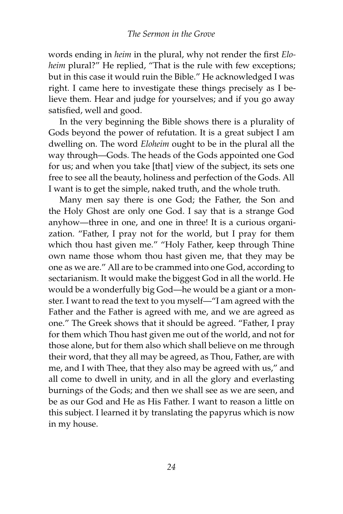## *The Sermon in the Grove*

words ending in *heim* in the plural, why not render the first *Eloheim* plural?" He replied, "That is the rule with few exceptions; but in this case it would ruin the Bible." He acknowledged I was right. I came here to investigate these things precisely as I believe them. Hear and judge for yourselves; and if you go away satisfied, well and good.

In the very beginning the Bible shows there is a plurality of Gods beyond the power of refutation. It is a great subject I am dwelling on. The word *Eloheim* ought to be in the plural all the way through—Gods. The heads of the Gods appointed one God for us; and when you take [that] view of the subject, its sets one free to see all the beauty, holiness and perfection of the Gods. All I want is to get the simple, naked truth, and the whole truth.

Many men say there is one God; the Father, the Son and the Holy Ghost are only one God. I say that is a strange God anyhow—three in one, and one in three! It is a curious organization. "Father, I pray not for the world, but I pray for them which thou hast given me." "Holy Father, keep through Thine own name those whom thou hast given me, that they may be one as we are." All are to be crammed into one God, according to sectarianism. It would make the biggest God in all the world. He would be a wonderfully big God—he would be a giant or a monster. I want to read the text to you myself—"I am agreed with the Father and the Father is agreed with me, and we are agreed as one." The Greek shows that it should be agreed. "Father, I pray for them which Thou hast given me out of the world, and not for those alone, but for them also which shall believe on me through their word, that they all may be agreed, as Thou, Father, are with me, and I with Thee, that they also may be agreed with us," and all come to dwell in unity, and in all the glory and everlasting burnings of the Gods; and then we shall see as we are seen, and be as our God and He as His Father. I want to reason a little on this subject. I learned it by translating the papyrus which is now in my house.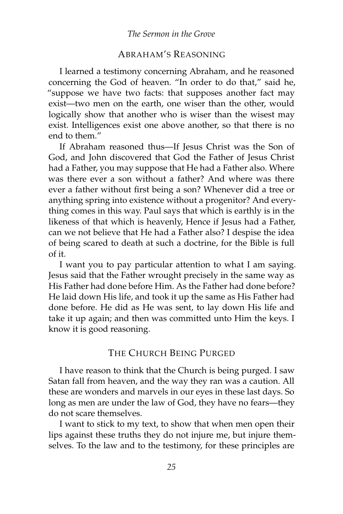## ABRAHAM'S REASONING

I learned a testimony concerning Abraham, and he reasoned concerning the God of heaven. "In order to do that," said he, "suppose we have two facts: that supposes another fact may exist—two men on the earth, one wiser than the other, would logically show that another who is wiser than the wisest may exist. Intelligences exist one above another, so that there is no end to them."

If Abraham reasoned thus—If Jesus Christ was the Son of God, and John discovered that God the Father of Jesus Christ had a Father, you may suppose that He had a Father also. Where was there ever a son without a father? And where was there ever a father without first being a son? Whenever did a tree or anything spring into existence without a progenitor? And everything comes in this way. Paul says that which is earthly is in the likeness of that which is heavenly, Hence if Jesus had a Father, can we not believe that He had a Father also? I despise the idea of being scared to death at such a doctrine, for the Bible is full of it.

I want you to pay particular attention to what I am saying. Jesus said that the Father wrought precisely in the same way as His Father had done before Him. As the Father had done before? He laid down His life, and took it up the same as His Father had done before. He did as He was sent, to lay down His life and take it up again; and then was committed unto Him the keys. I know it is good reasoning.

## THE CHURCH BEING PURGED

I have reason to think that the Church is being purged. I saw Satan fall from heaven, and the way they ran was a caution. All these are wonders and marvels in our eyes in these last days. So long as men are under the law of God, they have no fears—they do not scare themselves.

I want to stick to my text, to show that when men open their lips against these truths they do not injure me, but injure themselves. To the law and to the testimony, for these principles are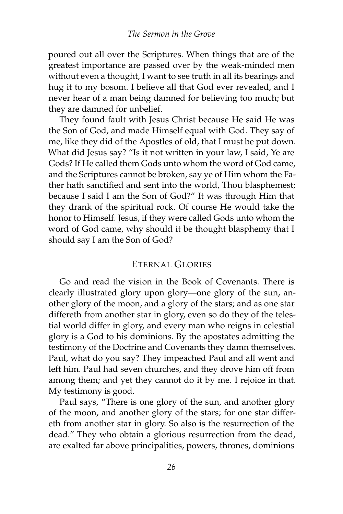poured out all over the Scriptures. When things that are of the greatest importance are passed over by the weak-minded men without even a thought, I want to see truth in all its bearings and hug it to my bosom. I believe all that God ever revealed, and I never hear of a man being damned for believing too much; but they are damned for unbelief.

They found fault with Jesus Christ because He said He was the Son of God, and made Himself equal with God. They say of me, like they did of the Apostles of old, that I must be put down. What did Jesus say? "Is it not written in your law, I said, Ye are Gods? If He called them Gods unto whom the word of God came, and the Scriptures cannot be broken, say ye of Him whom the Father hath sanctified and sent into the world, Thou blasphemest; because I said I am the Son of God?" It was through Him that they drank of the spiritual rock. Of course He would take the honor to Himself. Jesus, if they were called Gods unto whom the word of God came, why should it be thought blasphemy that I should say I am the Son of God?

## ETERNAL GLORIES

Go and read the vision in the Book of Covenants. There is clearly illustrated glory upon glory—one glory of the sun, another glory of the moon, and a glory of the stars; and as one star differeth from another star in glory, even so do they of the telestial world differ in glory, and every man who reigns in celestial glory is a God to his dominions. By the apostates admitting the testimony of the Doctrine and Covenants they damn themselves. Paul, what do you say? They impeached Paul and all went and left him. Paul had seven churches, and they drove him off from among them; and yet they cannot do it by me. I rejoice in that. My testimony is good.

Paul says, "There is one glory of the sun, and another glory of the moon, and another glory of the stars; for one star differeth from another star in glory. So also is the resurrection of the dead." They who obtain a glorious resurrection from the dead, are exalted far above principalities, powers, thrones, dominions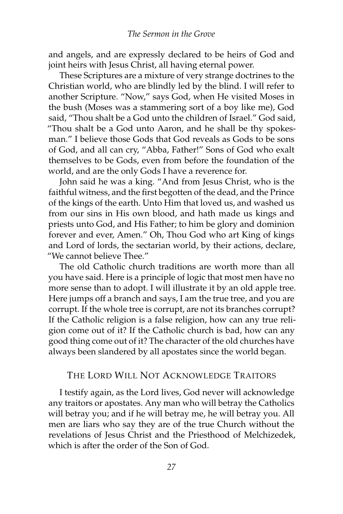and angels, and are expressly declared to be heirs of God and joint heirs with Jesus Christ, all having eternal power.

These Scriptures are a mixture of very strange doctrines to the Christian world, who are blindly led by the blind. I will refer to another Scripture. "Now," says God, when He visited Moses in the bush (Moses was a stammering sort of a boy like me), God said, "Thou shalt be a God unto the children of Israel." God said, "Thou shalt be a God unto Aaron, and he shall be thy spokesman." I believe those Gods that God reveals as Gods to be sons of God, and all can cry, "Abba, Father!" Sons of God who exalt themselves to be Gods, even from before the foundation of the world, and are the only Gods I have a reverence for.

John said he was a king. "And from Jesus Christ, who is the faithful witness, and the first begotten of the dead, and the Prince of the kings of the earth. Unto Him that loved us, and washed us from our sins in His own blood, and hath made us kings and priests unto God, and His Father; to him be glory and dominion forever and ever, Amen." Oh, Thou God who art King of kings and Lord of lords, the sectarian world, by their actions, declare, "We cannot believe Thee."

The old Catholic church traditions are worth more than all you have said. Here is a principle of logic that most men have no more sense than to adopt. I will illustrate it by an old apple tree. Here jumps off a branch and says, I am the true tree, and you are corrupt. If the whole tree is corrupt, are not its branches corrupt? If the Catholic religion is a false religion, how can any true religion come out of it? If the Catholic church is bad, how can any good thing come out of it? The character of the old churches have always been slandered by all apostates since the world began.

## THE LORD WILL NOT ACKNOWLEDGE TRAITORS

I testify again, as the Lord lives, God never will acknowledge any traitors or apostates. Any man who will betray the Catholics will betray you; and if he will betray me, he will betray you. All men are liars who say they are of the true Church without the revelations of Jesus Christ and the Priesthood of Melchizedek, which is after the order of the Son of God.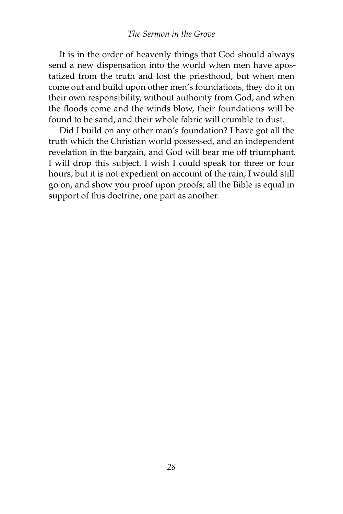### *The Sermon in the Grove*

It is in the order of heavenly things that God should always send a new dispensation into the world when men have apostatized from the truth and lost the priesthood, but when men come out and build upon other men's foundations, they do it on their own responsibility, without authority from God; and when the floods come and the winds blow, their foundations will be found to be sand, and their whole fabric will crumble to dust.

Did I build on any other man's foundation? I have got all the truth which the Christian world possessed, and an independent revelation in the bargain, and God will bear me off triumphant. I will drop this subject. I wish I could speak for three or four hours; but it is not expedient on account of the rain; I would still go on, and show you proof upon proofs; all the Bible is equal in support of this doctrine, one part as another.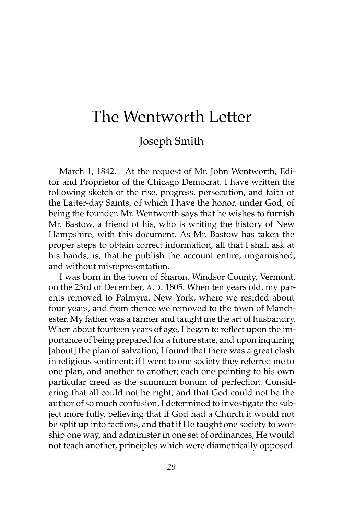## Joseph Smith

March 1, 1842.—At the request of Mr. John Wentworth, Editor and Proprietor of the Chicago Democrat. I have written the following sketch of the rise, progress, persecution, and faith of the Latter-day Saints, of which I have the honor, under God, of being the founder. Mr. Wentworth says that he wishes to furnish Mr. Bastow, a friend of his, who is writing the history of New Hampshire, with this document. As Mr. Bastow has taken the proper steps to obtain correct information, all that I shall ask at his hands, is, that he publish the account entire, ungarnished, and without misrepresentation.

I was born in the town of Sharon, Windsor County, Vermont, on the 23rd of December, A.D. 1805. When ten years old, my parents removed to Palmyra, New York, where we resided about four years, and from thence we removed to the town of Manchester. My father was a farmer and taught me the art of husbandry. When about fourteen years of age, I began to reflect upon the importance of being prepared for a future state, and upon inquiring [about] the plan of salvation, I found that there was a great clash in religious sentiment; if I went to one society they referred me to one plan, and another to another; each one pointing to his own particular creed as the summum bonum of perfection. Considering that all could not be right, and that God could not be the author of so much confusion, I determined to investigate the subject more fully, believing that if God had a Church it would not be split up into factions, and that if He taught one society to worship one way, and administer in one set of ordinances, He would not teach another, principles which were diametrically opposed.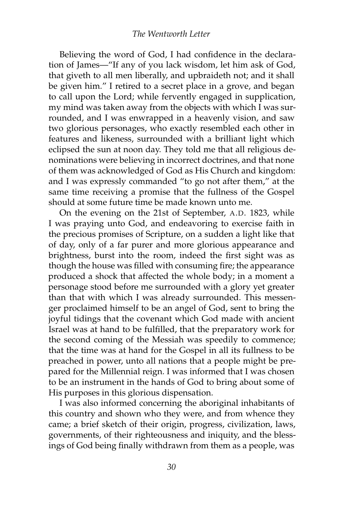Believing the word of God, I had confidence in the declaration of James—"If any of you lack wisdom, let him ask of God, that giveth to all men liberally, and upbraideth not; and it shall be given him." I retired to a secret place in a grove, and began to call upon the Lord; while fervently engaged in supplication, my mind was taken away from the objects with which I was surrounded, and I was enwrapped in a heavenly vision, and saw two glorious personages, who exactly resembled each other in features and likeness, surrounded with a brilliant light which eclipsed the sun at noon day. They told me that all religious denominations were believing in incorrect doctrines, and that none of them was acknowledged of God as His Church and kingdom: and I was expressly commanded "to go not after them," at the same time receiving a promise that the fullness of the Gospel should at some future time be made known unto me.

On the evening on the 21st of September, A.D. 1823, while I was praying unto God, and endeavoring to exercise faith in the precious promises of Scripture, on a sudden a light like that of day, only of a far purer and more glorious appearance and brightness, burst into the room, indeed the first sight was as though the house was filled with consuming fire; the appearance produced a shock that affected the whole body; in a moment a personage stood before me surrounded with a glory yet greater than that with which I was already surrounded. This messenger proclaimed himself to be an angel of God, sent to bring the joyful tidings that the covenant which God made with ancient Israel was at hand to be fulfilled, that the preparatory work for the second coming of the Messiah was speedily to commence; that the time was at hand for the Gospel in all its fullness to be preached in power, unto all nations that a people might be prepared for the Millennial reign. I was informed that I was chosen to be an instrument in the hands of God to bring about some of His purposes in this glorious dispensation.

I was also informed concerning the aboriginal inhabitants of this country and shown who they were, and from whence they came; a brief sketch of their origin, progress, civilization, laws, governments, of their righteousness and iniquity, and the blessings of God being finally withdrawn from them as a people, was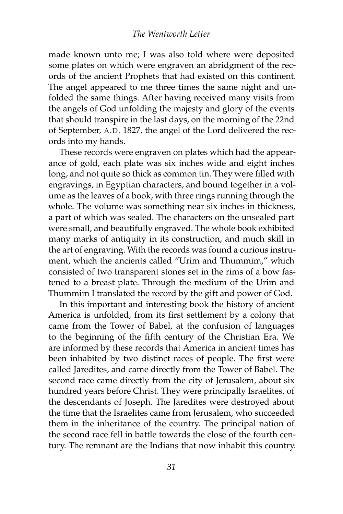made known unto me; I was also told where were deposited some plates on which were engraven an abridgment of the records of the ancient Prophets that had existed on this continent. The angel appeared to me three times the same night and unfolded the same things. After having received many visits from the angels of God unfolding the majesty and glory of the events that should transpire in the last days, on the morning of the 22nd of September, A.D. 1827, the angel of the Lord delivered the records into my hands.

These records were engraven on plates which had the appearance of gold, each plate was six inches wide and eight inches long, and not quite so thick as common tin. They were filled with engravings, in Egyptian characters, and bound together in a volume as the leaves of a book, with three rings running through the whole. The volume was something near six inches in thickness, a part of which was sealed. The characters on the unsealed part were small, and beautifully engraved. The whole book exhibited many marks of antiquity in its construction, and much skill in the art of engraving. With the records was found a curious instrument, which the ancients called "Urim and Thummim," which consisted of two transparent stones set in the rims of a bow fastened to a breast plate. Through the medium of the Urim and Thummim I translated the record by the gift and power of God.

In this important and interesting book the history of ancient America is unfolded, from its first settlement by a colony that came from the Tower of Babel, at the confusion of languages to the beginning of the fifth century of the Christian Era. We are informed by these records that America in ancient times has been inhabited by two distinct races of people. The first were called Jaredites, and came directly from the Tower of Babel. The second race came directly from the city of Jerusalem, about six hundred years before Christ. They were principally Israelites, of the descendants of Joseph. The Jaredites were destroyed about the time that the Israelites came from Jerusalem, who succeeded them in the inheritance of the country. The principal nation of the second race fell in battle towards the close of the fourth century. The remnant are the Indians that now inhabit this country.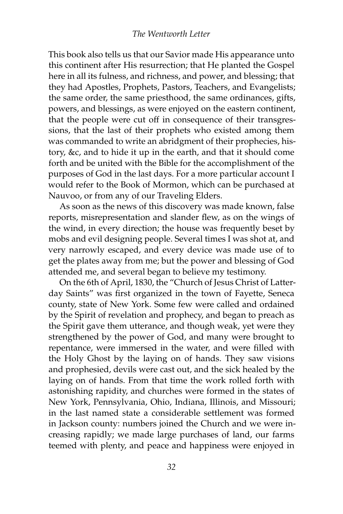This book also tells us that our Savior made His appearance unto this continent after His resurrection; that He planted the Gospel here in all its fulness, and richness, and power, and blessing; that they had Apostles, Prophets, Pastors, Teachers, and Evangelists; the same order, the same priesthood, the same ordinances, gifts, powers, and blessings, as were enjoyed on the eastern continent, that the people were cut off in consequence of their transgressions, that the last of their prophets who existed among them was commanded to write an abridgment of their prophecies, history, &c, and to hide it up in the earth, and that it should come forth and be united with the Bible for the accomplishment of the purposes of God in the last days. For a more particular account I would refer to the Book of Mormon, which can be purchased at Nauvoo, or from any of our Traveling Elders.

As soon as the news of this discovery was made known, false reports, misrepresentation and slander flew, as on the wings of the wind, in every direction; the house was frequently beset by mobs and evil designing people. Several times I was shot at, and very narrowly escaped, and every device was made use of to get the plates away from me; but the power and blessing of God attended me, and several began to believe my testimony.

On the 6th of April, 1830, the "Church of Jesus Christ of Latterday Saints" was first organized in the town of Fayette, Seneca county, state of New York. Some few were called and ordained by the Spirit of revelation and prophecy, and began to preach as the Spirit gave them utterance, and though weak, yet were they strengthened by the power of God, and many were brought to repentance, were immersed in the water, and were filled with the Holy Ghost by the laying on of hands. They saw visions and prophesied, devils were cast out, and the sick healed by the laying on of hands. From that time the work rolled forth with astonishing rapidity, and churches were formed in the states of New York, Pennsylvania, Ohio, Indiana, Illinois, and Missouri; in the last named state a considerable settlement was formed in Jackson county: numbers joined the Church and we were increasing rapidly; we made large purchases of land, our farms teemed with plenty, and peace and happiness were enjoyed in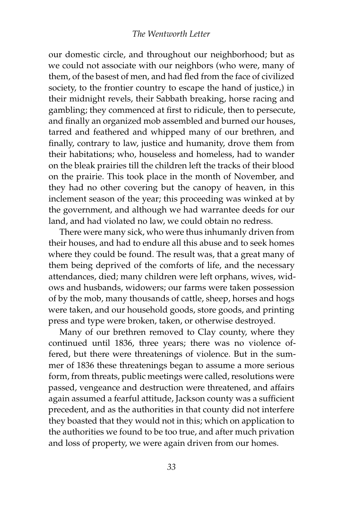our domestic circle, and throughout our neighborhood; but as we could not associate with our neighbors (who were, many of them, of the basest of men, and had fled from the face of civilized society, to the frontier country to escape the hand of justice,) in their midnight revels, their Sabbath breaking, horse racing and gambling; they commenced at first to ridicule, then to persecute, and finally an organized mob assembled and burned our houses, tarred and feathered and whipped many of our brethren, and finally, contrary to law, justice and humanity, drove them from their habitations; who, houseless and homeless, had to wander on the bleak prairies till the children left the tracks of their blood on the prairie. This took place in the month of November, and they had no other covering but the canopy of heaven, in this inclement season of the year; this proceeding was winked at by the government, and although we had warrantee deeds for our land, and had violated no law, we could obtain no redress.

There were many sick, who were thus inhumanly driven from their houses, and had to endure all this abuse and to seek homes where they could be found. The result was, that a great many of them being deprived of the comforts of life, and the necessary attendances, died; many children were left orphans, wives, widows and husbands, widowers; our farms were taken possession of by the mob, many thousands of cattle, sheep, horses and hogs were taken, and our household goods, store goods, and printing press and type were broken, taken, or otherwise destroyed.

Many of our brethren removed to Clay county, where they continued until 1836, three years; there was no violence offered, but there were threatenings of violence. But in the summer of 1836 these threatenings began to assume a more serious form, from threats, public meetings were called, resolutions were passed, vengeance and destruction were threatened, and affairs again assumed a fearful attitude, Jackson county was a sufficient precedent, and as the authorities in that county did not interfere they boasted that they would not in this; which on application to the authorities we found to be too true, and after much privation and loss of property, we were again driven from our homes.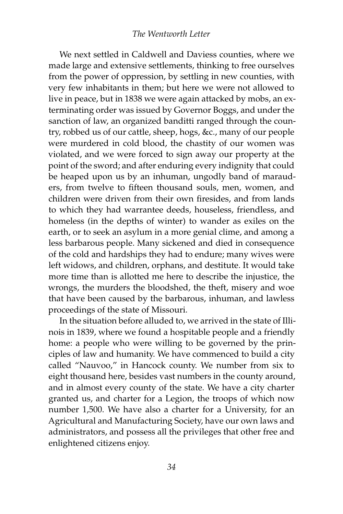We next settled in Caldwell and Daviess counties, where we made large and extensive settlements, thinking to free ourselves from the power of oppression, by settling in new counties, with very few inhabitants in them; but here we were not allowed to live in peace, but in 1838 we were again attacked by mobs, an exterminating order was issued by Governor Boggs, and under the sanction of law, an organized banditti ranged through the country, robbed us of our cattle, sheep, hogs, &c., many of our people were murdered in cold blood, the chastity of our women was violated, and we were forced to sign away our property at the point of the sword; and after enduring every indignity that could be heaped upon us by an inhuman, ungodly band of marauders, from twelve to fifteen thousand souls, men, women, and children were driven from their own firesides, and from lands to which they had warrantee deeds, houseless, friendless, and homeless (in the depths of winter) to wander as exiles on the earth, or to seek an asylum in a more genial clime, and among a less barbarous people. Many sickened and died in consequence of the cold and hardships they had to endure; many wives were left widows, and children, orphans, and destitute. It would take more time than is allotted me here to describe the injustice, the wrongs, the murders the bloodshed, the theft, misery and woe that have been caused by the barbarous, inhuman, and lawless proceedings of the state of Missouri.

In the situation before alluded to, we arrived in the state of Illinois in 1839, where we found a hospitable people and a friendly home: a people who were willing to be governed by the principles of law and humanity. We have commenced to build a city called "Nauvoo," in Hancock county. We number from six to eight thousand here, besides vast numbers in the county around, and in almost every county of the state. We have a city charter granted us, and charter for a Legion, the troops of which now number 1,500. We have also a charter for a University, for an Agricultural and Manufacturing Society, have our own laws and administrators, and possess all the privileges that other free and enlightened citizens enjoy.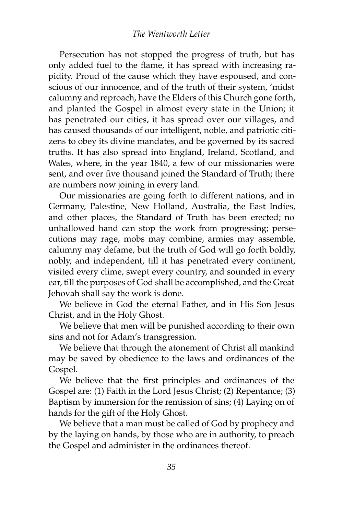Persecution has not stopped the progress of truth, but has only added fuel to the flame, it has spread with increasing rapidity. Proud of the cause which they have espoused, and conscious of our innocence, and of the truth of their system, 'midst calumny and reproach, have the Elders of this Church gone forth, and planted the Gospel in almost every state in the Union; it has penetrated our cities, it has spread over our villages, and has caused thousands of our intelligent, noble, and patriotic citizens to obey its divine mandates, and be governed by its sacred truths. It has also spread into England, Ireland, Scotland, and Wales, where, in the year 1840, a few of our missionaries were sent, and over five thousand joined the Standard of Truth; there are numbers now joining in every land.

Our missionaries are going forth to different nations, and in Germany, Palestine, New Holland, Australia, the East Indies, and other places, the Standard of Truth has been erected; no unhallowed hand can stop the work from progressing; persecutions may rage, mobs may combine, armies may assemble, calumny may defame, but the truth of God will go forth boldly, nobly, and independent, till it has penetrated every continent, visited every clime, swept every country, and sounded in every ear, till the purposes of God shall be accomplished, and the Great Jehovah shall say the work is done.

We believe in God the eternal Father, and in His Son Jesus Christ, and in the Holy Ghost.

We believe that men will be punished according to their own sins and not for Adam's transgression.

We believe that through the atonement of Christ all mankind may be saved by obedience to the laws and ordinances of the Gospel.

We believe that the first principles and ordinances of the Gospel are: (1) Faith in the Lord Jesus Christ; (2) Repentance; (3) Baptism by immersion for the remission of sins; (4) Laying on of hands for the gift of the Holy Ghost.

We believe that a man must be called of God by prophecy and by the laying on hands, by those who are in authority, to preach the Gospel and administer in the ordinances thereof.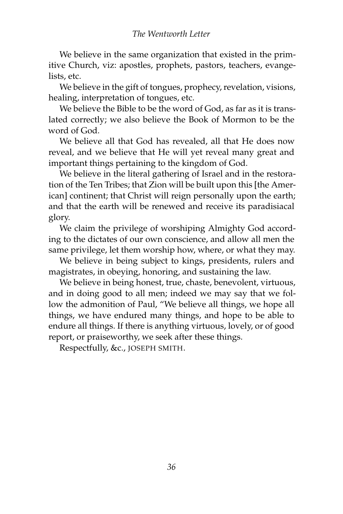We believe in the same organization that existed in the primitive Church, viz: apostles, prophets, pastors, teachers, evangelists, etc.

We believe in the gift of tongues, prophecy, revelation, visions, healing, interpretation of tongues, etc.

We believe the Bible to be the word of God, as far as it is translated correctly; we also believe the Book of Mormon to be the word of God.

We believe all that God has revealed, all that He does now reveal, and we believe that He will yet reveal many great and important things pertaining to the kingdom of God.

We believe in the literal gathering of Israel and in the restoration of the Ten Tribes; that Zion will be built upon this [the American] continent; that Christ will reign personally upon the earth; and that the earth will be renewed and receive its paradisiacal glory.

We claim the privilege of worshiping Almighty God according to the dictates of our own conscience, and allow all men the same privilege, let them worship how, where, or what they may.

We believe in being subject to kings, presidents, rulers and magistrates, in obeying, honoring, and sustaining the law.

We believe in being honest, true, chaste, benevolent, virtuous, and in doing good to all men; indeed we may say that we follow the admonition of Paul, "We believe all things, we hope all things, we have endured many things, and hope to be able to endure all things. If there is anything virtuous, lovely, or of good report, or praiseworthy, we seek after these things.

Respectfully, &c., JOSEPH SMITH.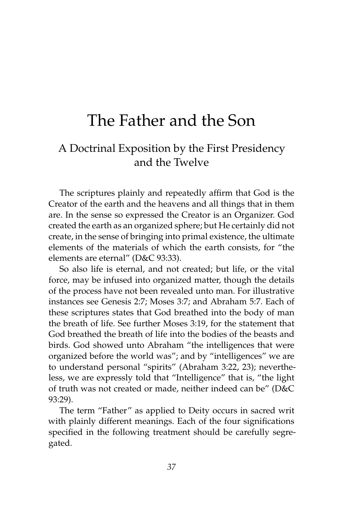# The Father and the Son

## A Doctrinal Exposition by the First Presidency and the Twelve

The scriptures plainly and repeatedly affirm that God is the Creator of the earth and the heavens and all things that in them are. In the sense so expressed the Creator is an Organizer. God created the earth as an organized sphere; but He certainly did not create, in the sense of bringing into primal existence, the ultimate elements of the materials of which the earth consists, for "the elements are eternal" (D&C 93:33).

So also life is eternal, and not created; but life, or the vital force, may be infused into organized matter, though the details of the process have not been revealed unto man. For illustrative instances see Genesis 2:7; Moses 3:7; and Abraham 5:7. Each of these scriptures states that God breathed into the body of man the breath of life. See further Moses 3:19, for the statement that God breathed the breath of life into the bodies of the beasts and birds. God showed unto Abraham "the intelligences that were organized before the world was"; and by "intelligences" we are to understand personal "spirits" (Abraham 3:22, 23); nevertheless, we are expressly told that "Intelligence" that is, "the light of truth was not created or made, neither indeed can be" (D&C 93:29).

The term "Father" as applied to Deity occurs in sacred writ with plainly different meanings. Each of the four significations specified in the following treatment should be carefully segregated.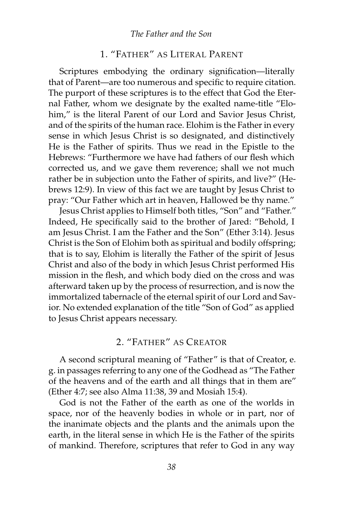## 1. "FATHER" AS LITERAL PARENT

Scriptures embodying the ordinary signification—literally that of Parent—are too numerous and specific to require citation. The purport of these scriptures is to the effect that God the Eternal Father, whom we designate by the exalted name-title "Elohim," is the literal Parent of our Lord and Savior Jesus Christ, and of the spirits of the human race. Elohim is the Father in every sense in which Jesus Christ is so designated, and distinctively He is the Father of spirits. Thus we read in the Epistle to the Hebrews: "Furthermore we have had fathers of our flesh which corrected us, and we gave them reverence; shall we not much rather be in subjection unto the Father of spirits, and live?" (Hebrews 12:9). In view of this fact we are taught by Jesus Christ to pray: "Our Father which art in heaven, Hallowed be thy name."

Jesus Christ applies to Himself both titles, "Son" and "Father." Indeed, He specifically said to the brother of Jared: "Behold, I am Jesus Christ. I am the Father and the Son" (Ether 3:14). Jesus Christ is the Son of Elohim both as spiritual and bodily offspring; that is to say, Elohim is literally the Father of the spirit of Jesus Christ and also of the body in which Jesus Christ performed His mission in the flesh, and which body died on the cross and was afterward taken up by the process of resurrection, and is now the immortalized tabernacle of the eternal spirit of our Lord and Savior. No extended explanation of the title "Son of God" as applied to Jesus Christ appears necessary.

## 2. "FATHER" AS CREATOR

A second scriptural meaning of "Father" is that of Creator, e. g. in passages referring to any one of the Godhead as "The Father of the heavens and of the earth and all things that in them are" (Ether 4:7; see also Alma 11:38, 39 and Mosiah 15:4).

God is not the Father of the earth as one of the worlds in space, nor of the heavenly bodies in whole or in part, nor of the inanimate objects and the plants and the animals upon the earth, in the literal sense in which He is the Father of the spirits of mankind. Therefore, scriptures that refer to God in any way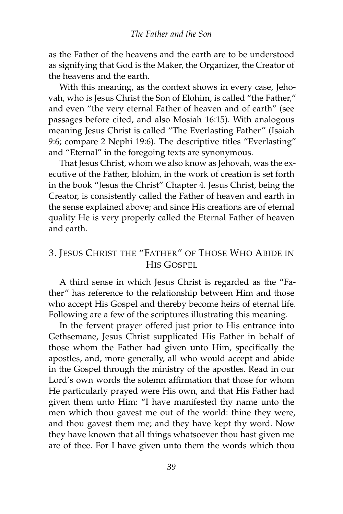as the Father of the heavens and the earth are to be understood as signifying that God is the Maker, the Organizer, the Creator of the heavens and the earth.

With this meaning, as the context shows in every case, Jehovah, who is Jesus Christ the Son of Elohim, is called "the Father," and even "the very eternal Father of heaven and of earth" (see passages before cited, and also Mosiah 16:15). With analogous meaning Jesus Christ is called "The Everlasting Father" (Isaiah 9:6; compare 2 Nephi 19:6). The descriptive titles "Everlasting" and "Eternal" in the foregoing texts are synonymous.

That Jesus Christ, whom we also know as Jehovah, was the executive of the Father, Elohim, in the work of creation is set forth in the book "Jesus the Christ" Chapter 4. Jesus Christ, being the Creator, is consistently called the Father of heaven and earth in the sense explained above; and since His creations are of eternal quality He is very properly called the Eternal Father of heaven and earth.

## 3. JESUS CHRIST THE "FATHER" OF THOSE WHO ABIDE IN HIS GOSPEL

A third sense in which Jesus Christ is regarded as the "Father" has reference to the relationship between Him and those who accept His Gospel and thereby become heirs of eternal life. Following are a few of the scriptures illustrating this meaning.

In the fervent prayer offered just prior to His entrance into Gethsemane, Jesus Christ supplicated His Father in behalf of those whom the Father had given unto Him, specifically the apostles, and, more generally, all who would accept and abide in the Gospel through the ministry of the apostles. Read in our Lord's own words the solemn affirmation that those for whom He particularly prayed were His own, and that His Father had given them unto Him: "I have manifested thy name unto the men which thou gavest me out of the world: thine they were, and thou gavest them me; and they have kept thy word. Now they have known that all things whatsoever thou hast given me are of thee. For I have given unto them the words which thou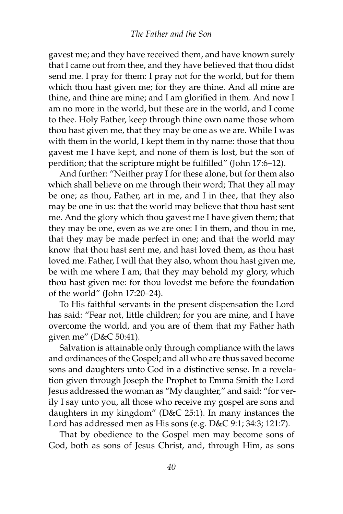gavest me; and they have received them, and have known surely that I came out from thee, and they have believed that thou didst send me. I pray for them: I pray not for the world, but for them which thou hast given me; for they are thine. And all mine are thine, and thine are mine; and I am glorified in them. And now I am no more in the world, but these are in the world, and I come to thee. Holy Father, keep through thine own name those whom thou hast given me, that they may be one as we are. While I was with them in the world, I kept them in thy name: those that thou gavest me I have kept, and none of them is lost, but the son of perdition; that the scripture might be fulfilled" (John 17:6–12).

And further: "Neither pray I for these alone, but for them also which shall believe on me through their word; That they all may be one; as thou, Father, art in me, and I in thee, that they also may be one in us: that the world may believe that thou hast sent me. And the glory which thou gavest me I have given them; that they may be one, even as we are one: I in them, and thou in me, that they may be made perfect in one; and that the world may know that thou hast sent me, and hast loved them, as thou hast loved me. Father, I will that they also, whom thou hast given me, be with me where I am; that they may behold my glory, which thou hast given me: for thou lovedst me before the foundation of the world" (John 17:20–24).

To His faithful servants in the present dispensation the Lord has said: "Fear not, little children; for you are mine, and I have overcome the world, and you are of them that my Father hath given me" (D&C 50:41).

Salvation is attainable only through compliance with the laws and ordinances of the Gospel; and all who are thus saved become sons and daughters unto God in a distinctive sense. In a revelation given through Joseph the Prophet to Emma Smith the Lord Jesus addressed the woman as "My daughter," and said: "for verily I say unto you, all those who receive my gospel are sons and daughters in my kingdom" (D&C 25:1). In many instances the Lord has addressed men as His sons (e.g. D&C 9:1; 34:3; 121:7).

That by obedience to the Gospel men may become sons of God, both as sons of Jesus Christ, and, through Him, as sons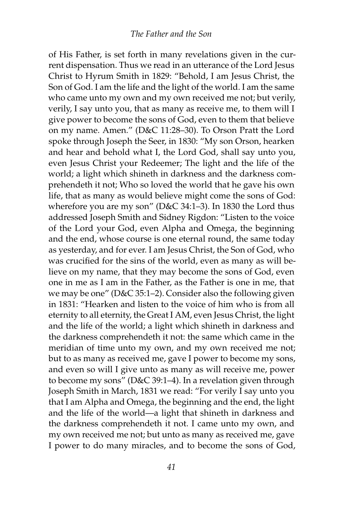of His Father, is set forth in many revelations given in the current dispensation. Thus we read in an utterance of the Lord Jesus Christ to Hyrum Smith in 1829: "Behold, I am Jesus Christ, the Son of God. I am the life and the light of the world. I am the same who came unto my own and my own received me not; but verily, verily, I say unto you, that as many as receive me, to them will I give power to become the sons of God, even to them that believe on my name. Amen." (D&C 11:28–30). To Orson Pratt the Lord spoke through Joseph the Seer, in 1830: "My son Orson, hearken and hear and behold what I, the Lord God, shall say unto you, even Jesus Christ your Redeemer; The light and the life of the world; a light which shineth in darkness and the darkness comprehendeth it not; Who so loved the world that he gave his own life, that as many as would believe might come the sons of God: wherefore you are my son" (D&C 34:1–3). In 1830 the Lord thus addressed Joseph Smith and Sidney Rigdon: "Listen to the voice of the Lord your God, even Alpha and Omega, the beginning and the end, whose course is one eternal round, the same today as yesterday, and for ever. I am Jesus Christ, the Son of God, who was crucified for the sins of the world, even as many as will believe on my name, that they may become the sons of God, even one in me as I am in the Father, as the Father is one in me, that we may be one" (D&C 35:1–2). Consider also the following given in 1831: "Hearken and listen to the voice of him who is from all eternity to all eternity, the Great I AM, even Jesus Christ, the light and the life of the world; a light which shineth in darkness and the darkness comprehendeth it not: the same which came in the meridian of time unto my own, and my own received me not; but to as many as received me, gave I power to become my sons, and even so will I give unto as many as will receive me, power to become my sons" (D&C 39:1–4). In a revelation given through Joseph Smith in March, 1831 we read: "For verily I say unto you that I am Alpha and Omega, the beginning and the end, the light and the life of the world—a light that shineth in darkness and the darkness comprehendeth it not. I came unto my own, and my own received me not; but unto as many as received me, gave I power to do many miracles, and to become the sons of God,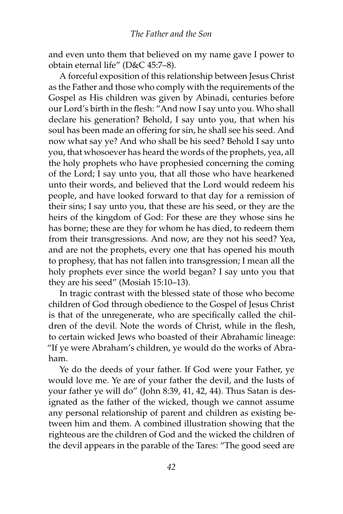and even unto them that believed on my name gave I power to obtain eternal life" (D&C 45:7–8).

A forceful exposition of this relationship between Jesus Christ as the Father and those who comply with the requirements of the Gospel as His children was given by Abinadi, centuries before our Lord's birth in the flesh: "And now I say unto you. Who shall declare his generation? Behold, I say unto you, that when his soul has been made an offering for sin, he shall see his seed. And now what say ye? And who shall be his seed? Behold I say unto you, that whosoever has heard the words of the prophets, yea, all the holy prophets who have prophesied concerning the coming of the Lord; I say unto you, that all those who have hearkened unto their words, and believed that the Lord would redeem his people, and have looked forward to that day for a remission of their sins; I say unto you, that these are his seed, or they are the heirs of the kingdom of God: For these are they whose sins he has borne; these are they for whom he has died, to redeem them from their transgressions. And now, are they not his seed? Yea, and are not the prophets, every one that has opened his mouth to prophesy, that has not fallen into transgression; I mean all the holy prophets ever since the world began? I say unto you that they are his seed" (Mosiah 15:10–13).

In tragic contrast with the blessed state of those who become children of God through obedience to the Gospel of Jesus Christ is that of the unregenerate, who are specifically called the children of the devil. Note the words of Christ, while in the flesh, to certain wicked Jews who boasted of their Abrahamic lineage: "If ye were Abraham's children, ye would do the works of Abraham.

Ye do the deeds of your father. If God were your Father, ye would love me. Ye are of your father the devil, and the lusts of your father ye will do" (John 8:39, 41, 42, 44). Thus Satan is designated as the father of the wicked, though we cannot assume any personal relationship of parent and children as existing between him and them. A combined illustration showing that the righteous are the children of God and the wicked the children of the devil appears in the parable of the Tares: "The good seed are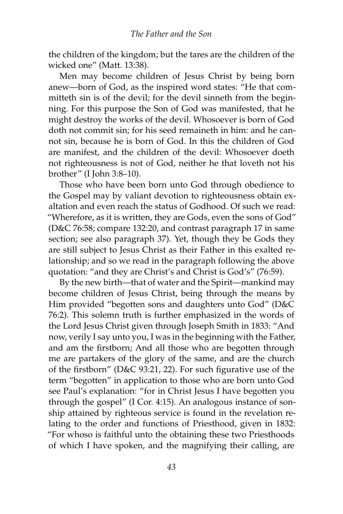the children of the kingdom; but the tares are the children of the wicked one" (Matt. 13:38).

Men may become children of Jesus Christ by being born anew—born of God, as the inspired word states: "He that committeth sin is of the devil; for the devil sinneth from the beginning. For this purpose the Son of God was manifested, that he might destroy the works of the devil. Whosoever is born of God doth not commit sin; for his seed remaineth in him: and he cannot sin, because he is born of God. In this the children of God are manifest, and the children of the devil: Whosoever doeth not righteousness is not of God, neither he that loveth not his brother" (I John 3:8–10).

Those who have been born unto God through obedience to the Gospel may by valiant devotion to righteousness obtain exaltation and even reach the status of Godhood. Of such we read: "Wherefore, as it is written, they are Gods, even the sons of God" (D&C 76:58; compare 132:20, and contrast paragraph 17 in same section; see also paragraph 37). Yet, though they be Gods they are still subject to Jesus Christ as their Father in this exalted relationship; and so we read in the paragraph following the above quotation: "and they are Christ's and Christ is God's" (76:59).

By the new birth—that of water and the Spirit—mankind may become children of Jesus Christ, being through the means by Him provided "begotten sons and daughters unto God" (D&C 76:2). This solemn truth is further emphasized in the words of the Lord Jesus Christ given through Joseph Smith in 1833: "And now, verily I say unto you, I was in the beginning with the Father, and am the firstborn; And all those who are begotten through me are partakers of the glory of the same, and are the church of the firstborn" (D&C 93:21, 22). For such figurative use of the term "begotten" in application to those who are born unto God see Paul's explanation: "for in Christ Jesus I have begotten you through the gospel" (I Cor. 4:15). An analogous instance of sonship attained by righteous service is found in the revelation relating to the order and functions of Priesthood, given in 1832: "For whoso is faithful unto the obtaining these two Priesthoods of which I have spoken, and the magnifying their calling, are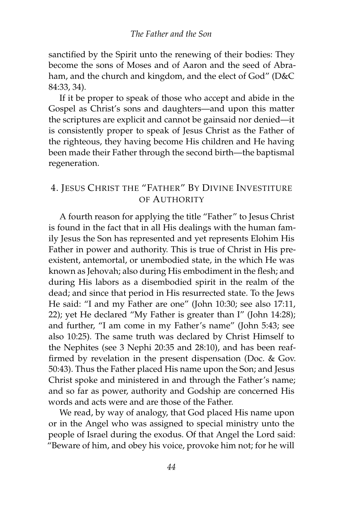sanctified by the Spirit unto the renewing of their bodies: They become the sons of Moses and of Aaron and the seed of Abraham, and the church and kingdom, and the elect of God" (D&C 84:33, 34).

If it be proper to speak of those who accept and abide in the Gospel as Christ's sons and daughters—and upon this matter the scriptures are explicit and cannot be gainsaid nor denied—it is consistently proper to speak of Jesus Christ as the Father of the righteous, they having become His children and He having been made their Father through the second birth—the baptismal regeneration.

## 4. JESUS CHRIST THE "FATHER" BY DIVINE INVESTITURE OF AUTHORITY

A fourth reason for applying the title "Father" to Jesus Christ is found in the fact that in all His dealings with the human family Jesus the Son has represented and yet represents Elohim His Father in power and authority. This is true of Christ in His preexistent, antemortal, or unembodied state, in the which He was known as Jehovah; also during His embodiment in the flesh; and during His labors as a disembodied spirit in the realm of the dead; and since that period in His resurrected state. To the Jews He said: "I and my Father are one" (John 10:30; see also 17:11, 22); yet He declared "My Father is greater than I" (John 14:28); and further, "I am come in my Father's name" (John 5:43; see also 10:25). The same truth was declared by Christ Himself to the Nephites (see 3 Nephi 20:35 and 28:10), and has been reaffirmed by revelation in the present dispensation (Doc. & Gov. 50:43). Thus the Father placed His name upon the Son; and Jesus Christ spoke and ministered in and through the Father's name; and so far as power, authority and Godship are concerned His words and acts were and are those of the Father.

We read, by way of analogy, that God placed His name upon or in the Angel who was assigned to special ministry unto the people of Israel during the exodus. Of that Angel the Lord said: "Beware of him, and obey his voice, provoke him not; for he will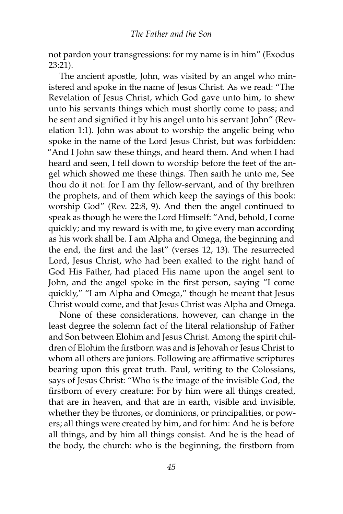not pardon your transgressions: for my name is in him" (Exodus 23:21).

The ancient apostle, John, was visited by an angel who ministered and spoke in the name of Jesus Christ. As we read: "The Revelation of Jesus Christ, which God gave unto him, to shew unto his servants things which must shortly come to pass; and he sent and signified it by his angel unto his servant John" (Revelation 1:1). John was about to worship the angelic being who spoke in the name of the Lord Jesus Christ, but was forbidden: "And I John saw these things, and heard them. And when I had heard and seen, I fell down to worship before the feet of the angel which showed me these things. Then saith he unto me, See thou do it not: for I am thy fellow-servant, and of thy brethren the prophets, and of them which keep the sayings of this book: worship God" (Rev. 22:8, 9). And then the angel continued to speak as though he were the Lord Himself: "And, behold, I come quickly; and my reward is with me, to give every man according as his work shall be. I am Alpha and Omega, the beginning and the end, the first and the last" (verses 12, 13). The resurrected Lord, Jesus Christ, who had been exalted to the right hand of God His Father, had placed His name upon the angel sent to John, and the angel spoke in the first person, saying "I come quickly," "I am Alpha and Omega," though he meant that Jesus Christ would come, and that Jesus Christ was Alpha and Omega.

None of these considerations, however, can change in the least degree the solemn fact of the literal relationship of Father and Son between Elohim and Jesus Christ. Among the spirit children of Elohim the firstborn was and is Jehovah or Jesus Christ to whom all others are juniors. Following are affirmative scriptures bearing upon this great truth. Paul, writing to the Colossians, says of Jesus Christ: "Who is the image of the invisible God, the firstborn of every creature: For by him were all things created, that are in heaven, and that are in earth, visible and invisible, whether they be thrones, or dominions, or principalities, or powers; all things were created by him, and for him: And he is before all things, and by him all things consist. And he is the head of the body, the church: who is the beginning, the firstborn from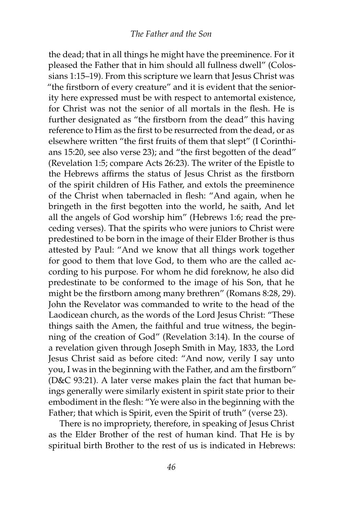the dead; that in all things he might have the preeminence. For it pleased the Father that in him should all fullness dwell" (Colossians 1:15–19). From this scripture we learn that Jesus Christ was "the firstborn of every creature" and it is evident that the seniority here expressed must be with respect to antemortal existence, for Christ was not the senior of all mortals in the flesh. He is further designated as "the firstborn from the dead" this having reference to Him as the first to be resurrected from the dead, or as elsewhere written "the first fruits of them that slept" (I Corinthians 15:20, see also verse 23); and "the first begotten of the dead" (Revelation 1:5; compare Acts 26:23). The writer of the Epistle to the Hebrews affirms the status of Jesus Christ as the firstborn of the spirit children of His Father, and extols the preeminence of the Christ when tabernacled in flesh: "And again, when he bringeth in the first begotten into the world, he saith, And let all the angels of God worship him" (Hebrews 1:6; read the preceding verses). That the spirits who were juniors to Christ were predestined to be born in the image of their Elder Brother is thus attested by Paul: "And we know that all things work together for good to them that love God, to them who are the called according to his purpose. For whom he did foreknow, he also did predestinate to be conformed to the image of his Son, that he might be the firstborn among many brethren" (Romans 8:28, 29). John the Revelator was commanded to write to the head of the Laodicean church, as the words of the Lord Jesus Christ: "These things saith the Amen, the faithful and true witness, the beginning of the creation of God" (Revelation 3:14). In the course of a revelation given through Joseph Smith in May, 1833, the Lord Jesus Christ said as before cited: "And now, verily I say unto you, I was in the beginning with the Father, and am the firstborn" (D&C 93:21). A later verse makes plain the fact that human beings generally were similarly existent in spirit state prior to their embodiment in the flesh: "Ye were also in the beginning with the Father; that which is Spirit, even the Spirit of truth" (verse 23).

There is no impropriety, therefore, in speaking of Jesus Christ as the Elder Brother of the rest of human kind. That He is by spiritual birth Brother to the rest of us is indicated in Hebrews: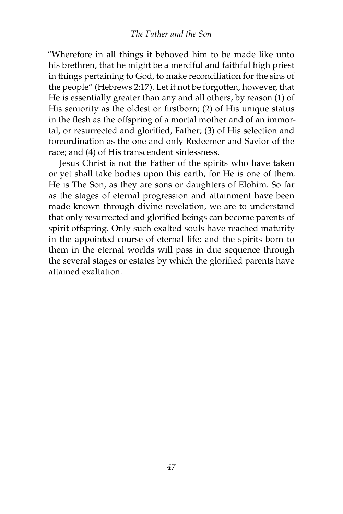"Wherefore in all things it behoved him to be made like unto his brethren, that he might be a merciful and faithful high priest in things pertaining to God, to make reconciliation for the sins of the people" (Hebrews 2:17). Let it not be forgotten, however, that He is essentially greater than any and all others, by reason (1) of His seniority as the oldest or firstborn; (2) of His unique status in the flesh as the offspring of a mortal mother and of an immortal, or resurrected and glorified, Father; (3) of His selection and foreordination as the one and only Redeemer and Savior of the race; and (4) of His transcendent sinlessness.

Jesus Christ is not the Father of the spirits who have taken or yet shall take bodies upon this earth, for He is one of them. He is The Son, as they are sons or daughters of Elohim. So far as the stages of eternal progression and attainment have been made known through divine revelation, we are to understand that only resurrected and glorified beings can become parents of spirit offspring. Only such exalted souls have reached maturity in the appointed course of eternal life; and the spirits born to them in the eternal worlds will pass in due sequence through the several stages or estates by which the glorified parents have attained exaltation.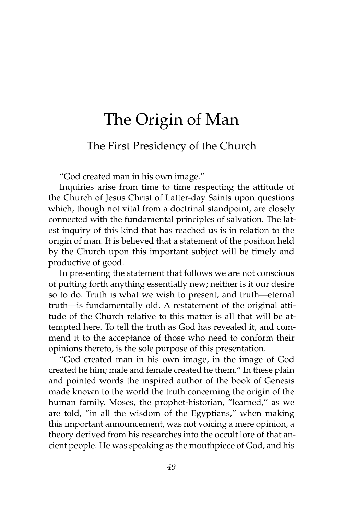## The First Presidency of the Church

"God created man in his own image."

Inquiries arise from time to time respecting the attitude of the Church of Jesus Christ of Latter-day Saints upon questions which, though not vital from a doctrinal standpoint, are closely connected with the fundamental principles of salvation. The latest inquiry of this kind that has reached us is in relation to the origin of man. It is believed that a statement of the position held by the Church upon this important subject will be timely and productive of good.

In presenting the statement that follows we are not conscious of putting forth anything essentially new; neither is it our desire so to do. Truth is what we wish to present, and truth—eternal truth—is fundamentally old. A restatement of the original attitude of the Church relative to this matter is all that will be attempted here. To tell the truth as God has revealed it, and commend it to the acceptance of those who need to conform their opinions thereto, is the sole purpose of this presentation.

"God created man in his own image, in the image of God created he him; male and female created he them." In these plain and pointed words the inspired author of the book of Genesis made known to the world the truth concerning the origin of the human family. Moses, the prophet-historian, "learned," as we are told, "in all the wisdom of the Egyptians," when making this important announcement, was not voicing a mere opinion, a theory derived from his researches into the occult lore of that ancient people. He was speaking as the mouthpiece of God, and his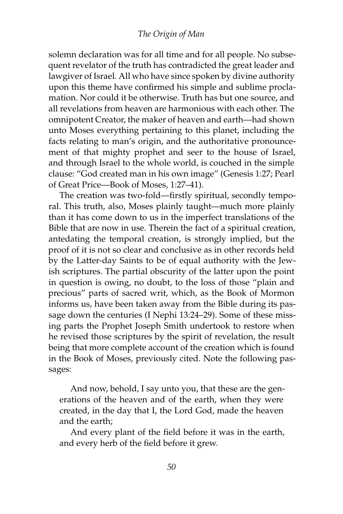solemn declaration was for all time and for all people. No subsequent revelator of the truth has contradicted the great leader and lawgiver of Israel. All who have since spoken by divine authority upon this theme have confirmed his simple and sublime proclamation. Nor could it be otherwise. Truth has but one source, and all revelations from heaven are harmonious with each other. The omnipotent Creator, the maker of heaven and earth—had shown unto Moses everything pertaining to this planet, including the facts relating to man's origin, and the authoritative pronouncement of that mighty prophet and seer to the house of Israel, and through Israel to the whole world, is couched in the simple clause: "God created man in his own image" (Genesis 1:27; Pearl of Great Price—Book of Moses, 1:27–41).

The creation was two-fold—firstly spiritual, secondly temporal. This truth, also, Moses plainly taught—much more plainly than it has come down to us in the imperfect translations of the Bible that are now in use. Therein the fact of a spiritual creation, antedating the temporal creation, is strongly implied, but the proof of it is not so clear and conclusive as in other records held by the Latter-day Saints to be of equal authority with the Jewish scriptures. The partial obscurity of the latter upon the point in question is owing, no doubt, to the loss of those "plain and precious" parts of sacred writ, which, as the Book of Mormon informs us, have been taken away from the Bible during its passage down the centuries (I Nephi 13:24–29). Some of these missing parts the Prophet Joseph Smith undertook to restore when he revised those scriptures by the spirit of revelation, the result being that more complete account of the creation which is found in the Book of Moses, previously cited. Note the following passages:

And now, behold, I say unto you, that these are the generations of the heaven and of the earth, when they were created, in the day that I, the Lord God, made the heaven and the earth;

And every plant of the field before it was in the earth, and every herb of the field before it grew.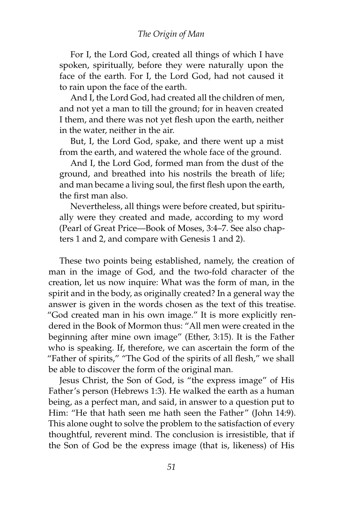For I, the Lord God, created all things of which I have spoken, spiritually, before they were naturally upon the face of the earth. For I, the Lord God, had not caused it to rain upon the face of the earth.

And I, the Lord God, had created all the children of men, and not yet a man to till the ground; for in heaven created I them, and there was not yet flesh upon the earth, neither in the water, neither in the air.

But, I, the Lord God, spake, and there went up a mist from the earth, and watered the whole face of the ground.

And I, the Lord God, formed man from the dust of the ground, and breathed into his nostrils the breath of life; and man became a living soul, the first flesh upon the earth, the first man also.

Nevertheless, all things were before created, but spiritually were they created and made, according to my word (Pearl of Great Price—Book of Moses, 3:4–7. See also chapters 1 and 2, and compare with Genesis 1 and 2).

These two points being established, namely, the creation of man in the image of God, and the two-fold character of the creation, let us now inquire: What was the form of man, in the spirit and in the body, as originally created? In a general way the answer is given in the words chosen as the text of this treatise. "God created man in his own image." It is more explicitly rendered in the Book of Mormon thus: "All men were created in the beginning after mine own image" (Ether, 3:15). It is the Father who is speaking. If, therefore, we can ascertain the form of the "Father of spirits," "The God of the spirits of all flesh," we shall be able to discover the form of the original man.

Jesus Christ, the Son of God, is "the express image" of His Father's person (Hebrews 1:3). He walked the earth as a human being, as a perfect man, and said, in answer to a question put to Him: "He that hath seen me hath seen the Father" (John 14:9). This alone ought to solve the problem to the satisfaction of every thoughtful, reverent mind. The conclusion is irresistible, that if the Son of God be the express image (that is, likeness) of His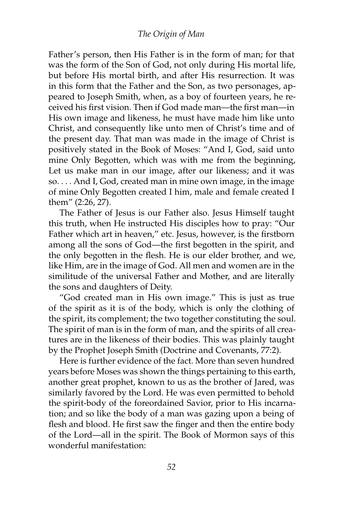Father's person, then His Father is in the form of man; for that was the form of the Son of God, not only during His mortal life, but before His mortal birth, and after His resurrection. It was in this form that the Father and the Son, as two personages, appeared to Joseph Smith, when, as a boy of fourteen years, he received his first vision. Then if God made man—the first man—in His own image and likeness, he must have made him like unto Christ, and consequently like unto men of Christ's time and of the present day. That man was made in the image of Christ is positively stated in the Book of Moses: "And I, God, said unto mine Only Begotten, which was with me from the beginning, Let us make man in our image, after our likeness; and it was so. . . . And I, God, created man in mine own image, in the image of mine Only Begotten created I him, male and female created I them" (2:26, 27).

The Father of Jesus is our Father also. Jesus Himself taught this truth, when He instructed His disciples how to pray: "Our Father which art in heaven," etc. Jesus, however, is the firstborn among all the sons of God—the first begotten in the spirit, and the only begotten in the flesh. He is our elder brother, and we, like Him, are in the image of God. All men and women are in the similitude of the universal Father and Mother, and are literally the sons and daughters of Deity.

"God created man in His own image." This is just as true of the spirit as it is of the body, which is only the clothing of the spirit, its complement; the two together constituting the soul. The spirit of man is in the form of man, and the spirits of all creatures are in the likeness of their bodies. This was plainly taught by the Prophet Joseph Smith (Doctrine and Covenants, 77:2).

Here is further evidence of the fact. More than seven hundred years before Moses was shown the things pertaining to this earth, another great prophet, known to us as the brother of Jared, was similarly favored by the Lord. He was even permitted to behold the spirit-body of the foreordained Savior, prior to His incarnation; and so like the body of a man was gazing upon a being of flesh and blood. He first saw the finger and then the entire body of the Lord—all in the spirit. The Book of Mormon says of this wonderful manifestation: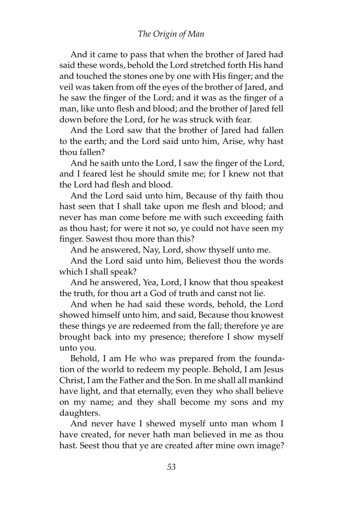And it came to pass that when the brother of Jared had said these words, behold the Lord stretched forth His hand and touched the stones one by one with His finger; and the veil was taken from off the eyes of the brother of Jared, and he saw the finger of the Lord; and it was as the finger of a man, like unto flesh and blood; and the brother of Jared fell down before the Lord, for he was struck with fear.

And the Lord saw that the brother of Jared had fallen to the earth; and the Lord said unto him, Arise, why hast thou fallen?

And he saith unto the Lord, I saw the finger of the Lord, and I feared lest he should smite me; for I knew not that the Lord had flesh and blood.

And the Lord said unto him, Because of thy faith thou hast seen that I shall take upon me flesh and blood; and never has man come before me with such exceeding faith as thou hast; for were it not so, ye could not have seen my finger. Sawest thou more than this?

And he answered, Nay, Lord, show thyself unto me.

And the Lord said unto him, Believest thou the words which I shall speak?

And he answered, Yea, Lord, I know that thou speakest the truth, for thou art a God of truth and canst not lie.

And when he had said these words, behold, the Lord showed himself unto him, and said, Because thou knowest these things ye are redeemed from the fall; therefore ye are brought back into my presence; therefore I show myself unto you.

Behold, I am He who was prepared from the foundation of the world to redeem my people. Behold, I am Jesus Christ, I am the Father and the Son. In me shall all mankind have light, and that eternally, even they who shall believe on my name; and they shall become my sons and my daughters.

And never have I shewed myself unto man whom I have created, for never hath man believed in me as thou hast. Seest thou that ye are created after mine own image?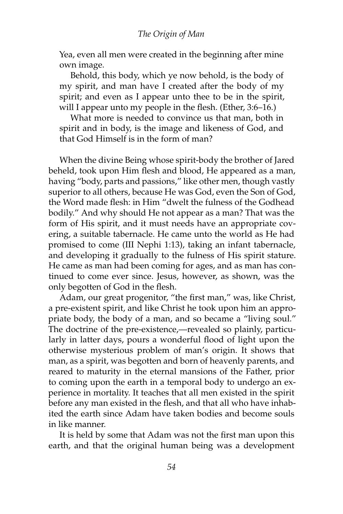Yea, even all men were created in the beginning after mine own image.

Behold, this body, which ye now behold, is the body of my spirit, and man have I created after the body of my spirit; and even as I appear unto thee to be in the spirit, will I appear unto my people in the flesh. (Ether, 3:6–16.)

What more is needed to convince us that man, both in spirit and in body, is the image and likeness of God, and that God Himself is in the form of man?

When the divine Being whose spirit-body the brother of Jared beheld, took upon Him flesh and blood, He appeared as a man, having "body, parts and passions," like other men, though vastly superior to all others, because He was God, even the Son of God, the Word made flesh: in Him "dwelt the fulness of the Godhead bodily." And why should He not appear as a man? That was the form of His spirit, and it must needs have an appropriate covering, a suitable tabernacle. He came unto the world as He had promised to come (III Nephi 1:13), taking an infant tabernacle, and developing it gradually to the fulness of His spirit stature. He came as man had been coming for ages, and as man has continued to come ever since. Jesus, however, as shown, was the only begotten of God in the flesh.

Adam, our great progenitor, "the first man," was, like Christ, a pre-existent spirit, and like Christ he took upon him an appropriate body, the body of a man, and so became a "living soul." The doctrine of the pre-existence,—revealed so plainly, particularly in latter days, pours a wonderful flood of light upon the otherwise mysterious problem of man's origin. It shows that man, as a spirit, was begotten and born of heavenly parents, and reared to maturity in the eternal mansions of the Father, prior to coming upon the earth in a temporal body to undergo an experience in mortality. It teaches that all men existed in the spirit before any man existed in the flesh, and that all who have inhabited the earth since Adam have taken bodies and become souls in like manner.

It is held by some that Adam was not the first man upon this earth, and that the original human being was a development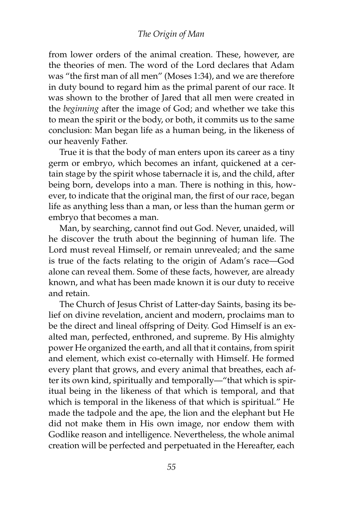from lower orders of the animal creation. These, however, are the theories of men. The word of the Lord declares that Adam was "the first man of all men" (Moses 1:34), and we are therefore in duty bound to regard him as the primal parent of our race. It was shown to the brother of Jared that all men were created in the *beginning* after the image of God; and whether we take this to mean the spirit or the body, or both, it commits us to the same conclusion: Man began life as a human being, in the likeness of our heavenly Father.

True it is that the body of man enters upon its career as a tiny germ or embryo, which becomes an infant, quickened at a certain stage by the spirit whose tabernacle it is, and the child, after being born, develops into a man. There is nothing in this, however, to indicate that the original man, the first of our race, began life as anything less than a man, or less than the human germ or embryo that becomes a man.

Man, by searching, cannot find out God. Never, unaided, will he discover the truth about the beginning of human life. The Lord must reveal Himself, or remain unrevealed; and the same is true of the facts relating to the origin of Adam's race—God alone can reveal them. Some of these facts, however, are already known, and what has been made known it is our duty to receive and retain.

The Church of Jesus Christ of Latter-day Saints, basing its belief on divine revelation, ancient and modern, proclaims man to be the direct and lineal offspring of Deity. God Himself is an exalted man, perfected, enthroned, and supreme. By His almighty power He organized the earth, and all that it contains, from spirit and element, which exist co-eternally with Himself. He formed every plant that grows, and every animal that breathes, each after its own kind, spiritually and temporally—"that which is spiritual being in the likeness of that which is temporal, and that which is temporal in the likeness of that which is spiritual." He made the tadpole and the ape, the lion and the elephant but He did not make them in His own image, nor endow them with Godlike reason and intelligence. Nevertheless, the whole animal creation will be perfected and perpetuated in the Hereafter, each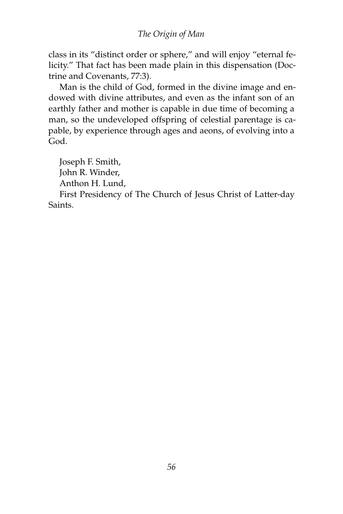class in its "distinct order or sphere," and will enjoy "eternal felicity." That fact has been made plain in this dispensation (Doctrine and Covenants, 77:3).

Man is the child of God, formed in the divine image and endowed with divine attributes, and even as the infant son of an earthly father and mother is capable in due time of becoming a man, so the undeveloped offspring of celestial parentage is capable, by experience through ages and aeons, of evolving into a God.

Joseph F. Smith, John R. Winder, Anthon H. Lund,

First Presidency of The Church of Jesus Christ of Latter-day Saints.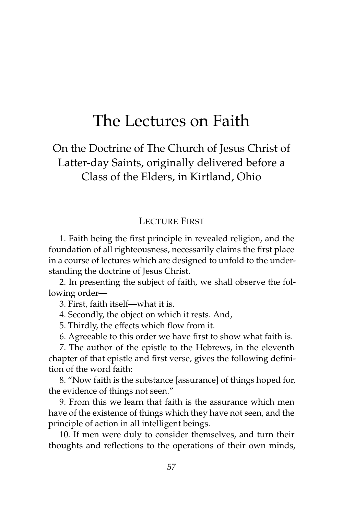# The Lectures on Faith

## On the Doctrine of The Church of Jesus Christ of Latter-day Saints, originally delivered before a Class of the Elders, in Kirtland, Ohio

## LECTURE FIRST

1. Faith being the first principle in revealed religion, and the foundation of all righteousness, necessarily claims the first place in a course of lectures which are designed to unfold to the understanding the doctrine of Jesus Christ.

2. In presenting the subject of faith, we shall observe the following order—

3. First, faith itself—what it is.

4. Secondly, the object on which it rests. And,

5. Thirdly, the effects which flow from it.

6. Agreeable to this order we have first to show what faith is.

7. The author of the epistle to the Hebrews, in the eleventh chapter of that epistle and first verse, gives the following definition of the word faith:

8. "Now faith is the substance [assurance] of things hoped for, the evidence of things not seen."

9. From this we learn that faith is the assurance which men have of the existence of things which they have not seen, and the principle of action in all intelligent beings.

10. If men were duly to consider themselves, and turn their thoughts and reflections to the operations of their own minds,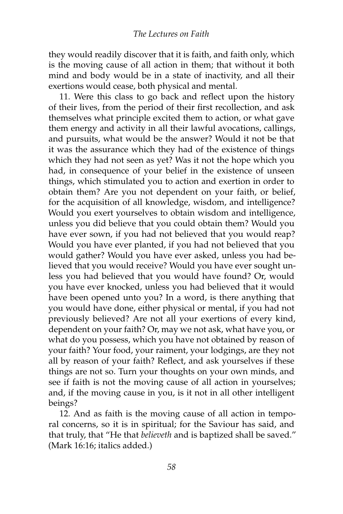they would readily discover that it is faith, and faith only, which is the moving cause of all action in them; that without it both mind and body would be in a state of inactivity, and all their exertions would cease, both physical and mental.

11. Were this class to go back and reflect upon the history of their lives, from the period of their first recollection, and ask themselves what principle excited them to action, or what gave them energy and activity in all their lawful avocations, callings, and pursuits, what would be the answer? Would it not be that it was the assurance which they had of the existence of things which they had not seen as yet? Was it not the hope which you had, in consequence of your belief in the existence of unseen things, which stimulated you to action and exertion in order to obtain them? Are you not dependent on your faith, or belief, for the acquisition of all knowledge, wisdom, and intelligence? Would you exert yourselves to obtain wisdom and intelligence, unless you did believe that you could obtain them? Would you have ever sown, if you had not believed that you would reap? Would you have ever planted, if you had not believed that you would gather? Would you have ever asked, unless you had believed that you would receive? Would you have ever sought unless you had believed that you would have found? Or, would you have ever knocked, unless you had believed that it would have been opened unto you? In a word, is there anything that you would have done, either physical or mental, if you had not previously believed? Are not all your exertions of every kind, dependent on your faith? Or, may we not ask, what have you, or what do you possess, which you have not obtained by reason of your faith? Your food, your raiment, your lodgings, are they not all by reason of your faith? Reflect, and ask yourselves if these things are not so. Turn your thoughts on your own minds, and see if faith is not the moving cause of all action in yourselves; and, if the moving cause in you, is it not in all other intelligent beings?

12. And as faith is the moving cause of all action in temporal concerns, so it is in spiritual; for the Saviour has said, and that truly, that "He that *believeth* and is baptized shall be saved." (Mark 16:16; italics added.)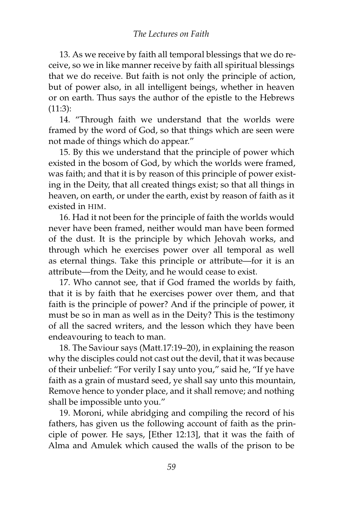## *The Lectures on Faith*

13. As we receive by faith all temporal blessings that we do receive, so we in like manner receive by faith all spiritual blessings that we do receive. But faith is not only the principle of action, but of power also, in all intelligent beings, whether in heaven or on earth. Thus says the author of the epistle to the Hebrews  $(11:3):$ 

14. "Through faith we understand that the worlds were framed by the word of God, so that things which are seen were not made of things which do appear."

15. By this we understand that the principle of power which existed in the bosom of God, by which the worlds were framed, was faith; and that it is by reason of this principle of power existing in the Deity, that all created things exist; so that all things in heaven, on earth, or under the earth, exist by reason of faith as it existed in HIM.

16. Had it not been for the principle of faith the worlds would never have been framed, neither would man have been formed of the dust. It is the principle by which Jehovah works, and through which he exercises power over all temporal as well as eternal things. Take this principle or attribute—for it is an attribute—from the Deity, and he would cease to exist.

17. Who cannot see, that if God framed the worlds by faith, that it is by faith that he exercises power over them, and that faith is the principle of power? And if the principle of power, it must be so in man as well as in the Deity? This is the testimony of all the sacred writers, and the lesson which they have been endeavouring to teach to man.

18. The Saviour says (Matt.17:19–20), in explaining the reason why the disciples could not cast out the devil, that it was because of their unbelief: "For verily I say unto you," said he, "If ye have faith as a grain of mustard seed, ye shall say unto this mountain, Remove hence to yonder place, and it shall remove; and nothing shall be impossible unto you."

19. Moroni, while abridging and compiling the record of his fathers, has given us the following account of faith as the principle of power. He says, [Ether 12:13], that it was the faith of Alma and Amulek which caused the walls of the prison to be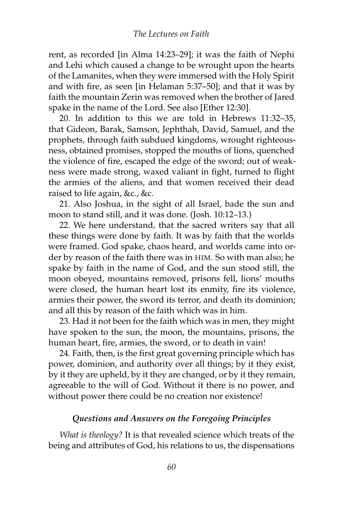rent, as recorded [in Alma 14:23–29]; it was the faith of Nephi and Lehi which caused a change to be wrought upon the hearts of the Lamanites, when they were immersed with the Holy Spirit and with fire, as seen [in Helaman 5:37–50]; and that it was by faith the mountain Zerin was removed when the brother of Jared spake in the name of the Lord. See also [Ether 12:30].

20. In addition to this we are told in Hebrews 11:32–35, that Gideon, Barak, Samson, Jephthah, David, Samuel, and the prophets, through faith subdued kingdoms, wrought righteousness, obtained promises, stopped the mouths of lions, quenched the violence of fire, escaped the edge of the sword; out of weakness were made strong, waxed valiant in fight, turned to flight the armies of the aliens, and that women received their dead raised to life again, &c., &c.

21. Also Joshua, in the sight of all Israel, bade the sun and moon to stand still, and it was done. (Josh. 10:12–13.)

22. We here understand, that the sacred writers say that all these things were done by faith. It was by faith that the worlds were framed. God spake, chaos heard, and worlds came into order by reason of the faith there was in HIM. So with man also; he spake by faith in the name of God, and the sun stood still, the moon obeyed, mountains removed, prisons fell, lions' mouths were closed, the human heart lost its enmity, fire its violence, armies their power, the sword its terror, and death its dominion; and all this by reason of the faith which was in him.

23. Had it not been for the faith which was in men, they might have spoken to the sun, the moon, the mountains, prisons, the human heart, fire, armies, the sword, or to death in vain!

24. Faith, then, is the first great governing principle which has power, dominion, and authority over all things; by it they exist, by it they are upheld, by it they are changed, or by it they remain, agreeable to the will of God. Without it there is no power, and without power there could be no creation nor existence!

## *Questions and Answers on the Foregoing Principles*

*What is theology?* It is that revealed science which treats of the being and attributes of God, his relations to us, the dispensations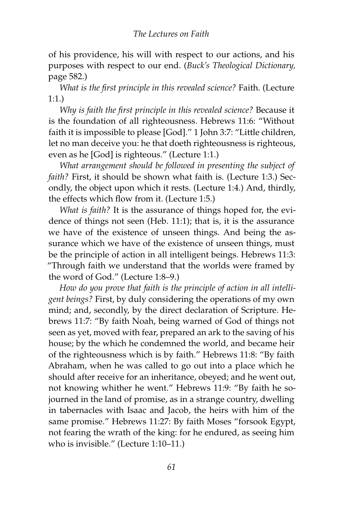of his providence, his will with respect to our actions, and his purposes with respect to our end. (*Buck's Theological Dictionary,* page 582.)

*What is the first principle in this revealed science?* Faith. (Lecture 1:1.)

*Why is faith the first principle in this revealed science?* Because it is the foundation of all righteousness. Hebrews 11:6: "Without faith it is impossible to please [God]." 1 John 3:7: "Little children, let no man deceive you: he that doeth righteousness is righteous, even as he [God] is righteous." (Lecture 1:1.)

*What arrangement should be followed in presenting the subject of faith?* First, it should be shown what faith is. (Lecture 1:3.) Secondly, the object upon which it rests. (Lecture 1:4.) And, thirdly, the effects which flow from it. (Lecture 1:5.)

*What is faith?* It is the assurance of things hoped for, the evidence of things not seen (Heb. 11:1); that is, it is the assurance we have of the existence of unseen things. And being the assurance which we have of the existence of unseen things, must be the principle of action in all intelligent beings. Hebrews 11:3: "Through faith we understand that the worlds were framed by the word of God." (Lecture 1:8–9.)

*How do you prove that faith is the principle of action in all intelligent beings?* First, by duly considering the operations of my own mind; and, secondly, by the direct declaration of Scripture. Hebrews 11:7: "By faith Noah, being warned of God of things not seen as yet, moved with fear, prepared an ark to the saving of his house; by the which he condemned the world, and became heir of the righteousness which is by faith." Hebrews 11:8: "By faith Abraham, when he was called to go out into a place which he should after receive for an inheritance, obeyed; and he went out, not knowing whither he went." Hebrews 11:9: "By faith he sojourned in the land of promise, as in a strange country, dwelling in tabernacles with Isaac and Jacob, the heirs with him of the same promise." Hebrews 11:27: By faith Moses "forsook Egypt, not fearing the wrath of the king: for he endured, as seeing him who is invisible." (Lecture 1:10–11.)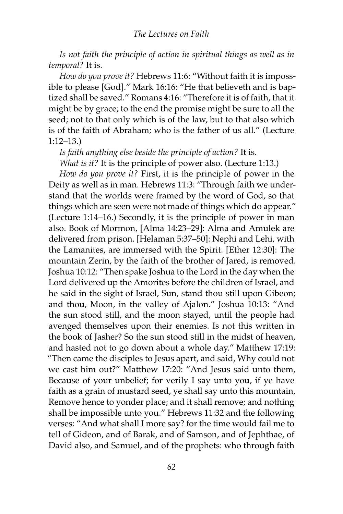### *The Lectures on Faith*

*Is not faith the principle of action in spiritual things as well as in temporal?* It is.

*How do you prove it?* Hebrews 11:6: "Without faith it is impossible to please [God]." Mark 16:16: "He that believeth and is baptized shall be saved." Romans 4:16: "Therefore it is of faith, that it might be by grace; to the end the promise might be sure to all the seed; not to that only which is of the law, but to that also which is of the faith of Abraham; who is the father of us all." (Lecture 1:12–13.)

*Is faith anything else beside the principle of action?* It is.

*What is it?* It is the principle of power also. (Lecture 1:13.)

*How do you prove it?* First, it is the principle of power in the Deity as well as in man. Hebrews 11:3: "Through faith we understand that the worlds were framed by the word of God, so that things which are seen were not made of things which do appear." (Lecture 1:14–16.) Secondly, it is the principle of power in man also. Book of Mormon, [Alma 14:23–29]: Alma and Amulek are delivered from prison. [Helaman 5:37–50]: Nephi and Lehi, with the Lamanites, are immersed with the Spirit. [Ether 12:30]: The mountain Zerin, by the faith of the brother of Jared, is removed. Joshua 10:12: "Then spake Joshua to the Lord in the day when the Lord delivered up the Amorites before the children of Israel, and he said in the sight of Israel, Sun, stand thou still upon Gibeon; and thou, Moon, in the valley of Ajalon." Joshua 10:13: "And the sun stood still, and the moon stayed, until the people had avenged themselves upon their enemies. Is not this written in the book of Jasher? So the sun stood still in the midst of heaven, and hasted not to go down about a whole day." Matthew 17:19: "Then came the disciples to Jesus apart, and said, Why could not we cast him out?" Matthew 17:20: "And Jesus said unto them, Because of your unbelief; for verily I say unto you, if ye have faith as a grain of mustard seed, ye shall say unto this mountain, Remove hence to yonder place; and it shall remove; and nothing shall be impossible unto you." Hebrews 11:32 and the following verses: "And what shall I more say? for the time would fail me to tell of Gideon, and of Barak, and of Samson, and of Jephthae, of David also, and Samuel, and of the prophets: who through faith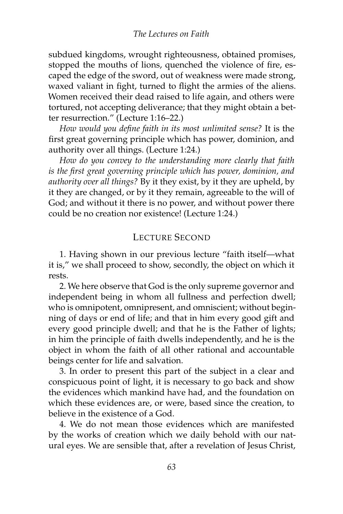subdued kingdoms, wrought righteousness, obtained promises, stopped the mouths of lions, quenched the violence of fire, escaped the edge of the sword, out of weakness were made strong, waxed valiant in fight, turned to flight the armies of the aliens. Women received their dead raised to life again, and others were tortured, not accepting deliverance; that they might obtain a better resurrection." (Lecture 1:16–22.)

*How would you define faith in its most unlimited sense?* It is the first great governing principle which has power, dominion, and authority over all things. (Lecture 1:24.)

*How do you convey to the understanding more clearly that faith is the first great governing principle which has power, dominion, and authority over all things?* By it they exist, by it they are upheld, by it they are changed, or by it they remain, agreeable to the will of God; and without it there is no power, and without power there could be no creation nor existence! (Lecture 1:24.)

# LECTURE SECOND

1. Having shown in our previous lecture "faith itself—what it is," we shall proceed to show, secondly, the object on which it rests.

2. We here observe that God is the only supreme governor and independent being in whom all fullness and perfection dwell; who is omnipotent, omnipresent, and omniscient; without beginning of days or end of life; and that in him every good gift and every good principle dwell; and that he is the Father of lights; in him the principle of faith dwells independently, and he is the object in whom the faith of all other rational and accountable beings center for life and salvation.

3. In order to present this part of the subject in a clear and conspicuous point of light, it is necessary to go back and show the evidences which mankind have had, and the foundation on which these evidences are, or were, based since the creation, to believe in the existence of a God.

4. We do not mean those evidences which are manifested by the works of creation which we daily behold with our natural eyes. We are sensible that, after a revelation of Jesus Christ,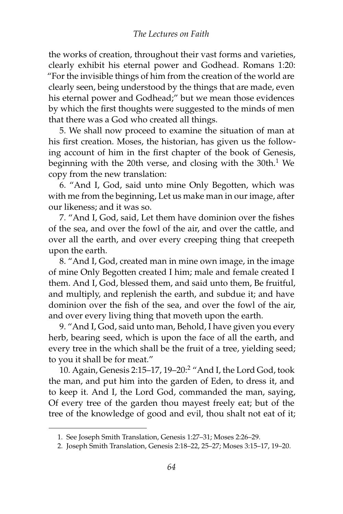the works of creation, throughout their vast forms and varieties, clearly exhibit his eternal power and Godhead. Romans 1:20: "For the invisible things of him from the creation of the world are clearly seen, being understood by the things that are made, even his eternal power and Godhead;" but we mean those evidences by which the first thoughts were suggested to the minds of men that there was a God who created all things.

5. We shall now proceed to examine the situation of man at his first creation. Moses, the historian, has given us the following account of him in the first chapter of the book of Genesis, beginning with the 20th verse, and closing with the  $30th<sup>1</sup>$  We copy from the new translation:

6. "And I, God, said unto mine Only Begotten, which was with me from the beginning, Let us make man in our image, after our likeness; and it was so.

7. "And I, God, said, Let them have dominion over the fishes of the sea, and over the fowl of the air, and over the cattle, and over all the earth, and over every creeping thing that creepeth upon the earth.

8. "And I, God, created man in mine own image, in the image of mine Only Begotten created I him; male and female created I them. And I, God, blessed them, and said unto them, Be fruitful, and multiply, and replenish the earth, and subdue it; and have dominion over the fish of the sea, and over the fowl of the air, and over every living thing that moveth upon the earth.

9. "And I, God, said unto man, Behold, I have given you every herb, bearing seed, which is upon the face of all the earth, and every tree in the which shall be the fruit of a tree, yielding seed; to you it shall be for meat."

10. Again, Genesis 2:15–17, 19–20:<sup>2</sup> "And I, the Lord God, took the man, and put him into the garden of Eden, to dress it, and to keep it. And I, the Lord God, commanded the man, saying, Of every tree of the garden thou mayest freely eat; but of the tree of the knowledge of good and evil, thou shalt not eat of it;

<sup>1.</sup> See Joseph Smith Translation, Genesis 1:27–31; Moses 2:26–29.

<sup>2.</sup> Joseph Smith Translation, Genesis 2:18–22, 25–27; Moses 3:15–17, 19–20.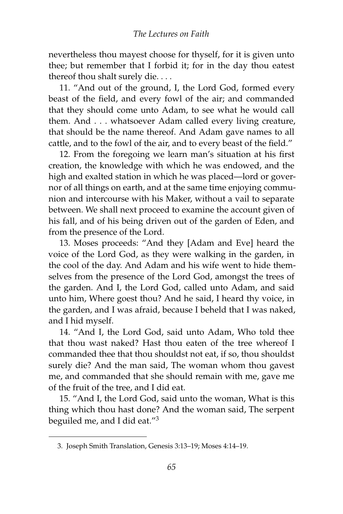nevertheless thou mayest choose for thyself, for it is given unto thee; but remember that I forbid it; for in the day thou eatest thereof thou shalt surely die. . . .

11. "And out of the ground, I, the Lord God, formed every beast of the field, and every fowl of the air; and commanded that they should come unto Adam, to see what he would call them. And . . . whatsoever Adam called every living creature, that should be the name thereof. And Adam gave names to all cattle, and to the fowl of the air, and to every beast of the field."

12. From the foregoing we learn man's situation at his first creation, the knowledge with which he was endowed, and the high and exalted station in which he was placed—lord or governor of all things on earth, and at the same time enjoying communion and intercourse with his Maker, without a vail to separate between. We shall next proceed to examine the account given of his fall, and of his being driven out of the garden of Eden, and from the presence of the Lord.

13. Moses proceeds: "And they [Adam and Eve] heard the voice of the Lord God, as they were walking in the garden, in the cool of the day. And Adam and his wife went to hide themselves from the presence of the Lord God, amongst the trees of the garden. And I, the Lord God, called unto Adam, and said unto him, Where goest thou? And he said, I heard thy voice, in the garden, and I was afraid, because I beheld that I was naked, and I hid myself.

14. "And I, the Lord God, said unto Adam, Who told thee that thou wast naked? Hast thou eaten of the tree whereof I commanded thee that thou shouldst not eat, if so, thou shouldst surely die? And the man said, The woman whom thou gavest me, and commanded that she should remain with me, gave me of the fruit of the tree, and I did eat.

15. "And I, the Lord God, said unto the woman, What is this thing which thou hast done? And the woman said, The serpent beguiled me, and I did eat." $3$ 

<sup>3.</sup> Joseph Smith Translation, Genesis 3:13–19; Moses 4:14–19.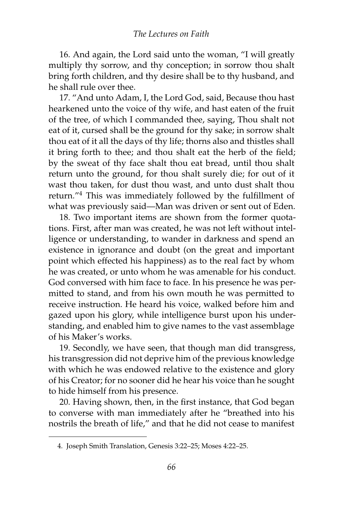16. And again, the Lord said unto the woman, "I will greatly multiply thy sorrow, and thy conception; in sorrow thou shalt bring forth children, and thy desire shall be to thy husband, and he shall rule over thee.

17. "And unto Adam, I, the Lord God, said, Because thou hast hearkened unto the voice of thy wife, and hast eaten of the fruit of the tree, of which I commanded thee, saying, Thou shalt not eat of it, cursed shall be the ground for thy sake; in sorrow shalt thou eat of it all the days of thy life; thorns also and thistles shall it bring forth to thee; and thou shalt eat the herb of the field; by the sweat of thy face shalt thou eat bread, until thou shalt return unto the ground, for thou shalt surely die; for out of it wast thou taken, for dust thou wast, and unto dust shalt thou return."<sup>4</sup> This was immediately followed by the fulfillment of what was previously said—Man was driven or sent out of Eden.

18. Two important items are shown from the former quotations. First, after man was created, he was not left without intelligence or understanding, to wander in darkness and spend an existence in ignorance and doubt (on the great and important point which effected his happiness) as to the real fact by whom he was created, or unto whom he was amenable for his conduct. God conversed with him face to face. In his presence he was permitted to stand, and from his own mouth he was permitted to receive instruction. He heard his voice, walked before him and gazed upon his glory, while intelligence burst upon his understanding, and enabled him to give names to the vast assemblage of his Maker's works.

19. Secondly, we have seen, that though man did transgress, his transgression did not deprive him of the previous knowledge with which he was endowed relative to the existence and glory of his Creator; for no sooner did he hear his voice than he sought to hide himself from his presence.

20. Having shown, then, in the first instance, that God began to converse with man immediately after he "breathed into his nostrils the breath of life," and that he did not cease to manifest

<sup>4.</sup> Joseph Smith Translation, Genesis 3:22–25; Moses 4:22–25.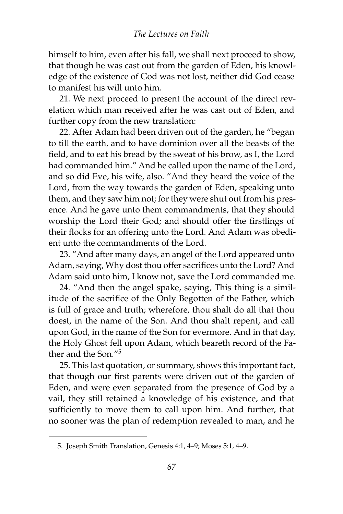himself to him, even after his fall, we shall next proceed to show, that though he was cast out from the garden of Eden, his knowledge of the existence of God was not lost, neither did God cease to manifest his will unto him.

21. We next proceed to present the account of the direct revelation which man received after he was cast out of Eden, and further copy from the new translation:

22. After Adam had been driven out of the garden, he "began to till the earth, and to have dominion over all the beasts of the field, and to eat his bread by the sweat of his brow, as I, the Lord had commanded him." And he called upon the name of the Lord, and so did Eve, his wife, also. "And they heard the voice of the Lord, from the way towards the garden of Eden, speaking unto them, and they saw him not; for they were shut out from his presence. And he gave unto them commandments, that they should worship the Lord their God; and should offer the firstlings of their flocks for an offering unto the Lord. And Adam was obedient unto the commandments of the Lord.

23. "And after many days, an angel of the Lord appeared unto Adam, saying, Why dost thou offer sacrifices unto the Lord? And Adam said unto him, I know not, save the Lord commanded me.

24. "And then the angel spake, saying, This thing is a similitude of the sacrifice of the Only Begotten of the Father, which is full of grace and truth; wherefore, thou shalt do all that thou doest, in the name of the Son. And thou shalt repent, and call upon God, in the name of the Son for evermore. And in that day, the Holy Ghost fell upon Adam, which beareth record of the Father and the Son."<sup>5</sup>

25. This last quotation, or summary, shows this important fact, that though our first parents were driven out of the garden of Eden, and were even separated from the presence of God by a vail, they still retained a knowledge of his existence, and that sufficiently to move them to call upon him. And further, that no sooner was the plan of redemption revealed to man, and he

<sup>5.</sup> Joseph Smith Translation, Genesis 4:1, 4–9; Moses 5:1, 4–9.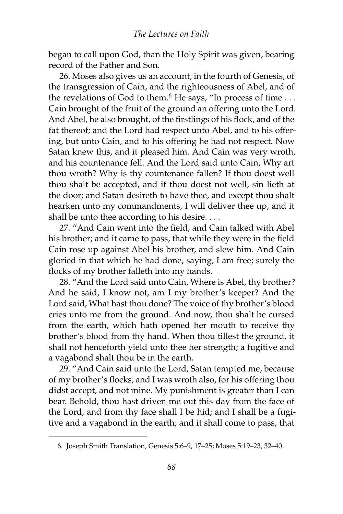began to call upon God, than the Holy Spirit was given, bearing record of the Father and Son.

26. Moses also gives us an account, in the fourth of Genesis, of the transgression of Cain, and the righteousness of Abel, and of the revelations of God to them.<sup>6</sup> He says, "In process of time  $\dots$ Cain brought of the fruit of the ground an offering unto the Lord. And Abel, he also brought, of the firstlings of his flock, and of the fat thereof; and the Lord had respect unto Abel, and to his offering, but unto Cain, and to his offering he had not respect. Now Satan knew this, and it pleased him. And Cain was very wroth, and his countenance fell. And the Lord said unto Cain, Why art thou wroth? Why is thy countenance fallen? If thou doest well thou shalt be accepted, and if thou doest not well, sin lieth at the door; and Satan desireth to have thee, and except thou shalt hearken unto my commandments, I will deliver thee up, and it shall be unto thee according to his desire. . . .

27. "And Cain went into the field, and Cain talked with Abel his brother; and it came to pass, that while they were in the field Cain rose up against Abel his brother, and slew him. And Cain gloried in that which he had done, saying, I am free; surely the flocks of my brother falleth into my hands.

28. "And the Lord said unto Cain, Where is Abel, thy brother? And he said, I know not, am I my brother's keeper? And the Lord said, What hast thou done? The voice of thy brother's blood cries unto me from the ground. And now, thou shalt be cursed from the earth, which hath opened her mouth to receive thy brother's blood from thy hand. When thou tillest the ground, it shall not henceforth yield unto thee her strength; a fugitive and a vagabond shalt thou be in the earth.

29. "And Cain said unto the Lord, Satan tempted me, because of my brother's flocks; and I was wroth also, for his offering thou didst accept, and not mine. My punishment is greater than I can bear. Behold, thou hast driven me out this day from the face of the Lord, and from thy face shall I be hid; and I shall be a fugitive and a vagabond in the earth; and it shall come to pass, that

<sup>6.</sup> Joseph Smith Translation, Genesis 5:6–9, 17–25; Moses 5:19–23, 32–40.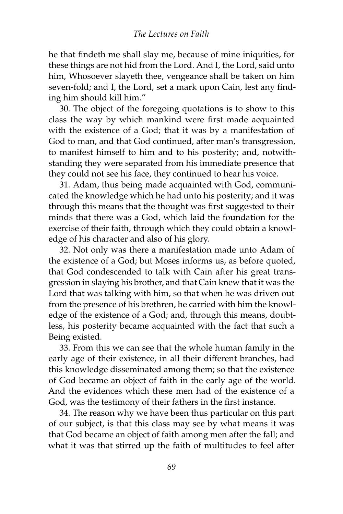he that findeth me shall slay me, because of mine iniquities, for these things are not hid from the Lord. And I, the Lord, said unto him, Whosoever slayeth thee, vengeance shall be taken on him seven-fold; and I, the Lord, set a mark upon Cain, lest any finding him should kill him."

30. The object of the foregoing quotations is to show to this class the way by which mankind were first made acquainted with the existence of a God; that it was by a manifestation of God to man, and that God continued, after man's transgression, to manifest himself to him and to his posterity; and, notwithstanding they were separated from his immediate presence that they could not see his face, they continued to hear his voice.

31. Adam, thus being made acquainted with God, communicated the knowledge which he had unto his posterity; and it was through this means that the thought was first suggested to their minds that there was a God, which laid the foundation for the exercise of their faith, through which they could obtain a knowledge of his character and also of his glory.

32. Not only was there a manifestation made unto Adam of the existence of a God; but Moses informs us, as before quoted, that God condescended to talk with Cain after his great transgression in slaying his brother, and that Cain knew that it was the Lord that was talking with him, so that when he was driven out from the presence of his brethren, he carried with him the knowledge of the existence of a God; and, through this means, doubtless, his posterity became acquainted with the fact that such a Being existed.

33. From this we can see that the whole human family in the early age of their existence, in all their different branches, had this knowledge disseminated among them; so that the existence of God became an object of faith in the early age of the world. And the evidences which these men had of the existence of a God, was the testimony of their fathers in the first instance.

34. The reason why we have been thus particular on this part of our subject, is that this class may see by what means it was that God became an object of faith among men after the fall; and what it was that stirred up the faith of multitudes to feel after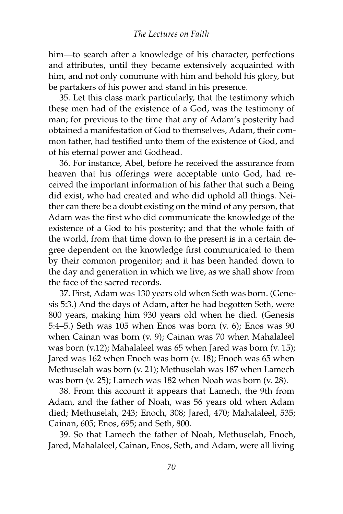him—to search after a knowledge of his character, perfections and attributes, until they became extensively acquainted with him, and not only commune with him and behold his glory, but be partakers of his power and stand in his presence.

35. Let this class mark particularly, that the testimony which these men had of the existence of a God, was the testimony of man; for previous to the time that any of Adam's posterity had obtained a manifestation of God to themselves, Adam, their common father, had testified unto them of the existence of God, and of his eternal power and Godhead.

36. For instance, Abel, before he received the assurance from heaven that his offerings were acceptable unto God, had received the important information of his father that such a Being did exist, who had created and who did uphold all things. Neither can there be a doubt existing on the mind of any person, that Adam was the first who did communicate the knowledge of the existence of a God to his posterity; and that the whole faith of the world, from that time down to the present is in a certain degree dependent on the knowledge first communicated to them by their common progenitor; and it has been handed down to the day and generation in which we live, as we shall show from the face of the sacred records.

37. First, Adam was 130 years old when Seth was born. (Genesis 5:3.) And the days of Adam, after he had begotten Seth, were 800 years, making him 930 years old when he died. (Genesis 5:4–5.) Seth was 105 when Enos was born (v. 6); Enos was 90 when Cainan was born (v. 9); Cainan was 70 when Mahalaleel was born (v.12); Mahalaleel was 65 when Jared was born (v. 15); Jared was 162 when Enoch was born (v. 18); Enoch was 65 when Methuselah was born (v. 21); Methuselah was 187 when Lamech was born (v. 25); Lamech was 182 when Noah was born (v. 28).

38. From this account it appears that Lamech, the 9th from Adam, and the father of Noah, was 56 years old when Adam died; Methuselah, 243; Enoch, 308; Jared, 470; Mahalaleel, 535; Cainan, 605; Enos, 695; and Seth, 800.

39. So that Lamech the father of Noah, Methuselah, Enoch, Jared, Mahalaleel, Cainan, Enos, Seth, and Adam, were all living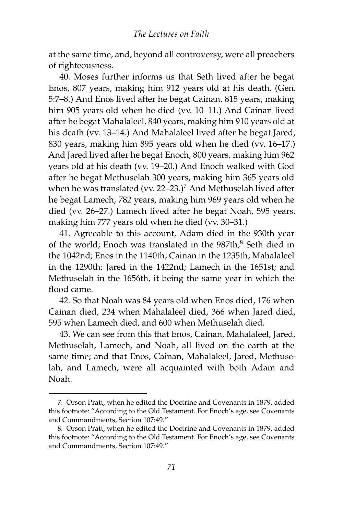at the same time, and, beyond all controversy, were all preachers of righteousness.

40. Moses further informs us that Seth lived after he begat Enos, 807 years, making him 912 years old at his death. (Gen. 5:7–8.) And Enos lived after he begat Cainan, 815 years, making him 905 years old when he died (vv. 10–11.) And Cainan lived after he begat Mahalaleel, 840 years, making him 910 years old at his death (vv. 13–14.) And Mahalaleel lived after he begat Jared, 830 years, making him 895 years old when he died (vv. 16–17.) And Jared lived after he begat Enoch, 800 years, making him 962 years old at his death (vv. 19–20.) And Enoch walked with God after he begat Methuselah 300 years, making him 365 years old when he was translated (vv. 22–23.)<sup>7</sup> And Methuselah lived after he begat Lamech, 782 years, making him 969 years old when he died (vv. 26–27.) Lamech lived after he begat Noah, 595 years, making him 777 years old when he died (vv. 30–31.)

41. Agreeable to this account, Adam died in the 930th year of the world; Enoch was translated in the 987th,<sup>8</sup> Seth died in the 1042nd; Enos in the 1140th; Cainan in the 1235th; Mahalaleel in the 1290th; Jared in the 1422nd; Lamech in the 1651st; and Methuselah in the 1656th, it being the same year in which the flood came.

42. So that Noah was 84 years old when Enos died, 176 when Cainan died, 234 when Mahalaleel died, 366 when Jared died, 595 when Lamech died, and 600 when Methuselah died.

43. We can see from this that Enos, Cainan, Mahalaleel, Jared, Methuselah, Lamech, and Noah, all lived on the earth at the same time; and that Enos, Cainan, Mahalaleel, Jared, Methuselah, and Lamech, were all acquainted with both Adam and Noah.

<sup>7.</sup> Orson Pratt, when he edited the Doctrine and Covenants in 1879, added this footnote: "According to the Old Testament. For Enoch's age, see Covenants and Commandments, Section 107:49."

<sup>8.</sup> Orson Pratt, when he edited the Doctrine and Covenants in 1879, added this footnote: "According to the Old Testament. For Enoch's age, see Covenants and Commandments, Section 107:49."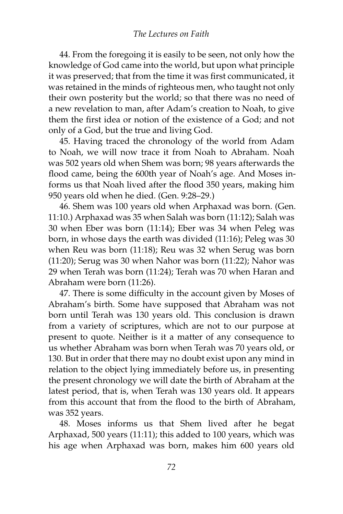44. From the foregoing it is easily to be seen, not only how the knowledge of God came into the world, but upon what principle it was preserved; that from the time it was first communicated, it was retained in the minds of righteous men, who taught not only their own posterity but the world; so that there was no need of a new revelation to man, after Adam's creation to Noah, to give them the first idea or notion of the existence of a God; and not only of a God, but the true and living God.

45. Having traced the chronology of the world from Adam to Noah, we will now trace it from Noah to Abraham. Noah was 502 years old when Shem was born; 98 years afterwards the flood came, being the 600th year of Noah's age. And Moses informs us that Noah lived after the flood 350 years, making him 950 years old when he died. (Gen. 9:28–29.)

46. Shem was 100 years old when Arphaxad was born. (Gen. 11:10.) Arphaxad was 35 when Salah was born (11:12); Salah was 30 when Eber was born (11:14); Eber was 34 when Peleg was born, in whose days the earth was divided (11:16); Peleg was 30 when Reu was born (11:18); Reu was 32 when Serug was born (11:20); Serug was 30 when Nahor was born (11:22); Nahor was 29 when Terah was born (11:24); Terah was 70 when Haran and Abraham were born (11:26).

47. There is some difficulty in the account given by Moses of Abraham's birth. Some have supposed that Abraham was not born until Terah was 130 years old. This conclusion is drawn from a variety of scriptures, which are not to our purpose at present to quote. Neither is it a matter of any consequence to us whether Abraham was born when Terah was 70 years old, or 130. But in order that there may no doubt exist upon any mind in relation to the object lying immediately before us, in presenting the present chronology we will date the birth of Abraham at the latest period, that is, when Terah was 130 years old. It appears from this account that from the flood to the birth of Abraham, was 352 years.

48. Moses informs us that Shem lived after he begat Arphaxad, 500 years (11:11); this added to 100 years, which was his age when Arphaxad was born, makes him 600 years old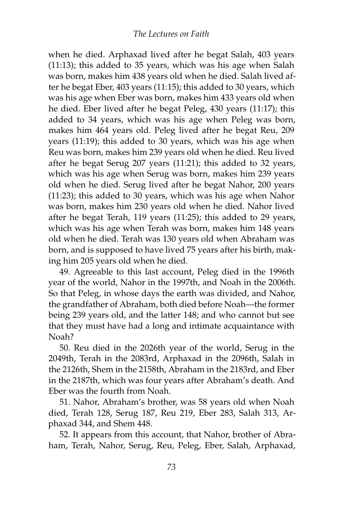when he died. Arphaxad lived after he begat Salah, 403 years (11:13); this added to 35 years, which was his age when Salah was born, makes him 438 years old when he died. Salah lived after he begat Eber, 403 years (11:15); this added to 30 years, which was his age when Eber was born, makes him 433 years old when he died. Eber lived after he begat Peleg, 430 years (11:17); this added to 34 years, which was his age when Peleg was born, makes him 464 years old. Peleg lived after he begat Reu, 209 years (11:19); this added to 30 years, which was his age when Reu was born, makes him 239 years old when he died. Reu lived after he begat Serug 207 years (11:21); this added to 32 years, which was his age when Serug was born, makes him 239 years old when he died. Serug lived after he begat Nahor, 200 years (11:23); this added to 30 years, which was his age when Nahor was born, makes him 230 years old when he died. Nahor lived after he begat Terah, 119 years (11:25); this added to 29 years, which was his age when Terah was born, makes him 148 years old when he died. Terah was 130 years old when Abraham was born, and is supposed to have lived 75 years after his birth, making him 205 years old when he died.

49. Agreeable to this last account, Peleg died in the 1996th year of the world, Nahor in the 1997th, and Noah in the 2006th. So that Peleg, in whose days the earth was divided, and Nahor, the grandfather of Abraham, both died before Noah—the former being 239 years old, and the latter 148; and who cannot but see that they must have had a long and intimate acquaintance with Noah?

50. Reu died in the 2026th year of the world, Serug in the 2049th, Terah in the 2083rd, Arphaxad in the 2096th, Salah in the 2126th, Shem in the 2158th, Abraham in the 2183rd, and Eber in the 2187th, which was four years after Abraham's death. And Eber was the fourth from Noah.

51. Nahor, Abraham's brother, was 58 years old when Noah died, Terah 128, Serug 187, Reu 219, Eber 283, Salah 313, Arphaxad 344, and Shem 448.

52. It appears from this account, that Nahor, brother of Abraham, Terah, Nahor, Serug, Reu, Peleg, Eber, Salah, Arphaxad,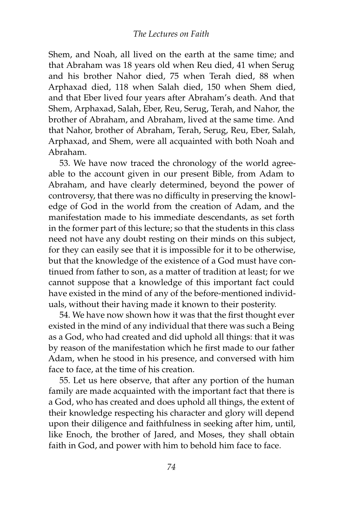Shem, and Noah, all lived on the earth at the same time; and that Abraham was 18 years old when Reu died, 41 when Serug and his brother Nahor died, 75 when Terah died, 88 when Arphaxad died, 118 when Salah died, 150 when Shem died, and that Eber lived four years after Abraham's death. And that Shem, Arphaxad, Salah, Eber, Reu, Serug, Terah, and Nahor, the brother of Abraham, and Abraham, lived at the same time. And that Nahor, brother of Abraham, Terah, Serug, Reu, Eber, Salah, Arphaxad, and Shem, were all acquainted with both Noah and Abraham.

53. We have now traced the chronology of the world agreeable to the account given in our present Bible, from Adam to Abraham, and have clearly determined, beyond the power of controversy, that there was no difficulty in preserving the knowledge of God in the world from the creation of Adam, and the manifestation made to his immediate descendants, as set forth in the former part of this lecture; so that the students in this class need not have any doubt resting on their minds on this subject, for they can easily see that it is impossible for it to be otherwise, but that the knowledge of the existence of a God must have continued from father to son, as a matter of tradition at least; for we cannot suppose that a knowledge of this important fact could have existed in the mind of any of the before-mentioned individuals, without their having made it known to their posterity.

54. We have now shown how it was that the first thought ever existed in the mind of any individual that there was such a Being as a God, who had created and did uphold all things: that it was by reason of the manifestation which he first made to our father Adam, when he stood in his presence, and conversed with him face to face, at the time of his creation.

55. Let us here observe, that after any portion of the human family are made acquainted with the important fact that there is a God, who has created and does uphold all things, the extent of their knowledge respecting his character and glory will depend upon their diligence and faithfulness in seeking after him, until, like Enoch, the brother of Jared, and Moses, they shall obtain faith in God, and power with him to behold him face to face.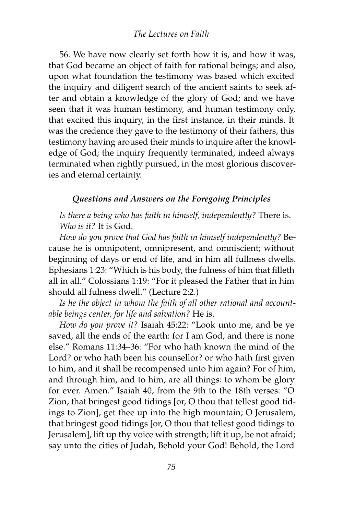56. We have now clearly set forth how it is, and how it was, that God became an object of faith for rational beings; and also, upon what foundation the testimony was based which excited the inquiry and diligent search of the ancient saints to seek after and obtain a knowledge of the glory of God; and we have seen that it was human testimony, and human testimony only, that excited this inquiry, in the first instance, in their minds. It was the credence they gave to the testimony of their fathers, this testimony having aroused their minds to inquire after the knowledge of God; the inquiry frequently terminated, indeed always terminated when rightly pursued, in the most glorious discoveries and eternal certainty.

#### *Questions and Answers on the Foregoing Principles*

*Is there a being who has faith in himself, independently?* There is. *Who is it?* It is God.

*How do you prove that God has faith in himself independently?* Because he is omnipotent, omnipresent, and omniscient; without beginning of days or end of life, and in him all fullness dwells. Ephesians 1:23: "Which is his body, the fulness of him that filleth all in all." Colossians 1:19: "For it pleased the Father that in him should all fulness dwell." (Lecture 2:2.)

*Is he the object in whom the faith of all other rational and accountable beings center, for life and salvation?* He is.

*How do you prove it?* Isaiah 45:22: "Look unto me, and be ye saved, all the ends of the earth: for I am God, and there is none else." Romans 11:34–36: "For who hath known the mind of the Lord? or who hath been his counsellor? or who hath first given to him, and it shall be recompensed unto him again? For of him, and through him, and to him, are all things: to whom be glory for ever. Amen." Isaiah 40, from the 9th to the 18th verses: "O Zion, that bringest good tidings [or, O thou that tellest good tidings to Zion], get thee up into the high mountain; O Jerusalem, that bringest good tidings [or, O thou that tellest good tidings to Jerusalem], lift up thy voice with strength; lift it up, be not afraid; say unto the cities of Judah, Behold your God! Behold, the Lord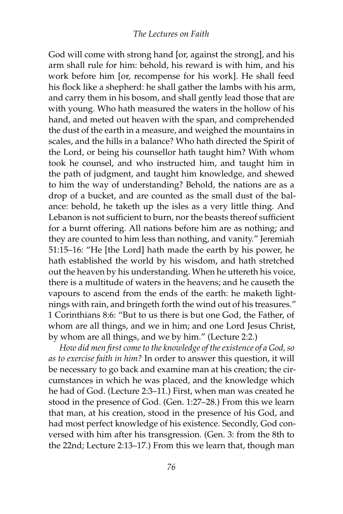God will come with strong hand [or, against the strong], and his arm shall rule for him: behold, his reward is with him, and his work before him [or, recompense for his work]. He shall feed his flock like a shepherd: he shall gather the lambs with his arm, and carry them in his bosom, and shall gently lead those that are with young. Who hath measured the waters in the hollow of his hand, and meted out heaven with the span, and comprehended the dust of the earth in a measure, and weighed the mountains in scales, and the hills in a balance? Who hath directed the Spirit of the Lord, or being his counsellor hath taught him? With whom took he counsel, and who instructed him, and taught him in the path of judgment, and taught him knowledge, and shewed to him the way of understanding? Behold, the nations are as a drop of a bucket, and are counted as the small dust of the balance: behold, he taketh up the isles as a very little thing. And Lebanon is not sufficient to burn, nor the beasts thereof sufficient for a burnt offering. All nations before him are as nothing; and they are counted to him less than nothing, and vanity." Jeremiah 51:15–16: "He [the Lord] hath made the earth by his power, he hath established the world by his wisdom, and hath stretched out the heaven by his understanding. When he uttereth his voice, there is a multitude of waters in the heavens; and he causeth the vapours to ascend from the ends of the earth: he maketh lightnings with rain, and bringeth forth the wind out of his treasures." 1 Corinthians 8:6: "But to us there is but one God, the Father, of whom are all things, and we in him; and one Lord Jesus Christ, by whom are all things, and we by him." (Lecture 2:2.)

*How did men first come to the knowledge of the existence of a God, so as to exercise faith in him?* In order to answer this question, it will be necessary to go back and examine man at his creation; the circumstances in which he was placed, and the knowledge which he had of God. (Lecture 2:3–11.) First, when man was created he stood in the presence of God. (Gen. 1:27–28.) From this we learn that man, at his creation, stood in the presence of his God, and had most perfect knowledge of his existence. Secondly, God conversed with him after his transgression. (Gen. 3: from the 8th to the 22nd; Lecture 2:13–17.) From this we learn that, though man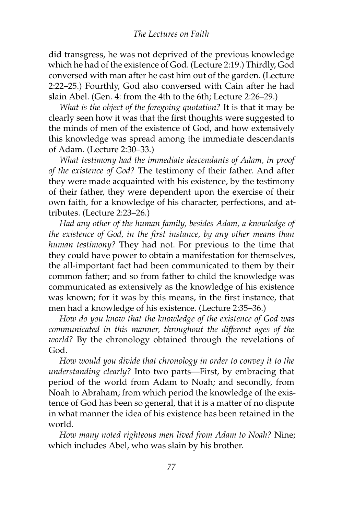did transgress, he was not deprived of the previous knowledge which he had of the existence of God. (Lecture 2:19.) Thirdly, God conversed with man after he cast him out of the garden. (Lecture 2:22–25.) Fourthly, God also conversed with Cain after he had slain Abel. (Gen. 4: from the 4th to the 6th; Lecture 2:26–29.)

*What is the object of the foregoing quotation?* It is that it may be clearly seen how it was that the first thoughts were suggested to the minds of men of the existence of God, and how extensively this knowledge was spread among the immediate descendants of Adam. (Lecture 2:30–33.)

*What testimony had the immediate descendants of Adam, in proof of the existence of God?* The testimony of their father. And after they were made acquainted with his existence, by the testimony of their father, they were dependent upon the exercise of their own faith, for a knowledge of his character, perfections, and attributes. (Lecture 2:23–26.)

*Had any other of the human family, besides Adam, a knowledge of the existence of God, in the first instance, by any other means than human testimony?* They had not. For previous to the time that they could have power to obtain a manifestation for themselves, the all-important fact had been communicated to them by their common father; and so from father to child the knowledge was communicated as extensively as the knowledge of his existence was known; for it was by this means, in the first instance, that men had a knowledge of his existence. (Lecture 2:35–36.)

*How do you know that the knowledge of the existence of God was communicated in this manner, throughout the different ages of the world?* By the chronology obtained through the revelations of God.

*How would you divide that chronology in order to convey it to the understanding clearly?* Into two parts—First, by embracing that period of the world from Adam to Noah; and secondly, from Noah to Abraham; from which period the knowledge of the existence of God has been so general, that it is a matter of no dispute in what manner the idea of his existence has been retained in the world.

*How many noted righteous men lived from Adam to Noah?* Nine; which includes Abel, who was slain by his brother.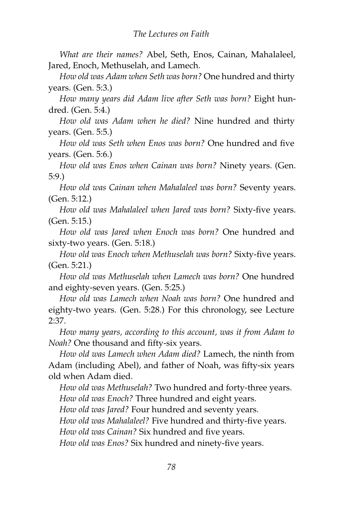*What are their names?* Abel, Seth, Enos, Cainan, Mahalaleel, Jared, Enoch, Methuselah, and Lamech.

*How old was Adam when Seth was born?* One hundred and thirty years. (Gen. 5:3.)

*How many years did Adam live after Seth was born?* Eight hundred. (Gen. 5:4.)

*How old was Adam when he died?* Nine hundred and thirty years. (Gen. 5:5.)

*How old was Seth when Enos was born?* One hundred and five years. (Gen. 5:6.)

*How old was Enos when Cainan was born?* Ninety years. (Gen. 5:9.)

*How old was Cainan when Mahalaleel was born?* Seventy years. (Gen. 5:12.)

*How old was Mahalaleel when Jared was born?* Sixty-five years. (Gen. 5:15.)

*How old was Jared when Enoch was born?* One hundred and sixty-two years. (Gen. 5:18.)

*How old was Enoch when Methuselah was born?* Sixty-five years. (Gen. 5:21.)

*How old was Methuselah when Lamech was born?* One hundred and eighty-seven years. (Gen. 5:25.)

*How old was Lamech when Noah was born?* One hundred and eighty-two years. (Gen. 5:28.) For this chronology, see Lecture 2:37.

*How many years, according to this account, was it from Adam to Noah?* One thousand and fifty-six years.

*How old was Lamech when Adam died?* Lamech, the ninth from Adam (including Abel), and father of Noah, was fifty-six years old when Adam died.

*How old was Methuselah?* Two hundred and forty-three years.

*How old was Enoch?* Three hundred and eight years.

*How old was Jared?* Four hundred and seventy years.

*How old was Mahalaleel?* Five hundred and thirty-five years.

*How old was Cainan?* Six hundred and five years.

*How old was Enos?* Six hundred and ninety-five years.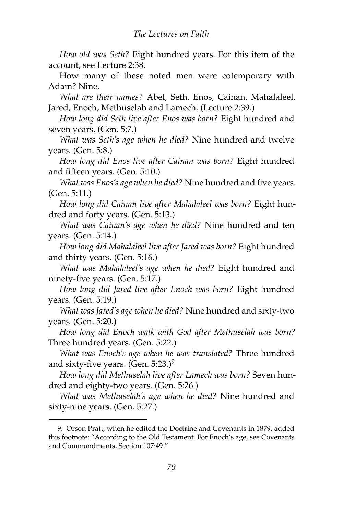*How old was Seth?* Eight hundred years. For this item of the account, see Lecture 2:38.

How many of these noted men were cotemporary with Adam? Nine.

*What are their names?* Abel, Seth, Enos, Cainan, Mahalaleel, Jared, Enoch, Methuselah and Lamech. (Lecture 2:39.)

*How long did Seth live after Enos was born?* Eight hundred and seven years. (Gen. 5:7.)

*What was Seth's age when he died?* Nine hundred and twelve years. (Gen. 5:8.)

*How long did Enos live after Cainan was born?* Eight hundred and fifteen years. (Gen. 5:10.)

*What was Enos's age when he died?* Nine hundred and five years. (Gen. 5:11.)

*How long did Cainan live after Mahalaleel was born?* Eight hundred and forty years. (Gen. 5:13.)

*What was Cainan's age when he died?* Nine hundred and ten years. (Gen. 5:14.)

*How long did Mahalaleel live after Jared was born?* Eight hundred and thirty years. (Gen. 5:16.)

*What was Mahalaleel's age when he died?* Eight hundred and ninety-five years. (Gen. 5:17.)

*How long did Jared live after Enoch was born?* Eight hundred years. (Gen. 5:19.)

*What was Jared's age when he died?* Nine hundred and sixty-two years. (Gen. 5:20.)

*How long did Enoch walk with God after Methuselah was born?* Three hundred years. (Gen. 5:22.)

*What was Enoch's age when he was translated?* Three hundred and sixty-five years. (Gen.  $5:23.$ )<sup>9</sup>

*How long did Methuselah live after Lamech was born?* Seven hundred and eighty-two years. (Gen. 5:26.)

*What was Methuselah's age when he died?* Nine hundred and sixty-nine years. (Gen. 5:27.)

<sup>9.</sup> Orson Pratt, when he edited the Doctrine and Covenants in 1879, added this footnote: "According to the Old Testament. For Enoch's age, see Covenants and Commandments, Section 107:49."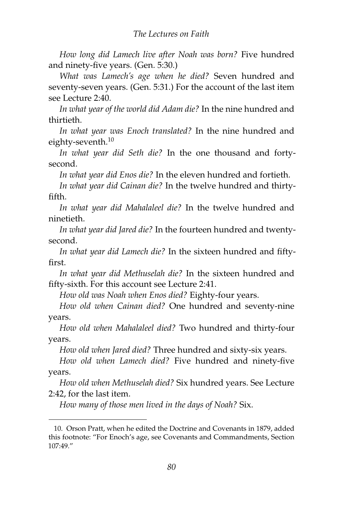*How long did Lamech live after Noah was born?* Five hundred and ninety-five years. (Gen. 5:30.)

*What was Lamech's age when he died?* Seven hundred and seventy-seven years. (Gen. 5:31.) For the account of the last item see Lecture 2:40.

*In what year of the world did Adam die?* In the nine hundred and thirtieth.

*In what year was Enoch translated?* In the nine hundred and eighty-seventh.<sup>10</sup>

*In what year did Seth die?* In the one thousand and fortysecond.

*In what year did Enos die?* In the eleven hundred and fortieth.

*In what year did Cainan die?* In the twelve hundred and thirtyfifth.

*In what year did Mahalaleel die?* In the twelve hundred and ninetieth.

*In what year did Jared die?* In the fourteen hundred and twentysecond.

*In what year did Lamech die?* In the sixteen hundred and fiftyfirst.

*In what year did Methuselah die?* In the sixteen hundred and fifty-sixth. For this account see Lecture 2:41.

*How old was Noah when Enos died?* Eighty-four years.

*How old when Cainan died?* One hundred and seventy-nine years.

*How old when Mahalaleel died?* Two hundred and thirty-four years.

*How old when Jared died?* Three hundred and sixty-six years.

*How old when Lamech died?* Five hundred and ninety-five years.

*How old when Methuselah died?* Six hundred years. See Lecture 2:42, for the last item.

*How many of those men lived in the days of Noah?* Six.

<sup>10.</sup> Orson Pratt, when he edited the Doctrine and Covenants in 1879, added this footnote: "For Enoch's age, see Covenants and Commandments, Section 107:49."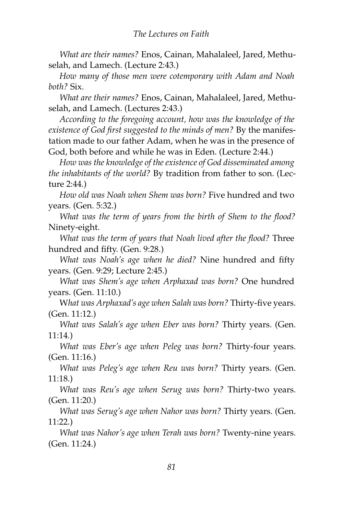*What are their names?* Enos, Cainan, Mahalaleel, Jared, Methuselah, and Lamech. (Lecture 2:43.)

*How many of those men were cotemporary with Adam and Noah both?* Six.

*What are their names?* Enos, Cainan, Mahalaleel, Jared, Methuselah, and Lamech. (Lectures 2:43.)

*According to the foregoing account, how was the knowledge of the existence of God first suggested to the minds of men?* By the manifestation made to our father Adam, when he was in the presence of God, both before and while he was in Eden. (Lecture 2:44.)

*How was the knowledge of the existence of God disseminated among the inhabitants of the world?* By tradition from father to son. (Lecture 2:44.)

*How old was Noah when Shem was born?* Five hundred and two years. (Gen. 5:32.)

*What was the term of years from the birth of Shem to the flood?* Ninety-eight.

*What was the term of years that Noah lived after the flood?* Three hundred and fifty. (Gen. 9:28.)

*What was Noah's age when he died?* Nine hundred and fifty years. (Gen. 9:29; Lecture 2:45.)

*What was Shem's age when Arphaxad was born?* One hundred years. (Gen. 11:10.)

W*hat was Arphaxad's age when Salah was born?* Thirty-five years. (Gen. 11:12.)

*What was Salah's age when Eber was born?* Thirty years. (Gen. 11:14.)

*What was Eber's age when Peleg was born?* Thirty-four years. (Gen. 11:16.)

*What was Peleg's age when Reu was born?* Thirty years. (Gen. 11:18.)

*What was Reu's age when Serug was born?* Thirty-two years. (Gen. 11:20.)

*What was Serug's age when Nahor was born?* Thirty years. (Gen. 11:22.)

*What was Nahor's age when Terah was born?* Twenty-nine years. (Gen. 11:24.)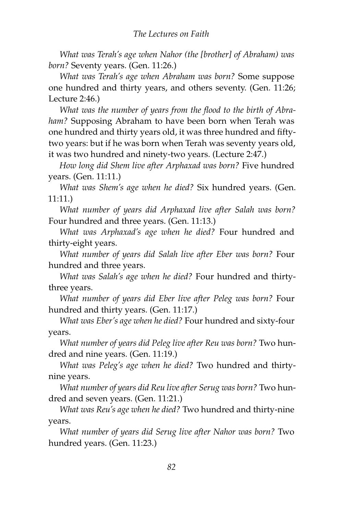*What was Terah's age when Nahor (the [brother] of Abraham) was born?* Seventy years. (Gen. 11:26.)

*What was Terah's age when Abraham was born?* Some suppose one hundred and thirty years, and others seventy. (Gen. 11:26; Lecture 2:46.)

*What was the number of years from the flood to the birth of Abraham?* Supposing Abraham to have been born when Terah was one hundred and thirty years old, it was three hundred and fiftytwo years: but if he was born when Terah was seventy years old, it was two hundred and ninety-two years. (Lecture 2:47.)

*How long did Shem live after Arphaxad was born?* Five hundred years. (Gen. 11:11.)

*What was Shem's age when he died?* Six hundred years. (Gen. 11:11.)

*What number of years did Arphaxad live after Salah was born?* Four hundred and three years. (Gen. 11:13.)

*What was Arphaxad's age when he died?* Four hundred and thirty-eight years.

*What number of years did Salah live after Eber was born?* Four hundred and three years.

*What was Salah's age when he died?* Four hundred and thirtythree years.

*What number of years did Eber live after Peleg was born?* Four hundred and thirty years. (Gen. 11:17.)

*What was Eber's age when he died?* Four hundred and sixty-four years.

*What number of years did Peleg live after Reu was born?* Two hundred and nine years. (Gen. 11:19.)

*What was Peleg's age when he died?* Two hundred and thirtynine years.

*What number of years did Reu live after Serug was born?* Two hundred and seven years. (Gen. 11:21.)

*What was Reu's age when he died?* Two hundred and thirty-nine years.

*What number of years did Serug live after Nahor was born?* Two hundred years. (Gen. 11:23.)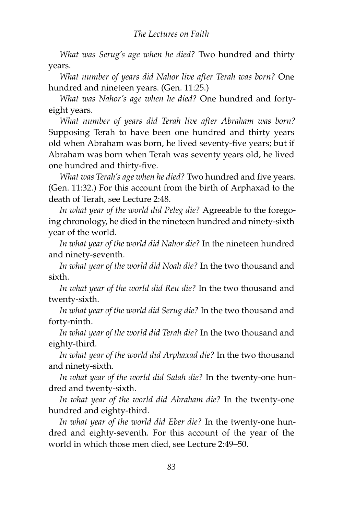*What was Serug's age when he died?* Two hundred and thirty years.

*What number of years did Nahor live after Terah was born?* One hundred and nineteen years. (Gen. 11:25.)

*What was Nahor's age when he died?* One hundred and fortyeight years.

*What number of years did Terah live after Abraham was born?* Supposing Terah to have been one hundred and thirty years old when Abraham was born, he lived seventy-five years; but if Abraham was born when Terah was seventy years old, he lived one hundred and thirty-five.

*What was Terah's age when he died?* Two hundred and five years. (Gen. 11:32.) For this account from the birth of Arphaxad to the death of Terah, see Lecture 2:48.

*In what year of the world did Peleg die?* Agreeable to the foregoing chronology, he died in the nineteen hundred and ninety-sixth year of the world.

*In what year of the world did Nahor die?* In the nineteen hundred and ninety-seventh.

*In what year of the world did Noah die?* In the two thousand and sixth.

*In what year of the world did Reu die?* In the two thousand and twenty-sixth.

*In what year of the world did Serug die?* In the two thousand and forty-ninth.

*In what year of the world did Terah die?* In the two thousand and eighty-third.

*In what year of the world did Arphaxad die?* In the two thousand and ninety-sixth.

*In what year of the world did Salah die?* In the twenty-one hundred and twenty-sixth.

*In what year of the world did Abraham die?* In the twenty-one hundred and eighty-third.

*In what year of the world did Eber die?* In the twenty-one hundred and eighty-seventh. For this account of the year of the world in which those men died, see Lecture 2:49–50.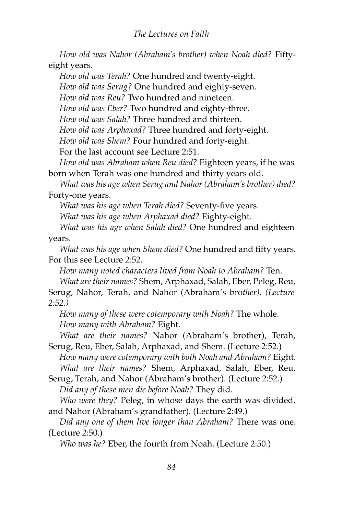*How old was Nahor (Abraham's brother) when Noah died?* Fiftyeight years.

*How old was Terah?* One hundred and twenty-eight. *How old was Serug?* One hundred and eighty-seven.

*How old was Reu?* Two hundred and nineteen.

*How old was Eber?* Two hundred and eighty-three.

*How old was Salah?* Three hundred and thirteen.

*How old was Arphaxad?* Three hundred and forty-eight.

*How old was Shem?* Four hundred and forty-eight.

For the last account see Lecture 2:51.

*How old was Abraham when Reu died?* Eighteen years, if he was born when Terah was one hundred and thirty years old.

*What was his age when Serug and Nahor (Abraham's brother) died?* Forty-one years.

*What was his age when Terah died?* Seventy-five years.

*What was his age when Arphaxad died?* Eighty-eight.

*What was his age when Salah died?* One hundred and eighteen years.

*What was his age when Shem died?* One hundred and fifty years. For this see Lecture 2:52.

*How many noted characters lived from Noah to Abraham?* Ten. *What are their names?* Shem, Arphaxad, Salah, Eber, Peleg, Reu, Serug, Nahor, Terah, and Nahor (Abraham's bro*ther). (Lecture 2:52.)*

*How many of these were cotemporary with Noah?* The whole. *How many with Abraham?* Eight.

*What are their names?* Nahor (Abraham's brother), Terah, Serug, Reu, Eber, Salah, Arphaxad, and Shem. (Lecture 2:52.)

*How many were cotemporary with both Noah and Abraham?* Eight. *What are their names?* Shem, Arphaxad, Salah, Eber, Reu,

Serug, Terah, and Nahor (Abraham's brother). (Lecture 2:52.)

*Did any of these men die before Noah?* They did.

*Who were they?* Peleg, in whose days the earth was divided, and Nahor (Abraham's grandfather). (Lecture 2:49.)

*Did any one of them live longer than Abraham?* There was one. (Lecture 2:50.)

*Who was he?* Eber, the fourth from Noah. (Lecture 2:50.)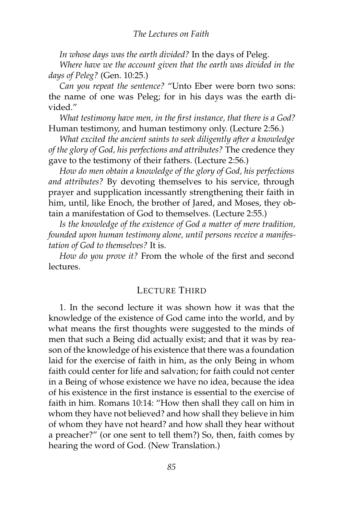*In whose days was the earth divided?* In the days of Peleg.

*Where have we the account given that the earth was divided in the days of Peleg?* (Gen. 10:25.)

*Can you repeat the sentence?* "Unto Eber were born two sons: the name of one was Peleg; for in his days was the earth divided."

*What testimony have men, in the first instance, that there is a God?* Human testimony, and human testimony only. (Lecture 2:56.)

*What excited the ancient saints to seek diligently after a knowledge of the glory of God, his perfections and attributes?* The credence they gave to the testimony of their fathers. (Lecture 2:56.)

*How do men obtain a knowledge of the glory of God, his perfections and attributes?* By devoting themselves to his service, through prayer and supplication incessantly strengthening their faith in him, until, like Enoch, the brother of Jared, and Moses, they obtain a manifestation of God to themselves. (Lecture 2:55.)

*Is the knowledge of the existence of God a matter of mere tradition, founded upon human testimony alone, until persons receive a manifestation of God to themselves?* It is.

*How do you prove it?* From the whole of the first and second lectures.

## LECTURE THIRD

1. In the second lecture it was shown how it was that the knowledge of the existence of God came into the world, and by what means the first thoughts were suggested to the minds of men that such a Being did actually exist; and that it was by reason of the knowledge of his existence that there was a foundation laid for the exercise of faith in him, as the only Being in whom faith could center for life and salvation; for faith could not center in a Being of whose existence we have no idea, because the idea of his existence in the first instance is essential to the exercise of faith in him. Romans 10:14: "How then shall they call on him in whom they have not believed? and how shall they believe in him of whom they have not heard? and how shall they hear without a preacher?" (or one sent to tell them?) So, then, faith comes by hearing the word of God. (New Translation.)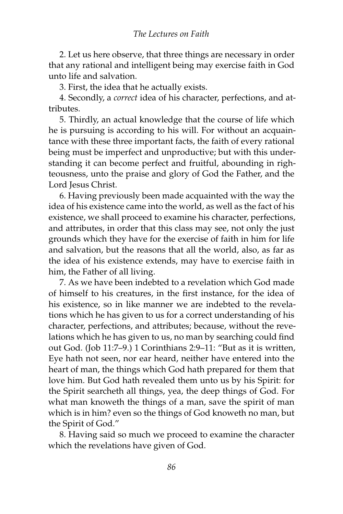2. Let us here observe, that three things are necessary in order that any rational and intelligent being may exercise faith in God unto life and salvation.

3. First, the idea that he actually exists.

4. Secondly, a *correct* idea of his character, perfections, and attributes.

5. Thirdly, an actual knowledge that the course of life which he is pursuing is according to his will. For without an acquaintance with these three important facts, the faith of every rational being must be imperfect and unproductive; but with this understanding it can become perfect and fruitful, abounding in righteousness, unto the praise and glory of God the Father, and the Lord Jesus Christ.

6. Having previously been made acquainted with the way the idea of his existence came into the world, as well as the fact of his existence, we shall proceed to examine his character, perfections, and attributes, in order that this class may see, not only the just grounds which they have for the exercise of faith in him for life and salvation, but the reasons that all the world, also, as far as the idea of his existence extends, may have to exercise faith in him, the Father of all living.

7. As we have been indebted to a revelation which God made of himself to his creatures, in the first instance, for the idea of his existence, so in like manner we are indebted to the revelations which he has given to us for a correct understanding of his character, perfections, and attributes; because, without the revelations which he has given to us, no man by searching could find out God. (Job 11:7–9.) 1 Corinthians 2:9–11: "But as it is written, Eye hath not seen, nor ear heard, neither have entered into the heart of man, the things which God hath prepared for them that love him. But God hath revealed them unto us by his Spirit: for the Spirit searcheth all things, yea, the deep things of God. For what man knoweth the things of a man, save the spirit of man which is in him? even so the things of God knoweth no man, but the Spirit of God."

8. Having said so much we proceed to examine the character which the revelations have given of God.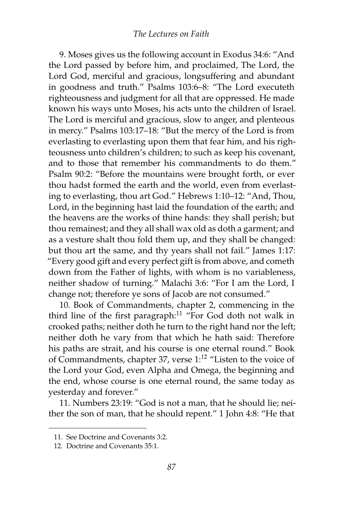9. Moses gives us the following account in Exodus 34:6: "And the Lord passed by before him, and proclaimed, The Lord, the Lord God, merciful and gracious, longsuffering and abundant in goodness and truth." Psalms 103:6–8: "The Lord executeth righteousness and judgment for all that are oppressed. He made known his ways unto Moses, his acts unto the children of Israel. The Lord is merciful and gracious, slow to anger, and plenteous in mercy." Psalms 103:17–18: "But the mercy of the Lord is from everlasting to everlasting upon them that fear him, and his righteousness unto children's children; to such as keep his covenant, and to those that remember his commandments to do them." Psalm 90:2: "Before the mountains were brought forth, or ever thou hadst formed the earth and the world, even from everlasting to everlasting, thou art God." Hebrews 1:10–12: "And, Thou, Lord, in the beginning hast laid the foundation of the earth; and the heavens are the works of thine hands: they shall perish; but thou remainest; and they all shall wax old as doth a garment; and as a vesture shalt thou fold them up, and they shall be changed: but thou art the same, and thy years shall not fail." James 1:17: "Every good gift and every perfect gift is from above, and cometh down from the Father of lights, with whom is no variableness, neither shadow of turning." Malachi 3:6: "For I am the Lord, I change not; therefore ye sons of Jacob are not consumed."

10. Book of Commandments, chapter 2, commencing in the third line of the first paragraph:<sup>11</sup> "For God doth not walk in crooked paths; neither doth he turn to the right hand nor the left; neither doth he vary from that which he hath said: Therefore his paths are strait, and his course is one eternal round." Book of Commandments, chapter 37, verse 1:<sup>12</sup> "Listen to the voice of the Lord your God, even Alpha and Omega, the beginning and the end, whose course is one eternal round, the same today as yesterday and forever."

11. Numbers 23:19: "God is not a man, that he should lie; neither the son of man, that he should repent." 1 John 4:8: "He that

<sup>11.</sup> See Doctrine and Covenants 3:2.

<sup>12.</sup> Doctrine and Covenants 35:1.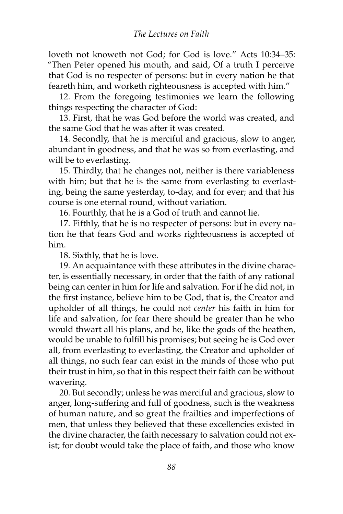loveth not knoweth not God; for God is love." Acts 10:34–35: "Then Peter opened his mouth, and said, Of a truth I perceive that God is no respecter of persons: but in every nation he that feareth him, and worketh righteousness is accepted with him."

12. From the foregoing testimonies we learn the following things respecting the character of God:

13. First, that he was God before the world was created, and the same God that he was after it was created.

14. Secondly, that he is merciful and gracious, slow to anger, abundant in goodness, and that he was so from everlasting, and will be to everlasting.

15. Thirdly, that he changes not, neither is there variableness with him; but that he is the same from everlasting to everlasting, being the same yesterday, to-day, and for ever; and that his course is one eternal round, without variation.

16. Fourthly, that he is a God of truth and cannot lie.

17. Fifthly, that he is no respecter of persons: but in every nation he that fears God and works righteousness is accepted of him.

18. Sixthly, that he is love.

19. An acquaintance with these attributes in the divine character, is essentially necessary, in order that the faith of any rational being can center in him for life and salvation. For if he did not, in the first instance, believe him to be God, that is, the Creator and upholder of all things, he could not *center* his faith in him for life and salvation, for fear there should be greater than he who would thwart all his plans, and he, like the gods of the heathen, would be unable to fulfill his promises; but seeing he is God over all, from everlasting to everlasting, the Creator and upholder of all things, no such fear can exist in the minds of those who put their trust in him, so that in this respect their faith can be without wavering.

20. But secondly; unless he was merciful and gracious, slow to anger, long-suffering and full of goodness, such is the weakness of human nature, and so great the frailties and imperfections of men, that unless they believed that these excellencies existed in the divine character, the faith necessary to salvation could not exist; for doubt would take the place of faith, and those who know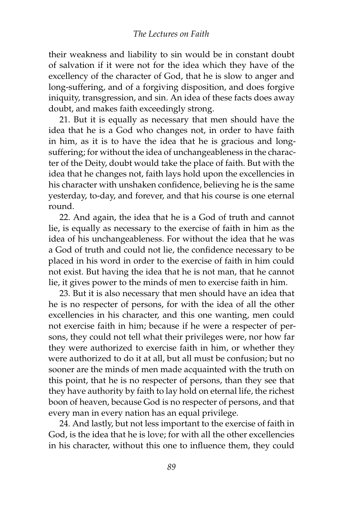their weakness and liability to sin would be in constant doubt of salvation if it were not for the idea which they have of the excellency of the character of God, that he is slow to anger and long-suffering, and of a forgiving disposition, and does forgive iniquity, transgression, and sin. An idea of these facts does away doubt, and makes faith exceedingly strong.

21. But it is equally as necessary that men should have the idea that he is a God who changes not, in order to have faith in him, as it is to have the idea that he is gracious and longsuffering; for without the idea of unchangeableness in the character of the Deity, doubt would take the place of faith. But with the idea that he changes not, faith lays hold upon the excellencies in his character with unshaken confidence, believing he is the same yesterday, to-day, and forever, and that his course is one eternal round.

22. And again, the idea that he is a God of truth and cannot lie, is equally as necessary to the exercise of faith in him as the idea of his unchangeableness. For without the idea that he was a God of truth and could not lie, the confidence necessary to be placed in his word in order to the exercise of faith in him could not exist. But having the idea that he is not man, that he cannot lie, it gives power to the minds of men to exercise faith in him.

23. But it is also necessary that men should have an idea that he is no respecter of persons, for with the idea of all the other excellencies in his character, and this one wanting, men could not exercise faith in him; because if he were a respecter of persons, they could not tell what their privileges were, nor how far they were authorized to exercise faith in him, or whether they were authorized to do it at all, but all must be confusion; but no sooner are the minds of men made acquainted with the truth on this point, that he is no respecter of persons, than they see that they have authority by faith to lay hold on eternal life, the richest boon of heaven, because God is no respecter of persons, and that every man in every nation has an equal privilege.

24. And lastly, but not less important to the exercise of faith in God, is the idea that he is love; for with all the other excellencies in his character, without this one to influence them, they could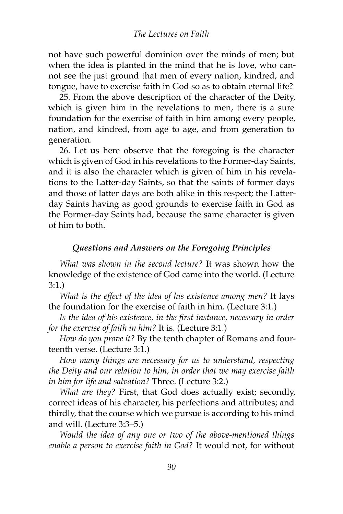not have such powerful dominion over the minds of men; but when the idea is planted in the mind that he is love, who cannot see the just ground that men of every nation, kindred, and tongue, have to exercise faith in God so as to obtain eternal life?

25. From the above description of the character of the Deity, which is given him in the revelations to men, there is a sure foundation for the exercise of faith in him among every people, nation, and kindred, from age to age, and from generation to generation.

26. Let us here observe that the foregoing is the character which is given of God in his revelations to the Former-day Saints, and it is also the character which is given of him in his revelations to the Latter-day Saints, so that the saints of former days and those of latter days are both alike in this respect; the Latterday Saints having as good grounds to exercise faith in God as the Former-day Saints had, because the same character is given of him to both.

# *Questions and Answers on the Foregoing Principles*

*What was shown in the second lecture?* It was shown how the knowledge of the existence of God came into the world. (Lecture 3:1.)

*What is the effect of the idea of his existence among men?* It lays the foundation for the exercise of faith in him. (Lecture 3:1.)

*Is the idea of his existence, in the first instance, necessary in order for the exercise of faith in him?* It is. (Lecture 3:1.)

*How do you prove it?* By the tenth chapter of Romans and fourteenth verse. (Lecture 3:1.)

*How many things are necessary for us to understand, respecting the Deity and our relation to him, in order that we may exercise faith in him for life and salvation?* Three. (Lecture 3:2.)

*What are they?* First, that God does actually exist; secondly, correct ideas of his character, his perfections and attributes; and thirdly, that the course which we pursue is according to his mind and will. (Lecture 3:3–5.)

*Would the idea of any one or two of the above-mentioned things enable a person to exercise faith in God?* It would not, for without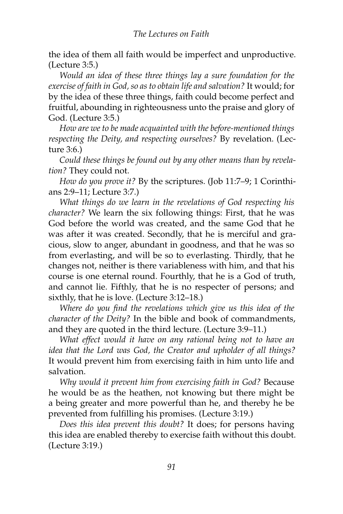the idea of them all faith would be imperfect and unproductive. (Lecture 3:5.)

*Would an idea of these three things lay a sure foundation for the exercise of faith in God, so as to obtain life and salvation?* It would; for by the idea of these three things, faith could become perfect and fruitful, abounding in righteousness unto the praise and glory of God. (Lecture 3:5.)

*How are we to be made acquainted with the before-mentioned things respecting the Deity, and respecting ourselves?* By revelation. (Lecture 3:6.)

*Could these things be found out by any other means than by revelation?* They could not.

*How do you prove it?* By the scriptures. (Job 11:7–9; 1 Corinthians 2:9–11; Lecture 3:7.)

*What things do we learn in the revelations of God respecting his character?* We learn the six following things: First, that he was God before the world was created, and the same God that he was after it was created. Secondly, that he is merciful and gracious, slow to anger, abundant in goodness, and that he was so from everlasting, and will be so to everlasting. Thirdly, that he changes not, neither is there variableness with him, and that his course is one eternal round. Fourthly, that he is a God of truth, and cannot lie. Fifthly, that he is no respecter of persons; and sixthly, that he is love. (Lecture 3:12–18.)

*Where do you find the revelations which give us this idea of the character of the Deity?* In the bible and book of commandments, and they are quoted in the third lecture. (Lecture 3:9–11.)

*What effect would it have on any rational being not to have an idea that the Lord was God, the Creator and upholder of all things?* It would prevent him from exercising faith in him unto life and salvation.

*Why would it prevent him from exercising faith in God?* Because he would be as the heathen, not knowing but there might be a being greater and more powerful than he, and thereby he be prevented from fulfilling his promises. (Lecture 3:19.)

*Does this idea prevent this doubt?* It does; for persons having this idea are enabled thereby to exercise faith without this doubt. (Lecture 3:19.)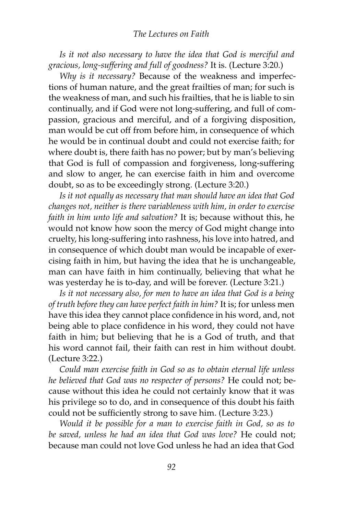*Is it not also necessary to have the idea that God is merciful and gracious, long-suffering and full of goodness?* It is. (Lecture 3:20.)

*Why is it necessary?* Because of the weakness and imperfections of human nature, and the great frailties of man; for such is the weakness of man, and such his frailties, that he is liable to sin continually, and if God were not long-suffering, and full of compassion, gracious and merciful, and of a forgiving disposition, man would be cut off from before him, in consequence of which he would be in continual doubt and could not exercise faith; for where doubt is, there faith has no power; but by man's believing that God is full of compassion and forgiveness, long-suffering and slow to anger, he can exercise faith in him and overcome doubt, so as to be exceedingly strong. (Lecture 3:20.)

*Is it not equally as necessary that man should have an idea that God changes not, neither is there variableness with him, in order to exercise faith in him unto life and salvation?* It is; because without this, he would not know how soon the mercy of God might change into cruelty, his long-suffering into rashness, his love into hatred, and in consequence of which doubt man would be incapable of exercising faith in him, but having the idea that he is unchangeable, man can have faith in him continually, believing that what he was yesterday he is to-day, and will be forever. (Lecture 3:21.)

*Is it not necessary also, for men to have an idea that God is a being of truth before they can have perfect faith in him?* It is; for unless men have this idea they cannot place confidence in his word, and, not being able to place confidence in his word, they could not have faith in him; but believing that he is a God of truth, and that his word cannot fail, their faith can rest in him without doubt. (Lecture 3:22.)

*Could man exercise faith in God so as to obtain eternal life unless he believed that God was no respecter of persons?* He could not; because without this idea he could not certainly know that it was his privilege so to do, and in consequence of this doubt his faith could not be sufficiently strong to save him. (Lecture 3:23.)

*Would it be possible for a man to exercise faith in God, so as to be saved, unless he had an idea that God was love?* He could not; because man could not love God unless he had an idea that God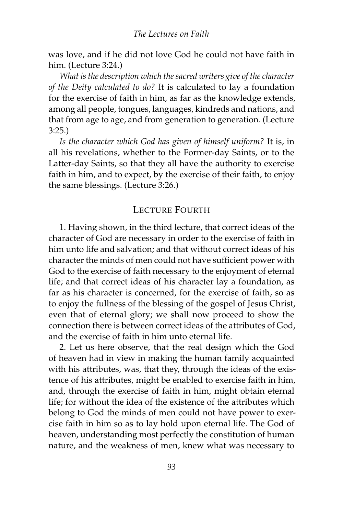was love, and if he did not love God he could not have faith in him. (Lecture 3:24.)

*What is the description which the sacred writers give of the character of the Deity calculated to do?* It is calculated to lay a foundation for the exercise of faith in him, as far as the knowledge extends, among all people, tongues, languages, kindreds and nations, and that from age to age, and from generation to generation. (Lecture 3:25.)

*Is the character which God has given of himself uniform?* It is, in all his revelations, whether to the Former-day Saints, or to the Latter-day Saints, so that they all have the authority to exercise faith in him, and to expect, by the exercise of their faith, to enjoy the same blessings. (Lecture 3:26.)

# LECTURE FOURTH

1. Having shown, in the third lecture, that correct ideas of the character of God are necessary in order to the exercise of faith in him unto life and salvation; and that without correct ideas of his character the minds of men could not have sufficient power with God to the exercise of faith necessary to the enjoyment of eternal life; and that correct ideas of his character lay a foundation, as far as his character is concerned, for the exercise of faith, so as to enjoy the fullness of the blessing of the gospel of Jesus Christ, even that of eternal glory; we shall now proceed to show the connection there is between correct ideas of the attributes of God, and the exercise of faith in him unto eternal life.

2. Let us here observe, that the real design which the God of heaven had in view in making the human family acquainted with his attributes, was, that they, through the ideas of the existence of his attributes, might be enabled to exercise faith in him, and, through the exercise of faith in him, might obtain eternal life; for without the idea of the existence of the attributes which belong to God the minds of men could not have power to exercise faith in him so as to lay hold upon eternal life. The God of heaven, understanding most perfectly the constitution of human nature, and the weakness of men, knew what was necessary to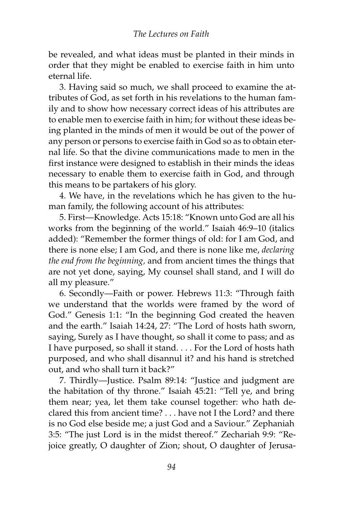be revealed, and what ideas must be planted in their minds in order that they might be enabled to exercise faith in him unto eternal life.

3. Having said so much, we shall proceed to examine the attributes of God, as set forth in his revelations to the human family and to show how necessary correct ideas of his attributes are to enable men to exercise faith in him; for without these ideas being planted in the minds of men it would be out of the power of any person or persons to exercise faith in God so as to obtain eternal life. So that the divine communications made to men in the first instance were designed to establish in their minds the ideas necessary to enable them to exercise faith in God, and through this means to be partakers of his glory.

4. We have, in the revelations which he has given to the human family, the following account of his attributes:

5. First—Knowledge. Acts 15:18: "Known unto God are all his works from the beginning of the world." Isaiah 46:9–10 (italics added): "Remember the former things of old: for I am God, and there is none else; I am God, and there is none like me, *declaring the end from the beginning,* and from ancient times the things that are not yet done, saying, My counsel shall stand, and I will do all my pleasure."

6. Secondly—Faith or power. Hebrews 11:3: "Through faith we understand that the worlds were framed by the word of God." Genesis 1:1: "In the beginning God created the heaven and the earth." Isaiah 14:24, 27: "The Lord of hosts hath sworn, saying, Surely as I have thought, so shall it come to pass; and as I have purposed, so shall it stand. . . . For the Lord of hosts hath purposed, and who shall disannul it? and his hand is stretched out, and who shall turn it back?"

7. Thirdly—Justice. Psalm 89:14: "Justice and judgment are the habitation of thy throne." Isaiah 45:21: "Tell ye, and bring them near; yea, let them take counsel together: who hath declared this from ancient time? . . . have not I the Lord? and there is no God else beside me; a just God and a Saviour." Zephaniah 3:5: "The just Lord is in the midst thereof." Zechariah 9:9: "Rejoice greatly, O daughter of Zion; shout, O daughter of Jerusa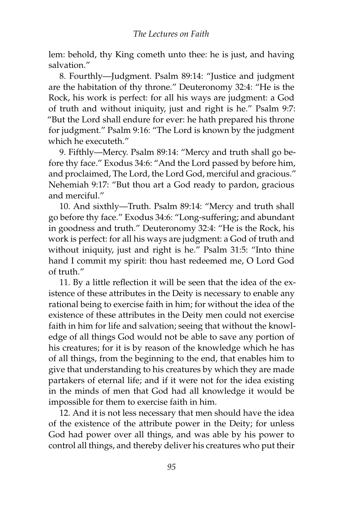lem: behold, thy King cometh unto thee: he is just, and having salvation."

8. Fourthly—Judgment. Psalm 89:14: "Justice and judgment are the habitation of thy throne." Deuteronomy 32:4: "He is the Rock, his work is perfect: for all his ways are judgment: a God of truth and without iniquity, just and right is he." Psalm 9:7: "But the Lord shall endure for ever: he hath prepared his throne for judgment." Psalm 9:16: "The Lord is known by the judgment which he executeth."

9. Fifthly—Mercy. Psalm 89:14: "Mercy and truth shall go before thy face." Exodus 34:6: "And the Lord passed by before him, and proclaimed, The Lord, the Lord God, merciful and gracious." Nehemiah 9:17: "But thou art a God ready to pardon, gracious and merciful."

10. And sixthly—Truth. Psalm 89:14: "Mercy and truth shall go before thy face." Exodus 34:6: "Long-suffering; and abundant in goodness and truth." Deuteronomy 32:4: "He is the Rock, his work is perfect: for all his ways are judgment: a God of truth and without iniquity, just and right is he." Psalm 31:5: "Into thine hand I commit my spirit: thou hast redeemed me, O Lord God of truth."

11. By a little reflection it will be seen that the idea of the existence of these attributes in the Deity is necessary to enable any rational being to exercise faith in him; for without the idea of the existence of these attributes in the Deity men could not exercise faith in him for life and salvation; seeing that without the knowledge of all things God would not be able to save any portion of his creatures; for it is by reason of the knowledge which he has of all things, from the beginning to the end, that enables him to give that understanding to his creatures by which they are made partakers of eternal life; and if it were not for the idea existing in the minds of men that God had all knowledge it would be impossible for them to exercise faith in him.

12. And it is not less necessary that men should have the idea of the existence of the attribute power in the Deity; for unless God had power over all things, and was able by his power to control all things, and thereby deliver his creatures who put their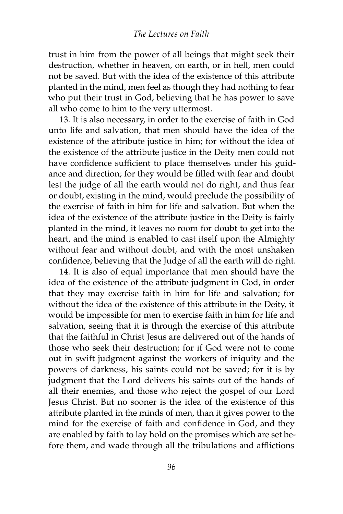trust in him from the power of all beings that might seek their destruction, whether in heaven, on earth, or in hell, men could not be saved. But with the idea of the existence of this attribute planted in the mind, men feel as though they had nothing to fear who put their trust in God, believing that he has power to save all who come to him to the very uttermost.

13. It is also necessary, in order to the exercise of faith in God unto life and salvation, that men should have the idea of the existence of the attribute justice in him; for without the idea of the existence of the attribute justice in the Deity men could not have confidence sufficient to place themselves under his guidance and direction; for they would be filled with fear and doubt lest the judge of all the earth would not do right, and thus fear or doubt, existing in the mind, would preclude the possibility of the exercise of faith in him for life and salvation. But when the idea of the existence of the attribute justice in the Deity is fairly planted in the mind, it leaves no room for doubt to get into the heart, and the mind is enabled to cast itself upon the Almighty without fear and without doubt, and with the most unshaken confidence, believing that the Judge of all the earth will do right.

14. It is also of equal importance that men should have the idea of the existence of the attribute judgment in God, in order that they may exercise faith in him for life and salvation; for without the idea of the existence of this attribute in the Deity, it would be impossible for men to exercise faith in him for life and salvation, seeing that it is through the exercise of this attribute that the faithful in Christ Jesus are delivered out of the hands of those who seek their destruction; for if God were not to come out in swift judgment against the workers of iniquity and the powers of darkness, his saints could not be saved; for it is by judgment that the Lord delivers his saints out of the hands of all their enemies, and those who reject the gospel of our Lord Jesus Christ. But no sooner is the idea of the existence of this attribute planted in the minds of men, than it gives power to the mind for the exercise of faith and confidence in God, and they are enabled by faith to lay hold on the promises which are set before them, and wade through all the tribulations and afflictions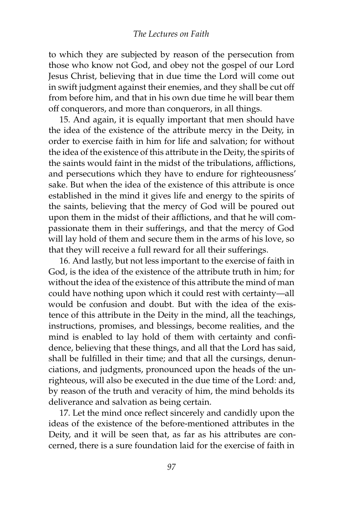to which they are subjected by reason of the persecution from those who know not God, and obey not the gospel of our Lord Jesus Christ, believing that in due time the Lord will come out in swift judgment against their enemies, and they shall be cut off from before him, and that in his own due time he will bear them off conquerors, and more than conquerors, in all things.

15. And again, it is equally important that men should have the idea of the existence of the attribute mercy in the Deity, in order to exercise faith in him for life and salvation; for without the idea of the existence of this attribute in the Deity, the spirits of the saints would faint in the midst of the tribulations, afflictions, and persecutions which they have to endure for righteousness' sake. But when the idea of the existence of this attribute is once established in the mind it gives life and energy to the spirits of the saints, believing that the mercy of God will be poured out upon them in the midst of their afflictions, and that he will compassionate them in their sufferings, and that the mercy of God will lay hold of them and secure them in the arms of his love, so that they will receive a full reward for all their sufferings.

16. And lastly, but not less important to the exercise of faith in God, is the idea of the existence of the attribute truth in him; for without the idea of the existence of this attribute the mind of man could have nothing upon which it could rest with certainty—all would be confusion and doubt. But with the idea of the existence of this attribute in the Deity in the mind, all the teachings, instructions, promises, and blessings, become realities, and the mind is enabled to lay hold of them with certainty and confidence, believing that these things, and all that the Lord has said, shall be fulfilled in their time; and that all the cursings, denunciations, and judgments, pronounced upon the heads of the unrighteous, will also be executed in the due time of the Lord: and, by reason of the truth and veracity of him, the mind beholds its deliverance and salvation as being certain.

17. Let the mind once reflect sincerely and candidly upon the ideas of the existence of the before-mentioned attributes in the Deity, and it will be seen that, as far as his attributes are concerned, there is a sure foundation laid for the exercise of faith in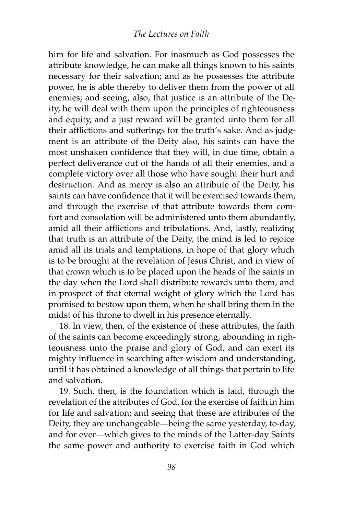him for life and salvation. For inasmuch as God possesses the attribute knowledge, he can make all things known to his saints necessary for their salvation; and as he possesses the attribute power, he is able thereby to deliver them from the power of all enemies; and seeing, also, that justice is an attribute of the Deity, he will deal with them upon the principles of righteousness and equity, and a just reward will be granted unto them for all their afflictions and sufferings for the truth's sake. And as judgment is an attribute of the Deity also, his saints can have the most unshaken confidence that they will, in due time, obtain a perfect deliverance out of the hands of all their enemies, and a complete victory over all those who have sought their hurt and destruction. And as mercy is also an attribute of the Deity, his saints can have confidence that it will be exercised towards them, and through the exercise of that attribute towards them comfort and consolation will be administered unto them abundantly, amid all their afflictions and tribulations. And, lastly, realizing that truth is an attribute of the Deity, the mind is led to rejoice amid all its trials and temptations, in hope of that glory which is to be brought at the revelation of Jesus Christ, and in view of that crown which is to be placed upon the heads of the saints in the day when the Lord shall distribute rewards unto them, and in prospect of that eternal weight of glory which the Lord has promised to bestow upon them, when he shall bring them in the midst of his throne to dwell in his presence eternally.

18. In view, then, of the existence of these attributes, the faith of the saints can become exceedingly strong, abounding in righteousness unto the praise and glory of God, and can exert its mighty influence in searching after wisdom and understanding, until it has obtained a knowledge of all things that pertain to life and salvation.

19. Such, then, is the foundation which is laid, through the revelation of the attributes of God, for the exercise of faith in him for life and salvation; and seeing that these are attributes of the Deity, they are unchangeable—being the same yesterday, to-day, and for ever—which gives to the minds of the Latter-day Saints the same power and authority to exercise faith in God which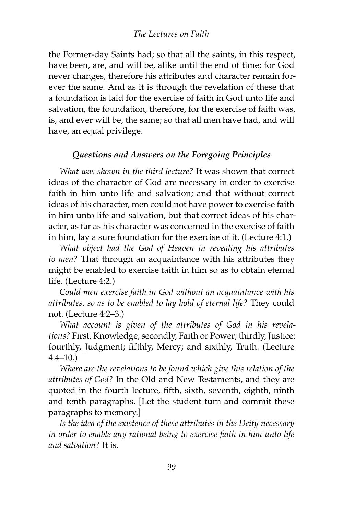## *The Lectures on Faith*

the Former-day Saints had; so that all the saints, in this respect, have been, are, and will be, alike until the end of time; for God never changes, therefore his attributes and character remain forever the same. And as it is through the revelation of these that a foundation is laid for the exercise of faith in God unto life and salvation, the foundation, therefore, for the exercise of faith was, is, and ever will be, the same; so that all men have had, and will have, an equal privilege.

### *Questions and Answers on the Foregoing Principles*

*What was shown in the third lecture?* It was shown that correct ideas of the character of God are necessary in order to exercise faith in him unto life and salvation; and that without correct ideas of his character, men could not have power to exercise faith in him unto life and salvation, but that correct ideas of his character, as far as his character was concerned in the exercise of faith in him, lay a sure foundation for the exercise of it. (Lecture 4:1.)

*What object had the God of Heaven in revealing his attributes to men?* That through an acquaintance with his attributes they might be enabled to exercise faith in him so as to obtain eternal life. (Lecture 4:2.)

*Could men exercise faith in God without an acquaintance with his attributes, so as to be enabled to lay hold of eternal life?* They could not. (Lecture 4:2–3.)

*What account is given of the attributes of God in his revelations?* First, Knowledge; secondly, Faith or Power; thirdly, Justice; fourthly, Judgment; fifthly, Mercy; and sixthly, Truth. (Lecture 4:4–10.)

*Where are the revelations to be found which give this relation of the attributes of God?* In the Old and New Testaments, and they are quoted in the fourth lecture, fifth, sixth, seventh, eighth, ninth and tenth paragraphs. [Let the student turn and commit these paragraphs to memory.]

*Is the idea of the existence of these attributes in the Deity necessary in order to enable any rational being to exercise faith in him unto life and salvation?* It is.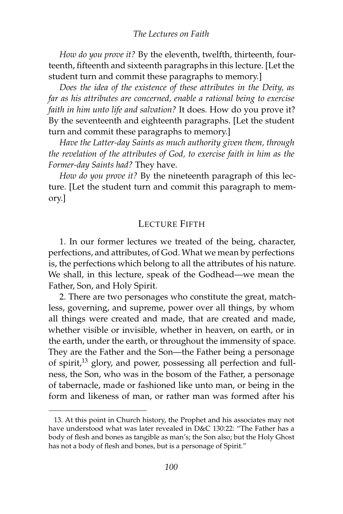#### *The Lectures on Faith*

*How do you prove it?* By the eleventh, twelfth, thirteenth, fourteenth, fifteenth and sixteenth paragraphs in this lecture. [Let the student turn and commit these paragraphs to memory.]

*Does the idea of the existence of these attributes in the Deity, as far as his attributes are concerned, enable a rational being to exercise faith in him unto life and salvation?* It does. How do you prove it? By the seventeenth and eighteenth paragraphs. [Let the student turn and commit these paragraphs to memory.]

*Have the Latter-day Saints as much authority given them, through the revelation of the attributes of God, to exercise faith in him as the Former-day Saints had?* They have.

*How do you prove it?* By the nineteenth paragraph of this lecture. [Let the student turn and commit this paragraph to memory.]

## LECTURE FIFTH

1. In our former lectures we treated of the being, character, perfections, and attributes, of God. What we mean by perfections is, the perfections which belong to all the attributes of his nature. We shall, in this lecture, speak of the Godhead—we mean the Father, Son, and Holy Spirit.

2. There are two personages who constitute the great, matchless, governing, and supreme, power over all things, by whom all things were created and made, that are created and made, whether visible or invisible, whether in heaven, on earth, or in the earth, under the earth, or throughout the immensity of space. They are the Father and the Son—the Father being a personage of spirit,<sup>13</sup> glory, and power, possessing all perfection and fullness, the Son, who was in the bosom of the Father, a personage of tabernacle, made or fashioned like unto man, or being in the form and likeness of man, or rather man was formed after his

<sup>13.</sup> At this point in Church history, the Prophet and his associates may not have understood what was later revealed in D&C 130:22: "The Father has a body of flesh and bones as tangible as man's; the Son also; but the Holy Ghost has not a body of flesh and bones, but is a personage of Spirit."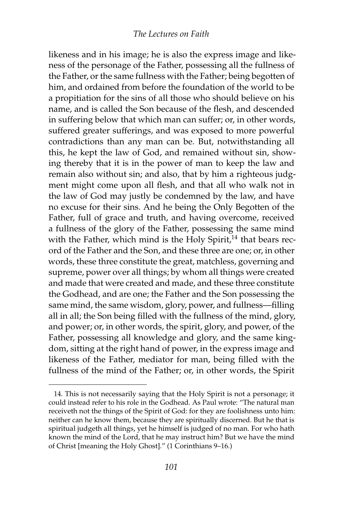likeness and in his image; he is also the express image and likeness of the personage of the Father, possessing all the fullness of the Father, or the same fullness with the Father; being begotten of him, and ordained from before the foundation of the world to be a propitiation for the sins of all those who should believe on his name, and is called the Son because of the flesh, and descended in suffering below that which man can suffer; or, in other words, suffered greater sufferings, and was exposed to more powerful contradictions than any man can be. But, notwithstanding all this, he kept the law of God, and remained without sin, showing thereby that it is in the power of man to keep the law and remain also without sin; and also, that by him a righteous judgment might come upon all flesh, and that all who walk not in the law of God may justly be condemned by the law, and have no excuse for their sins. And he being the Only Begotten of the Father, full of grace and truth, and having overcome, received a fullness of the glory of the Father, possessing the same mind with the Father, which mind is the Holy Spirit, $^{14}$  that bears record of the Father and the Son, and these three are one; or, in other words, these three constitute the great, matchless, governing and supreme, power over all things; by whom all things were created and made that were created and made, and these three constitute the Godhead, and are one; the Father and the Son possessing the same mind, the same wisdom, glory, power, and fullness—filling all in all; the Son being filled with the fullness of the mind, glory, and power; or, in other words, the spirit, glory, and power, of the Father, possessing all knowledge and glory, and the same kingdom, sitting at the right hand of power, in the express image and likeness of the Father, mediator for man, being filled with the fullness of the mind of the Father; or, in other words, the Spirit

<sup>14.</sup> This is not necessarily saying that the Holy Spirit is not a personage; it could instead refer to his role in the Godhead. As Paul wrote: "The natural man receiveth not the things of the Spirit of God: for they are foolishness unto him: neither can he know them, because they are spiritually discerned. But he that is spiritual judgeth all things, yet he himself is judged of no man. For who hath known the mind of the Lord, that he may instruct him? But we have the mind of Christ [meaning the Holy Ghost]." (1 Corinthians 9–16.)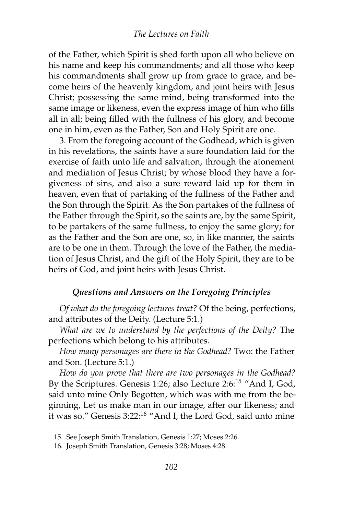#### *The Lectures on Faith*

of the Father, which Spirit is shed forth upon all who believe on his name and keep his commandments; and all those who keep his commandments shall grow up from grace to grace, and become heirs of the heavenly kingdom, and joint heirs with Jesus Christ; possessing the same mind, being transformed into the same image or likeness, even the express image of him who fills all in all; being filled with the fullness of his glory, and become one in him, even as the Father, Son and Holy Spirit are one.

3. From the foregoing account of the Godhead, which is given in his revelations, the saints have a sure foundation laid for the exercise of faith unto life and salvation, through the atonement and mediation of Jesus Christ; by whose blood they have a forgiveness of sins, and also a sure reward laid up for them in heaven, even that of partaking of the fullness of the Father and the Son through the Spirit. As the Son partakes of the fullness of the Father through the Spirit, so the saints are, by the same Spirit, to be partakers of the same fullness, to enjoy the same glory; for as the Father and the Son are one, so, in like manner, the saints are to be one in them. Through the love of the Father, the mediation of Jesus Christ, and the gift of the Holy Spirit, they are to be heirs of God, and joint heirs with Jesus Christ.

## *Questions and Answers on the Foregoing Principles*

*Of what do the foregoing lectures treat?* Of the being, perfections, and attributes of the Deity. (Lecture 5:1.)

*What are we to understand by the perfections of the Deity?* The perfections which belong to his attributes.

*How many personages are there in the Godhead?* Two: the Father and Son. (Lecture 5:1.)

*How do you prove that there are two personages in the Godhead?* By the Scriptures. Genesis 1:26; also Lecture 2:6:<sup>15</sup> "And I, God, said unto mine Only Begotten, which was with me from the beginning, Let us make man in our image, after our likeness; and it was so." Genesis 3:22:<sup>16</sup> "And I, the Lord God, said unto mine

<sup>15.</sup> See Joseph Smith Translation, Genesis 1:27; Moses 2:26.

<sup>16.</sup> Joseph Smith Translation, Genesis 3:28; Moses 4:28.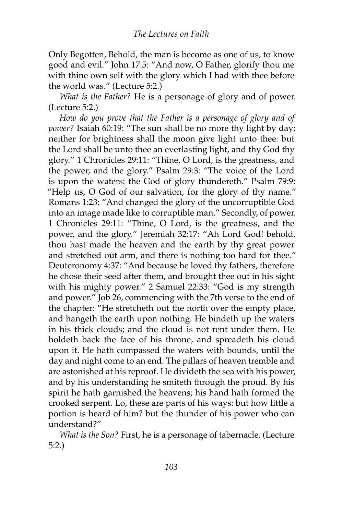Only Begotten, Behold, the man is become as one of us, to know good and evil." John 17:5: "And now, O Father, glorify thou me with thine own self with the glory which I had with thee before the world was." (Lecture 5:2.)

*What is the Father?* He is a personage of glory and of power. (Lecture 5:2.)

*How do you prove that the Father is a personage of glory and of power?* Isaiah 60:19: "The sun shall be no more thy light by day; neither for brightness shall the moon give light unto thee: but the Lord shall be unto thee an everlasting light, and thy God thy glory." 1 Chronicles 29:11: "Thine, O Lord, is the greatness, and the power, and the glory." Psalm 29:3: "The voice of the Lord is upon the waters: the God of glory thundereth." Psalm 79:9: "Help us, O God of our salvation, for the glory of thy name." Romans 1:23: "And changed the glory of the uncorruptible God into an image made like to corruptible man." Secondly, of power. 1 Chronicles 29:11: "Thine, O Lord, is the greatness, and the power, and the glory." Jeremiah 32:17: "Ah Lord God! behold, thou hast made the heaven and the earth by thy great power and stretched out arm, and there is nothing too hard for thee." Deuteronomy 4:37: "And because he loved thy fathers, therefore he chose their seed after them, and brought thee out in his sight with his mighty power." 2 Samuel 22:33: "God is my strength and power." Job 26, commencing with the 7th verse to the end of the chapter: "He stretcheth out the north over the empty place, and hangeth the earth upon nothing. He bindeth up the waters in his thick clouds; and the cloud is not rent under them. He holdeth back the face of his throne, and spreadeth his cloud upon it. He hath compassed the waters with bounds, until the day and night come to an end. The pillars of heaven tremble and are astonished at his reproof. He divideth the sea with his power, and by his understanding he smiteth through the proud. By his spirit he hath garnished the heavens; his hand hath formed the crooked serpent. Lo, these are parts of his ways: but how little a portion is heard of him? but the thunder of his power who can understand?"

*What is the Son?* First, he is a personage of tabernacle. (Lecture 5:2.)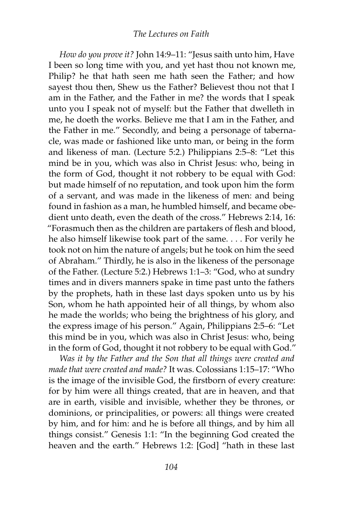#### *The Lectures on Faith*

*How do you prove it?* John 14:9–11: "Jesus saith unto him, Have I been so long time with you, and yet hast thou not known me, Philip? he that hath seen me hath seen the Father; and how sayest thou then, Shew us the Father? Believest thou not that I am in the Father, and the Father in me? the words that I speak unto you I speak not of myself: but the Father that dwelleth in me, he doeth the works. Believe me that I am in the Father, and the Father in me." Secondly, and being a personage of tabernacle, was made or fashioned like unto man, or being in the form and likeness of man. (Lecture 5:2.) Philippians 2:5–8: "Let this mind be in you, which was also in Christ Jesus: who, being in the form of God, thought it not robbery to be equal with God: but made himself of no reputation, and took upon him the form of a servant, and was made in the likeness of men: and being found in fashion as a man, he humbled himself, and became obedient unto death, even the death of the cross." Hebrews 2:14, 16: "Forasmuch then as the children are partakers of flesh and blood, he also himself likewise took part of the same. . . . For verily he took not on him the nature of angels; but he took on him the seed of Abraham." Thirdly, he is also in the likeness of the personage of the Father. (Lecture 5:2.) Hebrews 1:1–3: "God, who at sundry times and in divers manners spake in time past unto the fathers by the prophets, hath in these last days spoken unto us by his Son, whom he hath appointed heir of all things, by whom also he made the worlds; who being the brightness of his glory, and the express image of his person." Again, Philippians 2:5–6: "Let this mind be in you, which was also in Christ Jesus: who, being in the form of God, thought it not robbery to be equal with God."

*Was it by the Father and the Son that all things were created and made that were created and made?* It was. Colossians 1:15–17: "Who is the image of the invisible God, the firstborn of every creature: for by him were all things created, that are in heaven, and that are in earth, visible and invisible, whether they be thrones, or dominions, or principalities, or powers: all things were created by him, and for him: and he is before all things, and by him all things consist." Genesis 1:1: "In the beginning God created the heaven and the earth." Hebrews 1:2: [God] "hath in these last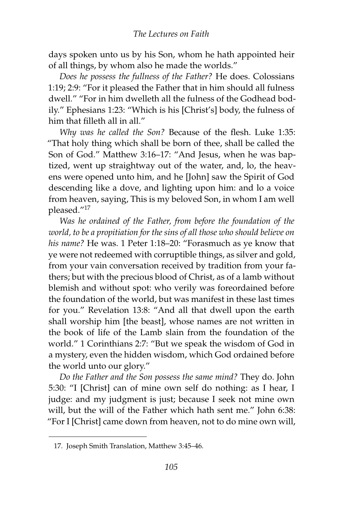days spoken unto us by his Son, whom he hath appointed heir of all things, by whom also he made the worlds."

*Does he possess the fullness of the Father?* He does. Colossians 1:19; 2:9: "For it pleased the Father that in him should all fulness dwell." "For in him dwelleth all the fulness of the Godhead bodily." Ephesians 1:23: "Which is his [Christ's] body, the fulness of him that filleth all in all."

*Why was he called the Son?* Because of the flesh. Luke 1:35: "That holy thing which shall be born of thee, shall be called the Son of God." Matthew 3:16–17: "And Jesus, when he was baptized, went up straightway out of the water, and, lo, the heavens were opened unto him, and he [John] saw the Spirit of God descending like a dove, and lighting upon him: and lo a voice from heaven, saying, This is my beloved Son, in whom I am well pleased."<sup>17</sup>

*Was he ordained of the Father, from before the foundation of the world, to be a propitiation for the sins of all those who should believe on his name?* He was. 1 Peter 1:18–20: "Forasmuch as ye know that ye were not redeemed with corruptible things, as silver and gold, from your vain conversation received by tradition from your fathers; but with the precious blood of Christ, as of a lamb without blemish and without spot: who verily was foreordained before the foundation of the world, but was manifest in these last times for you." Revelation 13:8: "And all that dwell upon the earth shall worship him [the beast], whose names are not written in the book of life of the Lamb slain from the foundation of the world." 1 Corinthians 2:7: "But we speak the wisdom of God in a mystery, even the hidden wisdom, which God ordained before the world unto our glory."

*Do the Father and the Son possess the same mind?* They do. John 5:30: "I [Christ] can of mine own self do nothing: as I hear, I judge: and my judgment is just; because I seek not mine own will, but the will of the Father which hath sent me." John 6:38: "For I [Christ] came down from heaven, not to do mine own will,

<sup>17.</sup> Joseph Smith Translation, Matthew 3:45–46.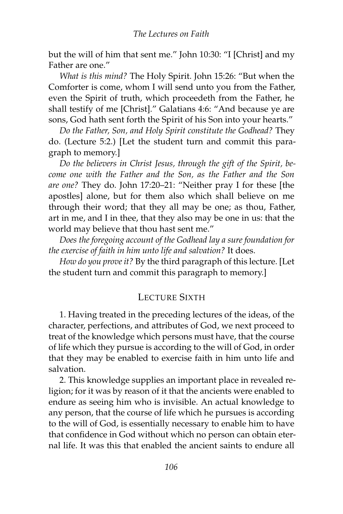but the will of him that sent me." John 10:30: "I [Christ] and my Father are one."

*What is this mind?* The Holy Spirit. John 15:26: "But when the Comforter is come, whom I will send unto you from the Father, even the Spirit of truth, which proceedeth from the Father, he shall testify of me [Christ]." Galatians 4:6: "And because ye are sons, God hath sent forth the Spirit of his Son into your hearts."

*Do the Father, Son, and Holy Spirit constitute the Godhead?* They do. (Lecture 5:2.) [Let the student turn and commit this paragraph to memory.]

*Do the believers in Christ Jesus, through the gift of the Spirit, become one with the Father and the Son, as the Father and the Son are one?* They do. John 17:20–21: "Neither pray I for these [the apostles] alone, but for them also which shall believe on me through their word; that they all may be one; as thou, Father, art in me, and I in thee, that they also may be one in us: that the world may believe that thou hast sent me."

*Does the foregoing account of the Godhead lay a sure foundation for the exercise of faith in him unto life and salvation?* It does.

*How do you prove it?* By the third paragraph of this lecture. [Let the student turn and commit this paragraph to memory.]

## LECTURE SIXTH

1. Having treated in the preceding lectures of the ideas, of the character, perfections, and attributes of God, we next proceed to treat of the knowledge which persons must have, that the course of life which they pursue is according to the will of God, in order that they may be enabled to exercise faith in him unto life and salvation.

2. This knowledge supplies an important place in revealed religion; for it was by reason of it that the ancients were enabled to endure as seeing him who is invisible. An actual knowledge to any person, that the course of life which he pursues is according to the will of God, is essentially necessary to enable him to have that confidence in God without which no person can obtain eternal life. It was this that enabled the ancient saints to endure all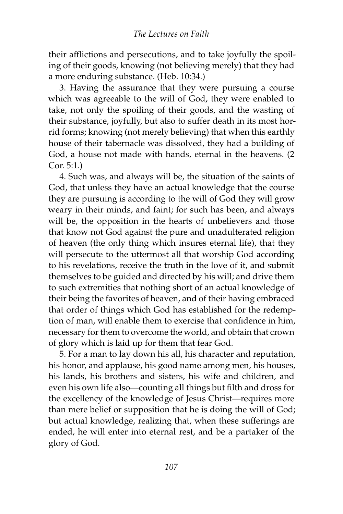their afflictions and persecutions, and to take joyfully the spoiling of their goods, knowing (not believing merely) that they had a more enduring substance. (Heb. 10:34.)

3. Having the assurance that they were pursuing a course which was agreeable to the will of God, they were enabled to take, not only the spoiling of their goods, and the wasting of their substance, joyfully, but also to suffer death in its most horrid forms; knowing (not merely believing) that when this earthly house of their tabernacle was dissolved, they had a building of God, a house not made with hands, eternal in the heavens. (2 Cor. 5:1.)

4. Such was, and always will be, the situation of the saints of God, that unless they have an actual knowledge that the course they are pursuing is according to the will of God they will grow weary in their minds, and faint; for such has been, and always will be, the opposition in the hearts of unbelievers and those that know not God against the pure and unadulterated religion of heaven (the only thing which insures eternal life), that they will persecute to the uttermost all that worship God according to his revelations, receive the truth in the love of it, and submit themselves to be guided and directed by his will; and drive them to such extremities that nothing short of an actual knowledge of their being the favorites of heaven, and of their having embraced that order of things which God has established for the redemption of man, will enable them to exercise that confidence in him, necessary for them to overcome the world, and obtain that crown of glory which is laid up for them that fear God.

5. For a man to lay down his all, his character and reputation, his honor, and applause, his good name among men, his houses, his lands, his brothers and sisters, his wife and children, and even his own life also—counting all things but filth and dross for the excellency of the knowledge of Jesus Christ—requires more than mere belief or supposition that he is doing the will of God; but actual knowledge, realizing that, when these sufferings are ended, he will enter into eternal rest, and be a partaker of the glory of God.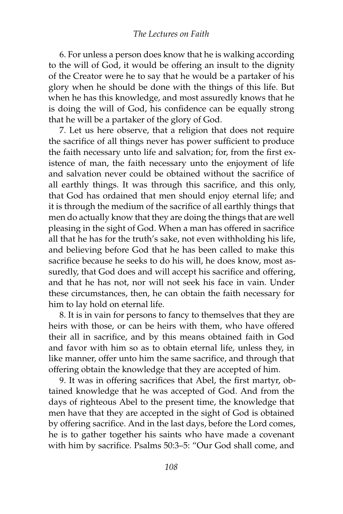#### *The Lectures on Faith*

6. For unless a person does know that he is walking according to the will of God, it would be offering an insult to the dignity of the Creator were he to say that he would be a partaker of his glory when he should be done with the things of this life. But when he has this knowledge, and most assuredly knows that he is doing the will of God, his confidence can be equally strong that he will be a partaker of the glory of God.

7. Let us here observe, that a religion that does not require the sacrifice of all things never has power sufficient to produce the faith necessary unto life and salvation; for, from the first existence of man, the faith necessary unto the enjoyment of life and salvation never could be obtained without the sacrifice of all earthly things. It was through this sacrifice, and this only, that God has ordained that men should enjoy eternal life; and it is through the medium of the sacrifice of all earthly things that men do actually know that they are doing the things that are well pleasing in the sight of God. When a man has offered in sacrifice all that he has for the truth's sake, not even withholding his life, and believing before God that he has been called to make this sacrifice because he seeks to do his will, he does know, most assuredly, that God does and will accept his sacrifice and offering, and that he has not, nor will not seek his face in vain. Under these circumstances, then, he can obtain the faith necessary for him to lay hold on eternal life.

8. It is in vain for persons to fancy to themselves that they are heirs with those, or can be heirs with them, who have offered their all in sacrifice, and by this means obtained faith in God and favor with him so as to obtain eternal life, unless they, in like manner, offer unto him the same sacrifice, and through that offering obtain the knowledge that they are accepted of him.

9. It was in offering sacrifices that Abel, the first martyr, obtained knowledge that he was accepted of God. And from the days of righteous Abel to the present time, the knowledge that men have that they are accepted in the sight of God is obtained by offering sacrifice. And in the last days, before the Lord comes, he is to gather together his saints who have made a covenant with him by sacrifice. Psalms 50:3–5: "Our God shall come, and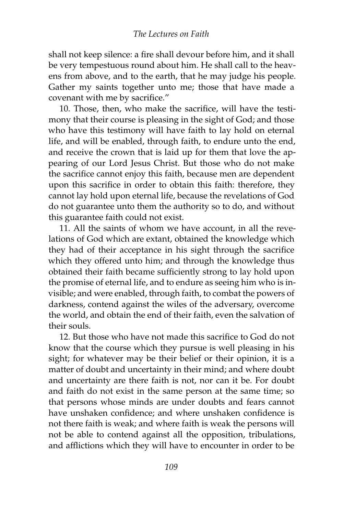shall not keep silence: a fire shall devour before him, and it shall be very tempestuous round about him. He shall call to the heavens from above, and to the earth, that he may judge his people. Gather my saints together unto me; those that have made a covenant with me by sacrifice."

10. Those, then, who make the sacrifice, will have the testimony that their course is pleasing in the sight of God; and those who have this testimony will have faith to lay hold on eternal life, and will be enabled, through faith, to endure unto the end, and receive the crown that is laid up for them that love the appearing of our Lord Jesus Christ. But those who do not make the sacrifice cannot enjoy this faith, because men are dependent upon this sacrifice in order to obtain this faith: therefore, they cannot lay hold upon eternal life, because the revelations of God do not guarantee unto them the authority so to do, and without this guarantee faith could not exist.

11. All the saints of whom we have account, in all the revelations of God which are extant, obtained the knowledge which they had of their acceptance in his sight through the sacrifice which they offered unto him; and through the knowledge thus obtained their faith became sufficiently strong to lay hold upon the promise of eternal life, and to endure as seeing him who is invisible; and were enabled, through faith, to combat the powers of darkness, contend against the wiles of the adversary, overcome the world, and obtain the end of their faith, even the salvation of their souls.

12. But those who have not made this sacrifice to God do not know that the course which they pursue is well pleasing in his sight; for whatever may be their belief or their opinion, it is a matter of doubt and uncertainty in their mind; and where doubt and uncertainty are there faith is not, nor can it be. For doubt and faith do not exist in the same person at the same time; so that persons whose minds are under doubts and fears cannot have unshaken confidence; and where unshaken confidence is not there faith is weak; and where faith is weak the persons will not be able to contend against all the opposition, tribulations, and afflictions which they will have to encounter in order to be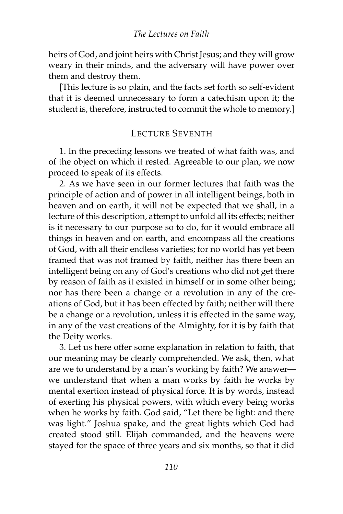heirs of God, and joint heirs with Christ Jesus; and they will grow weary in their minds, and the adversary will have power over them and destroy them.

[This lecture is so plain, and the facts set forth so self-evident that it is deemed unnecessary to form a catechism upon it; the student is, therefore, instructed to commit the whole to memory.]

## LECTURE SEVENTH

1. In the preceding lessons we treated of what faith was, and of the object on which it rested. Agreeable to our plan, we now proceed to speak of its effects.

2. As we have seen in our former lectures that faith was the principle of action and of power in all intelligent beings, both in heaven and on earth, it will not be expected that we shall, in a lecture of this description, attempt to unfold all its effects; neither is it necessary to our purpose so to do, for it would embrace all things in heaven and on earth, and encompass all the creations of God, with all their endless varieties; for no world has yet been framed that was not framed by faith, neither has there been an intelligent being on any of God's creations who did not get there by reason of faith as it existed in himself or in some other being; nor has there been a change or a revolution in any of the creations of God, but it has been effected by faith; neither will there be a change or a revolution, unless it is effected in the same way, in any of the vast creations of the Almighty, for it is by faith that the Deity works.

3. Let us here offer some explanation in relation to faith, that our meaning may be clearly comprehended. We ask, then, what are we to understand by a man's working by faith? We answer we understand that when a man works by faith he works by mental exertion instead of physical force. It is by words, instead of exerting his physical powers, with which every being works when he works by faith. God said, "Let there be light: and there was light." Joshua spake, and the great lights which God had created stood still. Elijah commanded, and the heavens were stayed for the space of three years and six months, so that it did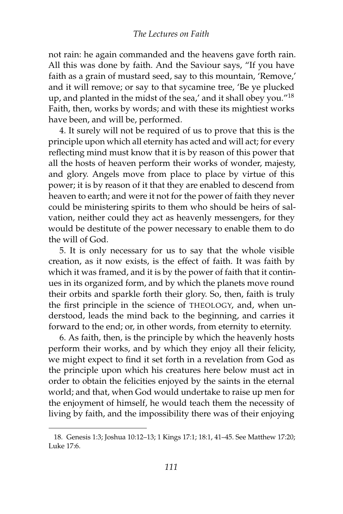not rain: he again commanded and the heavens gave forth rain. All this was done by faith. And the Saviour says, "If you have faith as a grain of mustard seed, say to this mountain, 'Remove,' and it will remove; or say to that sycamine tree, 'Be ye plucked up, and planted in the midst of the sea,' and it shall obey you."<sup>18</sup> Faith, then, works by words; and with these its mightiest works have been, and will be, performed.

4. It surely will not be required of us to prove that this is the principle upon which all eternity has acted and will act; for every reflecting mind must know that it is by reason of this power that all the hosts of heaven perform their works of wonder, majesty, and glory. Angels move from place to place by virtue of this power; it is by reason of it that they are enabled to descend from heaven to earth; and were it not for the power of faith they never could be ministering spirits to them who should be heirs of salvation, neither could they act as heavenly messengers, for they would be destitute of the power necessary to enable them to do the will of God.

5. It is only necessary for us to say that the whole visible creation, as it now exists, is the effect of faith. It was faith by which it was framed, and it is by the power of faith that it continues in its organized form, and by which the planets move round their orbits and sparkle forth their glory. So, then, faith is truly the first principle in the science of THEOLOGY, and, when understood, leads the mind back to the beginning, and carries it forward to the end; or, in other words, from eternity to eternity.

6. As faith, then, is the principle by which the heavenly hosts perform their works, and by which they enjoy all their felicity, we might expect to find it set forth in a revelation from God as the principle upon which his creatures here below must act in order to obtain the felicities enjoyed by the saints in the eternal world; and that, when God would undertake to raise up men for the enjoyment of himself, he would teach them the necessity of living by faith, and the impossibility there was of their enjoying

<sup>18.</sup> Genesis 1:3; Joshua 10:12–13; 1 Kings 17:1; 18:1, 41–45. See Matthew 17:20; Luke 17:6.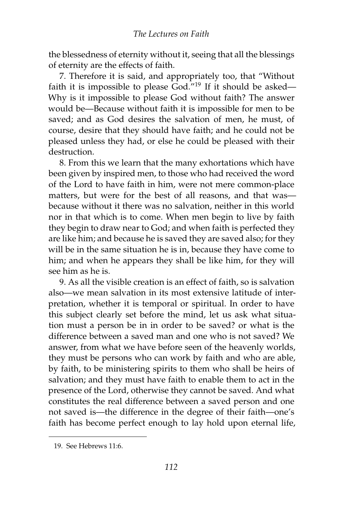the blessedness of eternity without it, seeing that all the blessings of eternity are the effects of faith.

7. Therefore it is said, and appropriately too, that "Without faith it is impossible to please God."<sup>19</sup> If it should be asked— Why is it impossible to please God without faith? The answer would be—Because without faith it is impossible for men to be saved; and as God desires the salvation of men, he must, of course, desire that they should have faith; and he could not be pleased unless they had, or else he could be pleased with their destruction.

8. From this we learn that the many exhortations which have been given by inspired men, to those who had received the word of the Lord to have faith in him, were not mere common-place matters, but were for the best of all reasons, and that was because without it there was no salvation, neither in this world nor in that which is to come. When men begin to live by faith they begin to draw near to God; and when faith is perfected they are like him; and because he is saved they are saved also; for they will be in the same situation he is in, because they have come to him; and when he appears they shall be like him, for they will see him as he is.

9. As all the visible creation is an effect of faith, so is salvation also—we mean salvation in its most extensive latitude of interpretation, whether it is temporal or spiritual. In order to have this subject clearly set before the mind, let us ask what situation must a person be in in order to be saved? or what is the difference between a saved man and one who is not saved? We answer, from what we have before seen of the heavenly worlds, they must be persons who can work by faith and who are able, by faith, to be ministering spirits to them who shall be heirs of salvation; and they must have faith to enable them to act in the presence of the Lord, otherwise they cannot be saved. And what constitutes the real difference between a saved person and one not saved is—the difference in the degree of their faith—one's faith has become perfect enough to lay hold upon eternal life,

<sup>19.</sup> See Hebrews 11:6.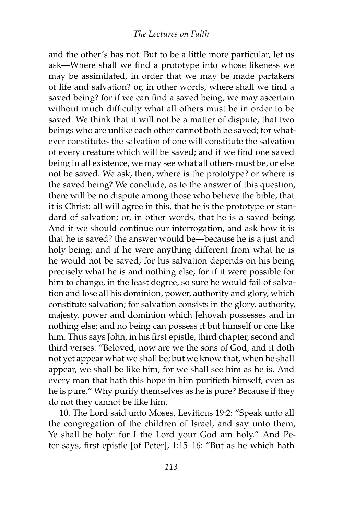and the other's has not. But to be a little more particular, let us ask—Where shall we find a prototype into whose likeness we may be assimilated, in order that we may be made partakers of life and salvation? or, in other words, where shall we find a saved being? for if we can find a saved being, we may ascertain without much difficulty what all others must be in order to be saved. We think that it will not be a matter of dispute, that two beings who are unlike each other cannot both be saved; for whatever constitutes the salvation of one will constitute the salvation of every creature which will be saved; and if we find one saved being in all existence, we may see what all others must be, or else not be saved. We ask, then, where is the prototype? or where is the saved being? We conclude, as to the answer of this question, there will be no dispute among those who believe the bible, that it is Christ: all will agree in this, that he is the prototype or standard of salvation; or, in other words, that he is a saved being. And if we should continue our interrogation, and ask how it is that he is saved? the answer would be—because he is a just and holy being; and if he were anything different from what he is he would not be saved; for his salvation depends on his being precisely what he is and nothing else; for if it were possible for him to change, in the least degree, so sure he would fail of salvation and lose all his dominion, power, authority and glory, which constitute salvation; for salvation consists in the glory, authority, majesty, power and dominion which Jehovah possesses and in nothing else; and no being can possess it but himself or one like him. Thus says John, in his first epistle, third chapter, second and third verses: "Beloved, now are we the sons of God, and it doth not yet appear what we shall be; but we know that, when he shall appear, we shall be like him, for we shall see him as he is. And every man that hath this hope in him purifieth himself, even as he is pure." Why purify themselves as he is pure? Because if they do not they cannot be like him.

10. The Lord said unto Moses, Leviticus 19:2: "Speak unto all the congregation of the children of Israel, and say unto them, Ye shall be holy: for I the Lord your God am holy." And Peter says, first epistle [of Peter], 1:15–16: "But as he which hath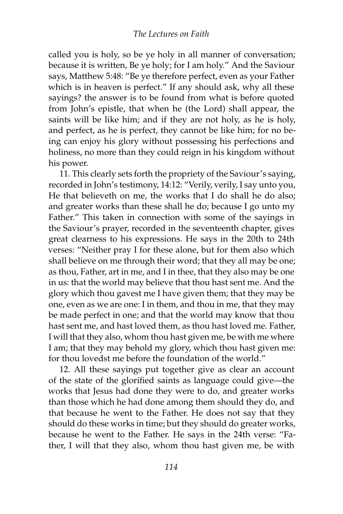called you is holy, so be ye holy in all manner of conversation; because it is written, Be ye holy; for I am holy." And the Saviour says, Matthew 5:48: "Be ye therefore perfect, even as your Father which is in heaven is perfect." If any should ask, why all these sayings? the answer is to be found from what is before quoted from John's epistle, that when he (the Lord) shall appear, the saints will be like him; and if they are not holy, as he is holy, and perfect, as he is perfect, they cannot be like him; for no being can enjoy his glory without possessing his perfections and holiness, no more than they could reign in his kingdom without his power.

11. This clearly sets forth the propriety of the Saviour's saying, recorded in John's testimony, 14:12: "Verily, verily, I say unto you, He that believeth on me, the works that I do shall he do also; and greater works than these shall he do; because I go unto my Father." This taken in connection with some of the sayings in the Saviour's prayer, recorded in the seventeenth chapter, gives great clearness to his expressions. He says in the 20th to 24th verses: "Neither pray I for these alone, but for them also which shall believe on me through their word; that they all may be one; as thou, Father, art in me, and I in thee, that they also may be one in us: that the world may believe that thou hast sent me. And the glory which thou gavest me I have given them; that they may be one, even as we are one: I in them, and thou in me, that they may be made perfect in one; and that the world may know that thou hast sent me, and hast loved them, as thou hast loved me. Father, I will that they also, whom thou hast given me, be with me where I am; that they may behold my glory, which thou hast given me: for thou lovedst me before the foundation of the world."

12. All these sayings put together give as clear an account of the state of the glorified saints as language could give—the works that Jesus had done they were to do, and greater works than those which he had done among them should they do, and that because he went to the Father. He does not say that they should do these works in time; but they should do greater works, because he went to the Father. He says in the 24th verse: "Father, I will that they also, whom thou hast given me, be with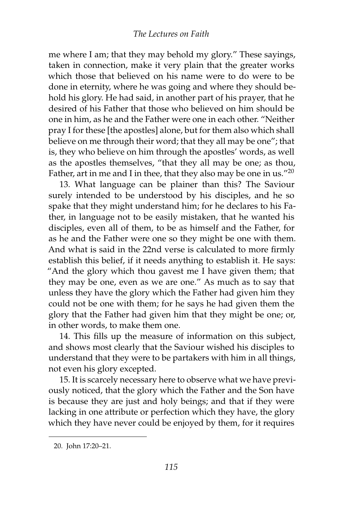me where I am; that they may behold my glory." These sayings, taken in connection, make it very plain that the greater works which those that believed on his name were to do were to be done in eternity, where he was going and where they should behold his glory. He had said, in another part of his prayer, that he desired of his Father that those who believed on him should be one in him, as he and the Father were one in each other. "Neither pray I for these [the apostles] alone, but for them also which shall believe on me through their word; that they all may be one"; that is, they who believe on him through the apostles' words, as well as the apostles themselves, "that they all may be one; as thou, Father, art in me and I in thee, that they also may be one in us.<sup>"20</sup>

13. What language can be plainer than this? The Saviour surely intended to be understood by his disciples, and he so spake that they might understand him; for he declares to his Father, in language not to be easily mistaken, that he wanted his disciples, even all of them, to be as himself and the Father, for as he and the Father were one so they might be one with them. And what is said in the 22nd verse is calculated to more firmly establish this belief, if it needs anything to establish it. He says: "And the glory which thou gavest me I have given them; that they may be one, even as we are one." As much as to say that unless they have the glory which the Father had given him they could not be one with them; for he says he had given them the glory that the Father had given him that they might be one; or, in other words, to make them one.

14. This fills up the measure of information on this subject, and shows most clearly that the Saviour wished his disciples to understand that they were to be partakers with him in all things, not even his glory excepted.

15. It is scarcely necessary here to observe what we have previously noticed, that the glory which the Father and the Son have is because they are just and holy beings; and that if they were lacking in one attribute or perfection which they have, the glory which they have never could be enjoyed by them, for it requires

<sup>20.</sup> John 17:20–21.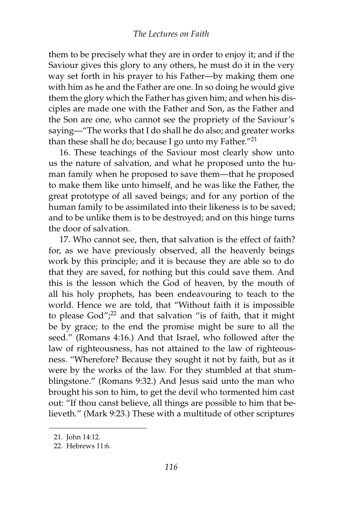them to be precisely what they are in order to enjoy it; and if the Saviour gives this glory to any others, he must do it in the very way set forth in his prayer to his Father—by making them one with him as he and the Father are one. In so doing he would give them the glory which the Father has given him; and when his disciples are made one with the Father and Son, as the Father and the Son are one, who cannot see the propriety of the Saviour's saying—"The works that I do shall he do also; and greater works than these shall he do; because I go unto my Father. $"^{21}$ 

16. These teachings of the Saviour most clearly show unto us the nature of salvation, and what he proposed unto the human family when he proposed to save them—that he proposed to make them like unto himself, and he was like the Father, the great prototype of all saved beings; and for any portion of the human family to be assimilated into their likeness is to be saved; and to be unlike them is to be destroyed; and on this hinge turns the door of salvation.

17. Who cannot see, then, that salvation is the effect of faith? for, as we have previously observed, all the heavenly beings work by this principle; and it is because they are able so to do that they are saved, for nothing but this could save them. And this is the lesson which the God of heaven, by the mouth of all his holy prophets, has been endeavouring to teach to the world. Hence we are told, that "Without faith it is impossible to please God";<sup>22</sup> and that salvation "is of faith, that it might be by grace; to the end the promise might be sure to all the seed." (Romans 4:16.) And that Israel, who followed after the law of righteousness, has not attained to the law of righteousness. "Wherefore? Because they sought it not by faith, but as it were by the works of the law. For they stumbled at that stumblingstone." (Romans 9:32.) And Jesus said unto the man who brought his son to him, to get the devil who tormented him cast out: "If thou canst believe, all things are possible to him that believeth." (Mark 9:23.) These with a multitude of other scriptures

<sup>21.</sup> John 14:12.

<sup>22.</sup> Hebrews 11:6.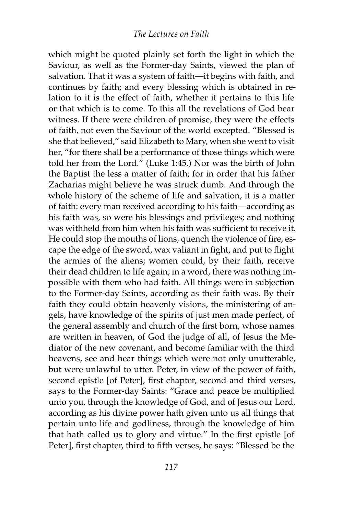which might be quoted plainly set forth the light in which the Saviour, as well as the Former-day Saints, viewed the plan of salvation. That it was a system of faith—it begins with faith, and continues by faith; and every blessing which is obtained in relation to it is the effect of faith, whether it pertains to this life or that which is to come. To this all the revelations of God bear witness. If there were children of promise, they were the effects of faith, not even the Saviour of the world excepted. "Blessed is she that believed," said Elizabeth to Mary, when she went to visit her, "for there shall be a performance of those things which were told her from the Lord." (Luke 1:45.) Nor was the birth of John the Baptist the less a matter of faith; for in order that his father Zacharias might believe he was struck dumb. And through the whole history of the scheme of life and salvation, it is a matter of faith: every man received according to his faith—according as his faith was, so were his blessings and privileges; and nothing was withheld from him when his faith was sufficient to receive it. He could stop the mouths of lions, quench the violence of fire, escape the edge of the sword, wax valiant in fight, and put to flight the armies of the aliens; women could, by their faith, receive their dead children to life again; in a word, there was nothing impossible with them who had faith. All things were in subjection to the Former-day Saints, according as their faith was. By their faith they could obtain heavenly visions, the ministering of angels, have knowledge of the spirits of just men made perfect, of the general assembly and church of the first born, whose names are written in heaven, of God the judge of all, of Jesus the Mediator of the new covenant, and become familiar with the third heavens, see and hear things which were not only unutterable, but were unlawful to utter. Peter, in view of the power of faith, second epistle [of Peter], first chapter, second and third verses, says to the Former-day Saints: "Grace and peace be multiplied unto you, through the knowledge of God, and of Jesus our Lord, according as his divine power hath given unto us all things that pertain unto life and godliness, through the knowledge of him that hath called us to glory and virtue." In the first epistle [of Peter], first chapter, third to fifth verses, he says: "Blessed be the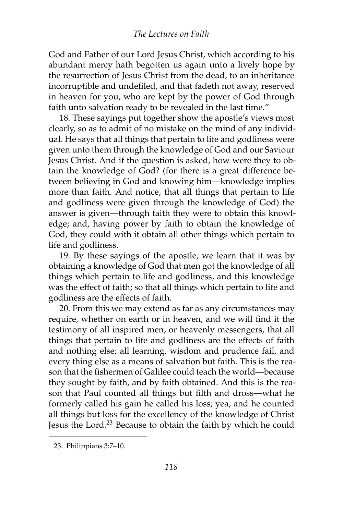God and Father of our Lord Jesus Christ, which according to his abundant mercy hath begotten us again unto a lively hope by the resurrection of Jesus Christ from the dead, to an inheritance incorruptible and undefiled, and that fadeth not away, reserved in heaven for you, who are kept by the power of God through faith unto salvation ready to be revealed in the last time."

18. These sayings put together show the apostle's views most clearly, so as to admit of no mistake on the mind of any individual. He says that all things that pertain to life and godliness were given unto them through the knowledge of God and our Saviour Jesus Christ. And if the question is asked, how were they to obtain the knowledge of God? (for there is a great difference between believing in God and knowing him—knowledge implies more than faith. And notice, that all things that pertain to life and godliness were given through the knowledge of God) the answer is given—through faith they were to obtain this knowledge; and, having power by faith to obtain the knowledge of God, they could with it obtain all other things which pertain to life and godliness.

19. By these sayings of the apostle, we learn that it was by obtaining a knowledge of God that men got the knowledge of all things which pertain to life and godliness, and this knowledge was the effect of faith; so that all things which pertain to life and godliness are the effects of faith.

20. From this we may extend as far as any circumstances may require, whether on earth or in heaven, and we will find it the testimony of all inspired men, or heavenly messengers, that all things that pertain to life and godliness are the effects of faith and nothing else; all learning, wisdom and prudence fail, and every thing else as a means of salvation but faith. This is the reason that the fishermen of Galilee could teach the world—because they sought by faith, and by faith obtained. And this is the reason that Paul counted all things but filth and dross—what he formerly called his gain he called his loss; yea, and he counted all things but loss for the excellency of the knowledge of Christ Jesus the Lord.<sup>23</sup> Because to obtain the faith by which he could

<sup>23.</sup> Philippians 3:7–10.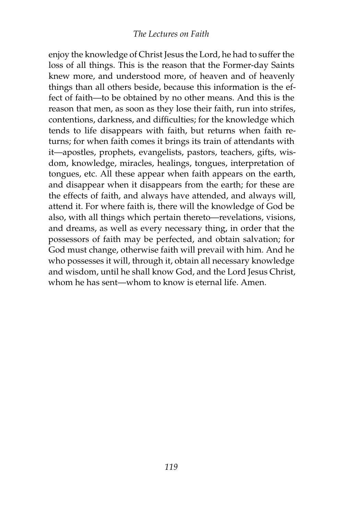enjoy the knowledge of Christ Jesus the Lord, he had to suffer the loss of all things. This is the reason that the Former-day Saints knew more, and understood more, of heaven and of heavenly things than all others beside, because this information is the effect of faith—to be obtained by no other means. And this is the reason that men, as soon as they lose their faith, run into strifes, contentions, darkness, and difficulties; for the knowledge which tends to life disappears with faith, but returns when faith returns; for when faith comes it brings its train of attendants with it—apostles, prophets, evangelists, pastors, teachers, gifts, wisdom, knowledge, miracles, healings, tongues, interpretation of tongues, etc. All these appear when faith appears on the earth, and disappear when it disappears from the earth; for these are the effects of faith, and always have attended, and always will, attend it. For where faith is, there will the knowledge of God be also, with all things which pertain thereto—revelations, visions, and dreams, as well as every necessary thing, in order that the possessors of faith may be perfected, and obtain salvation; for God must change, otherwise faith will prevail with him. And he who possesses it will, through it, obtain all necessary knowledge and wisdom, until he shall know God, and the Lord Jesus Christ, whom he has sent—whom to know is eternal life. Amen.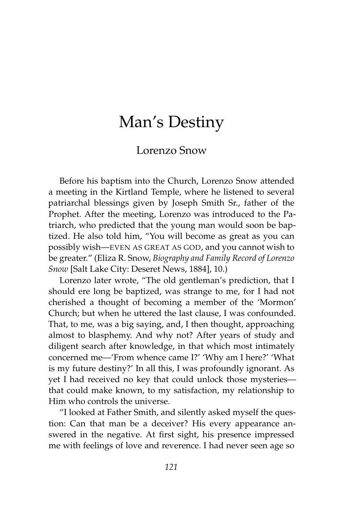# Man's Destiny

## Lorenzo Snow

Before his baptism into the Church, Lorenzo Snow attended a meeting in the Kirtland Temple, where he listened to several patriarchal blessings given by Joseph Smith Sr., father of the Prophet. After the meeting, Lorenzo was introduced to the Patriarch, who predicted that the young man would soon be baptized. He also told him, "You will become as great as you can possibly wish—EVEN AS GREAT AS GOD, and you cannot wish to be greater." (Eliza R. Snow, *Biography and Family Record of Lorenzo Snow* [Salt Lake City: Deseret News, 1884], 10.)

Lorenzo later wrote, "The old gentleman's prediction, that I should ere long be baptized, was strange to me, for I had not cherished a thought of becoming a member of the 'Mormon' Church; but when he uttered the last clause, I was confounded. That, to me, was a big saying, and, I then thought, approaching almost to blasphemy. And why not? After years of study and diligent search after knowledge, in that which most intimately concerned me—'From whence came I?' 'Why am I here?' 'What is my future destiny?' In all this, I was profoundly ignorant. As yet I had received no key that could unlock those mysteries that could make known, to my satisfaction, my relationship to Him who controls the universe.

"I looked at Father Smith, and silently asked myself the question: Can that man be a deceiver? His every appearance answered in the negative. At first sight, his presence impressed me with feelings of love and reverence. I had never seen age so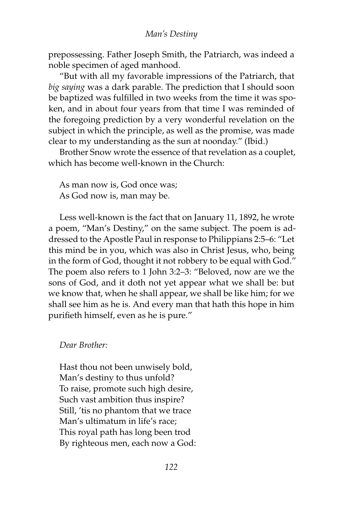prepossessing. Father Joseph Smith, the Patriarch, was indeed a noble specimen of aged manhood.

"But with all my favorable impressions of the Patriarch, that *big saying* was a dark parable. The prediction that I should soon be baptized was fulfilled in two weeks from the time it was spoken, and in about four years from that time I was reminded of the foregoing prediction by a very wonderful revelation on the subject in which the principle, as well as the promise, was made clear to my understanding as the sun at noonday." (Ibid.)

Brother Snow wrote the essence of that revelation as a couplet, which has become well-known in the Church:

As man now is, God once was; As God now is, man may be.

Less well-known is the fact that on January 11, 1892, he wrote a poem, "Man's Destiny," on the same subject. The poem is addressed to the Apostle Paul in response to Philippians 2:5–6: "Let this mind be in you, which was also in Christ Jesus, who, being in the form of God, thought it not robbery to be equal with God." The poem also refers to 1 John 3:2–3: "Beloved, now are we the sons of God, and it doth not yet appear what we shall be: but we know that, when he shall appear, we shall be like him; for we shall see him as he is. And every man that hath this hope in him purifieth himself, even as he is pure."

*Dear Brother:*

Hast thou not been unwisely bold, Man's destiny to thus unfold? To raise, promote such high desire, Such vast ambition thus inspire? Still, 'tis no phantom that we trace Man's ultimatum in life's race; This royal path has long been trod By righteous men, each now a God: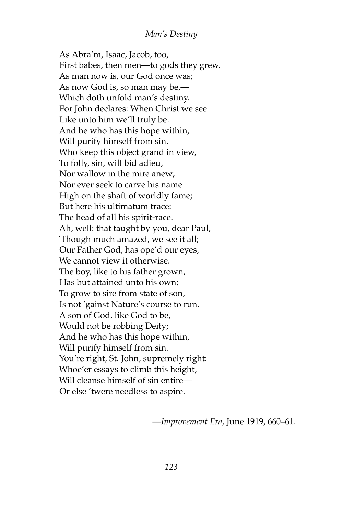### *Man's Destiny*

As Abra'm, Isaac, Jacob, too, First babes, then men—to gods they grew. As man now is, our God once was; As now God is, so man may be,— Which doth unfold man's destiny. For John declares: When Christ we see Like unto him we'll truly be. And he who has this hope within, Will purify himself from sin. Who keep this object grand in view, To folly, sin, will bid adieu, Nor wallow in the mire anew; Nor ever seek to carve his name High on the shaft of worldly fame; But here his ultimatum trace: The head of all his spirit-race. Ah, well: that taught by you, dear Paul, 'Though much amazed, we see it all; Our Father God, has ope'd our eyes, We cannot view it otherwise. The boy, like to his father grown, Has but attained unto his own; To grow to sire from state of son, Is not 'gainst Nature's course to run. A son of God, like God to be, Would not be robbing Deity; And he who has this hope within, Will purify himself from sin. You're right, St. John, supremely right: Whoe'er essays to climb this height, Will cleanse himself of sin entire— Or else 'twere needless to aspire.

*—Improvement Era,* June 1919, 660–61.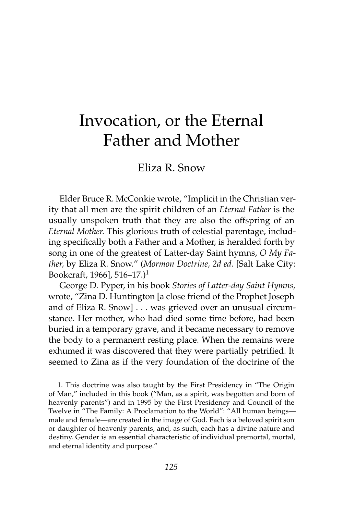# Invocation, or the Eternal Father and Mother

# Eliza R. Snow

Elder Bruce R. McConkie wrote, "Implicit in the Christian verity that all men are the spirit children of an *Eternal Father* is the usually unspoken truth that they are also the offspring of an *Eternal Mother.* This glorious truth of celestial parentage, including specifically both a Father and a Mother, is heralded forth by song in one of the greatest of Latter-day Saint hymns, *O My Father,* by Eliza R. Snow." (*Mormon Doctrine, 2d ed.* [Salt Lake City: Bookcraft, 1966], 516–17.)<sup>1</sup>

George D. Pyper, in his book *Stories of Latter-day Saint Hymns,* wrote, "Zina D. Huntington [a close friend of the Prophet Joseph and of Eliza R. Snow] . . . was grieved over an unusual circumstance. Her mother, who had died some time before, had been buried in a temporary grave, and it became necessary to remove the body to a permanent resting place. When the remains were exhumed it was discovered that they were partially petrified. It seemed to Zina as if the very foundation of the doctrine of the

<sup>1.</sup> This doctrine was also taught by the First Presidency in "The Origin of Man," included in this book ("Man, as a spirit, was begotten and born of heavenly parents") and in 1995 by the First Presidency and Council of the Twelve in "The Family: A Proclamation to the World": "All human beings male and female—are created in the image of God. Each is a beloved spirit son or daughter of heavenly parents, and, as such, each has a divine nature and destiny. Gender is an essential characteristic of individual premortal, mortal, and eternal identity and purpose."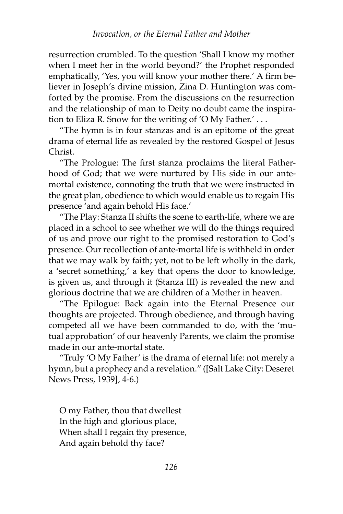resurrection crumbled. To the question 'Shall I know my mother when I meet her in the world beyond?' the Prophet responded emphatically, 'Yes, you will know your mother there.' A firm believer in Joseph's divine mission, Zina D. Huntington was comforted by the promise. From the discussions on the resurrection and the relationship of man to Deity no doubt came the inspiration to Eliza R. Snow for the writing of 'O My Father.' . . .

"The hymn is in four stanzas and is an epitome of the great drama of eternal life as revealed by the restored Gospel of Jesus Christ.

"The Prologue: The first stanza proclaims the literal Fatherhood of God; that we were nurtured by His side in our antemortal existence, connoting the truth that we were instructed in the great plan, obedience to which would enable us to regain His presence 'and again behold His face.'

"The Play: Stanza II shifts the scene to earth-life, where we are placed in a school to see whether we will do the things required of us and prove our right to the promised restoration to God's presence. Our recollection of ante-mortal life is withheld in order that we may walk by faith; yet, not to be left wholly in the dark, a 'secret something,' a key that opens the door to knowledge, is given us, and through it (Stanza III) is revealed the new and glorious doctrine that we are children of a Mother in heaven.

"The Epilogue: Back again into the Eternal Presence our thoughts are projected. Through obedience, and through having competed all we have been commanded to do, with the 'mutual approbation' of our heavenly Parents, we claim the promise made in our ante-mortal state.

"Truly 'O My Father' is the drama of eternal life: not merely a hymn, but a prophecy and a revelation." ([Salt Lake City: Deseret News Press, 1939], 4-6.)

O my Father, thou that dwellest In the high and glorious place, When shall I regain thy presence, And again behold thy face?